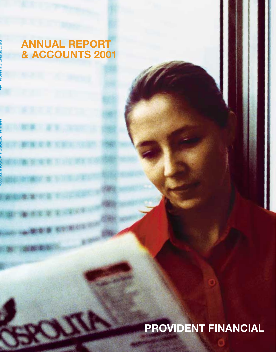# **ANNUAL REPORT & ACCOUNTS 2001**

# **PROVIDENT FINANCIAL**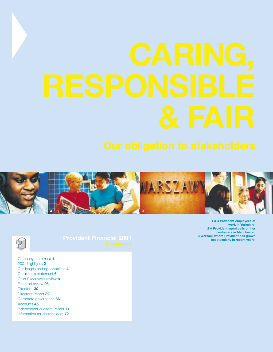



Company statement **1** 2001 highlights **2** Challenges and opportunities **4** Chairman's statement **6** Chief Executive's review **8** Financial review **26** Directors **30** Directors' report **32** Corporate governance **36** Accounts **45** Independent auditors' report **71** Information for shareholders **72**

**1 & 4 Provident employees at work in Yorkshire. 2 A Provident agent calls on her customers in Manchester. 3 Warsaw, where Provident has grown spectacularly in recent years.**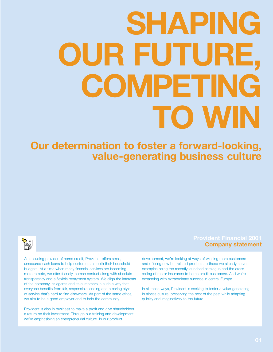# **SHAPING OUR FUTURE, COMPETING TO WIN**

**Our determination to foster a forward-looking, value-generating business culture**



As a leading provider of home credit, Provident offers small, unsecured cash loans to help customers smooth their household budgets. At a time when many financial services are becoming more remote, we offer friendly, human contact along with absolute transparency and a flexible repayment system. We align the interests of the company, its agents and its customers in such a way that everyone benefits from fair, responsible lending and a caring style of service that's hard to find elsewhere. As part of the same ethos, we aim to be a good employer and to help the community.

Provident is also in business to make a profit and give shareholders a return on their investment. Through our training and development, we're emphasising an entrepreneurial culture. In our product

# **Provident Financial 2001 Company statement**

development, we're looking at ways of winning more customers and offering new but related products to those we already serve – examples being the recently launched catalogue and the crossselling of motor insurance to home credit customers. And we're expanding with extraordinary success in central Europe.

In all these ways, Provident is seeking to foster a value-generating business culture, preserving the best of the past while adapting quickly and imaginatively to the future.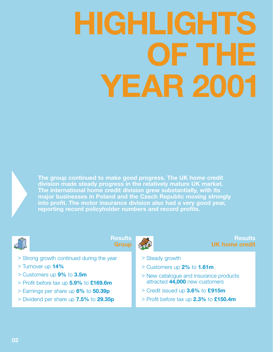# **HIGHLIGHTS OF THE YEAR 2001**



**The group continued to make good progress. The UK home credit division made steady progress in the relatively mature UK market. The international home credit division grew substantially, with its major businesses in Poland and the Czech Republic moving strongly into profit. The motor insurance division also had a very good year, reporting record policyholder numbers and record profits.**



**Results Group**

## **Results UK home credit**

- > Strong growth continued during the year
- > Turnover up **14%**
- > Customers up **9%** to **3.5m**
- > Profit before tax up **5.9%** to **£169.6m**
- > Earnings per share up **6%** to **50.39p**
- > Dividend per share up **7.5%** to **29.35p**
- > Steady growth
- > Customers up **2%** to **1.61m**
- > New catalogue and insurance products attracted **44,000** new customers
- > Credit issued up **3.6%** to **£915m**
- > Profit before tax up **2.3%** to **£150.4m**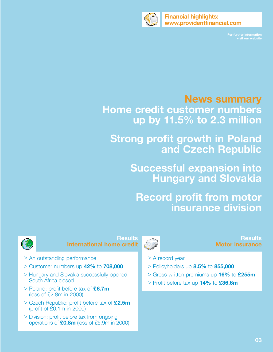

**Financial highlights: www.providentfinancial.com**

**For further information** 

# **News summary**

**Home credit customer numbers up by 11.5% to 2.3 million**

**Strong profit growth in Poland and Czech Republic**

> **Successful expansion into Hungary and Slovakia**

**Record profit from motor insurance division**



**Results International home credit**

- > An outstanding performance
- > Customer numbers up **42%** to **708,000**
- > Hungary and Slovakia successfully opened, South Africa closed
- > Poland: profit before tax of **£6.7m**  (loss of £2.8m in 2000)
- > Czech Republic: profit before tax of **£2.5m** (profit of £0.1m in 2000)
- > Division: profit before tax from ongoing operations of **£0.8m** (loss of £5.9m in 2000)



## **Results Motor insurance**

- > A record year
- > Policyholders up **8.5%** to **855,000**
- > Gross written premiums up **16%** to **£255m**
- > Profit before tax up **14%** to **£36.6m**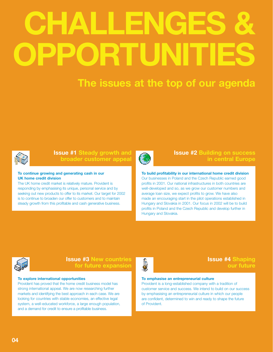# **CHALLENGES & OPPORTUNITIES**

# **The issues at the top of our agenda**



# **Issue #1 Steady growth and broader customer appeal**

#### **To continue growing and generating cash in our UK home credit division**

The UK home credit market is relatively mature. Provident is responding by emphasising its unique, personal service and by seeking out new products to offer to its market. Our target for 2002 is to continue to broaden our offer to customers and to maintain steady growth from this profitable and cash generative business.



# **Issue #2 Building on success in central Europe**

#### **To build profitability in our international home credit division**

Our businesses in Poland and the Czech Republic earned good profits in 2001. Our national infrastructures in both countries are well-developed and so, as we grow our customer numbers and average loan size, we expect profits to grow. We have also made an encouraging start in the pilot operations established in Hungary and Slovakia in 2001. Our focus in 2002 will be to build profits in Poland and the Czech Republic and develop further in Hungary and Slovakia.



### **Issue #3 New countries for future expansion**

#### **To explore international opportunities**

Provident has proved that the home credit business model has strong international appeal. We are now researching further markets and identifying the best approach in each case. We are looking for countries with stable economies, an effective legal system, a well-educated workforce, a large enough population, and a demand for credit to ensure a profitable business.



## **Issue #4 Shaping our future**

#### **To emphasise an entrepreneurial culture**

Provident is a long-established company with a tradition of customer service and success. We intend to build on our success by emphasising an entrepreneurial culture in which our people are confident, determined to win and ready to shape the future of Provident.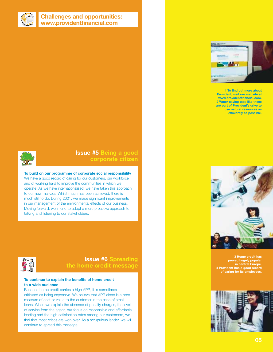

## **Challenges and opportunities: www.providentfinancial.com**



**1 To find out more about Provident, visit our website at www.providentfinancial.com. 2 Water-saving taps like these are part of Provident's drive to use natural resources as efficiently as possible.**



# **Issue #5 Being a good corporate citizen**

**To build on our programme of corporate social responsibility** We have a good record of caring for our customers, our workforce and of working hard to improve the communities in which we operate. As we have internationalised, we have taken this approach to our new markets. Whilst much has been achieved, there is much still to do. During 2001, we made significant improvements in our management of the environmental effects of our business. Moving forward, we intend to adopt a more proactive approach to talking and listening to our stakeholders.



# **Issue #6 Spreading the home credit message**

#### **To continue to explain the benefits of home credit to a wide audience**

Because home credit carries a high APR, it is sometimes criticised as being expensive. We believe that APR alone is a poor measure of cost or value to the customer in the case of small loans. When we explain the absence of penalty charges, the level of service from the agent, our focus on responsible and affordable lending and the high satisfaction rates among our customers, we find that most critics are won over. As a scrupulous lender, we will continue to spread this message.



**3 Home credit has proved hugely popular in central Europe. 4 Provident has a good record of caring for its employees.**

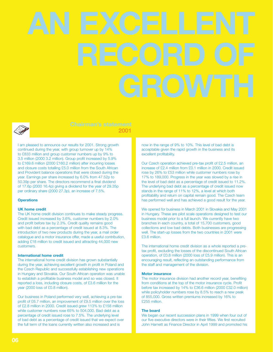

# **2001**

I am pleased to announce our results for 2001. Strong growth continued during the year, with group turnover up by 14% to £833 million and group customer numbers up by 9% to 3.5 million (2000 3.2 million). Group profit increased by 5.9% to £169.6 million (2000 £160.2 million) after incurring losses and closure costs totalling £5.0 million from the South African and Provident balance operations that were closed during the year. Earnings per share increased by 6.0% from 47.52p to 50.39p per share. The directors recommend a final dividend of 17.6p (2000 16.4p) giving a dividend for the year of 29.35p per ordinary share (2000 27.3p), an increase of 7.5%.

#### **Operations**

#### **UK home credit**

The UK home credit division continues to make steady progress. Credit issued increased by 3.6%, customer numbers by 2.0% and profit before tax by 2.3%. Credit quality remains good with bad debt as a percentage of credit issued at 8.3%. The introduction of two new products during the year, a mail order catalogue and a motor insurance offer, made a useful contribution, adding £18 million to credit issued and attracting 44,000 new customers.

#### **International home credit**

The international home credit division has grown substantially during the year, achieving excellent growth in profit in Poland and the Czech Republic and successfully establishing new operations in Hungary and Slovakia. Our South African operation was unable to establish a profitable business model and so was closed. It reported a loss, including closure costs, of £3.6 million for the year (2000 loss of £0.8 million).

Our business in Poland performed very well, achieving a pre-tax profit of £6.7 million, an improvement of £9.5 million over the loss of £2.8 million in 2000. Credit issued grew 113% to £158 million while customer numbers rose 65% to 504,000. Bad debt as a percentage of credit issued rose to 7.5%. The underlying level of bad debt as a percentage of credit issued that we expect over the full term of the loans currently written also increased and is

now in the range of 9% to 10%. This level of bad debt is acceptable given the rapid growth in the business and its excellent profitability.

Our Czech operation achieved pre-tax profit of £2.5 million, an increase of £2.4 million from £0.1 million in 2000. Credit issued rose by 26% to £53 million while customer numbers rose by 17% to 189,000. Progress in the year was slowed by a rise in the level of bad debt as a percentage of credit issued to 11.2%. The underlying bad debt as a percentage of credit issued now stands in the range of 11% to 12%, a level at which both profitability and return on capital remain good. The Czech team has performed well and has achieved a good result for the year.

We opened for business in March 2001 in Slovakia and May 2001 in Hungary. These are pilot scale operations designed to test our business model prior to a full launch. We currently have two branches in each country, a total of 15,700 customers, good collections and low bad debts. Both businesses are progressing well. The start-up losses from the two countries in 2001 were £3.6 million.

The international home credit division as a whole reported a pretax profit, excluding the losses of the discontinued South African operation, of £0.8 million (2000 loss of £5.9 million). This is an encouraging result, reflecting an outstanding performance from the staff and management of the division.

#### **Motor insurance**

The motor insurance division had another record year, benefiting from conditions at the top of the motor insurance cycle. Profit before tax increased by 14% to £36.6 million (2000 £32.0 million) while policyholder numbers rose by 8.5% to reach a new peak of 855,000. Gross written premiums increased by 16% to £255 million.

#### **The board**

We began our recent succession plans in 1999 when four out of our five executive directors were in their fifties. We first recruited John Harnett as Finance Director in April 1999 and promoted his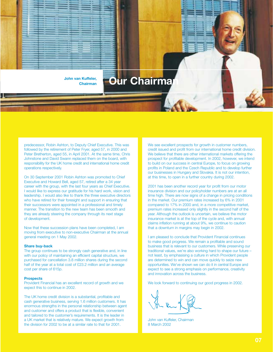

## predecessor, Robin Ashton, to Deputy Chief Executive. This was followed by the retirement of Peter Fryer, aged 57, in 2000 and Peter Bretherton, aged 55, in April 2001. At the same time, Chris Johnstone and David Swann replaced them on the board, with responsibility for the UK home credit and international home credit

operations respectively. On 30 September 2001 Robin Ashton was promoted to Chief Executive and Howard Bell, aged 57, retired after a 34 year career with the group, with the last four years as Chief Executive.

I would like to express our gratitude for his hard work, vision and leadership. I would also like to thank the three executive directors who have retired for their foresight and support in ensuring that their successors were appointed in a professional and timely manner. The transition to the new team has been smooth and they are already steering the company through its next stage of development.

Now that these succession plans have been completed, I am moving from executive to non-executive Chairman at the annual general meeting on 1 May 2002.

#### **Share buy-back**

The group continues to be strongly cash generative and, in line with our policy of maintaining an efficient capital structure, we purchased for cancellation 3.8 million shares during the second half of the year at a total cost of £23.2 million and an average cost per share of 615p.

#### **Prospects**

Provident Financial has an excellent record of growth and we expect this to continue in 2002.

The UK home credit division is a substantial, profitable and cash generative business, serving 1.6 million customers. It has enormous strengths in the personal relationship between agent and customer and offers a product that is flexible, convenient and tailored to the customer's requirements. It is the leader in a UK market that is relatively mature. We expect growth from the division for 2002 to be at a similar rate to that for 2001.

We see excellent prospects for growth in customer numbers, credit issued and profit from our international home credit division. We believe that there are other international markets offering the prospect for profitable development. In 2002, however, we intend to build on our success in central Europe, to focus on growing profits in Poland and the Czech Republic and to develop further our businesses in Hungary and Slovakia. It is not our intention, at this time, to open in a further country during 2002.

2001 has been another record year for profit from our motor insurance division and our policyholder numbers are at an all time high. There are now signs of a change in pricing conditions in the market. Our premium rates increased by 6% in 2001 compared to 17% in 2000 and, in a more competitive market, premium rates increased only slightly in the second half of the year. Although the outlook is uncertain, we believe the motor insurance market is at the top of the cycle and, with annual claims inflation running at about 9%, we continue to caution that a downturn in margins may begin in 2002.

I am pleased to conclude that Provident Financial continues to make good progress. We remain a profitable and sound business that is relevant to our customers. While preserving our traditional values, we're also working hard to shape our future – not least, by emphasising a culture in which Provident people are determined to win and can move quickly to seize new opportunities. We've shown we can do it in central Europe and expect to see a strong emphasis on performance, creativity and innovation across the business.

We look forward to continuing our good progress in 2002.

John van Kuffeler, Chairman 8 March 2002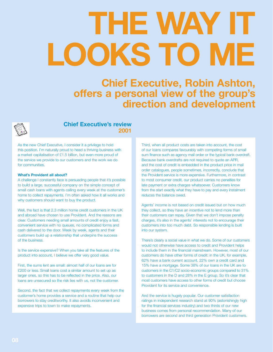# **THE WAY IT LOOKS TO ME**

**Chief Executive, Robin Ashton, offers a personal view of the group's direction and development**



## **Chief Executive's review 2001**

As the new Chief Executive, I consider it a privilege to hold this position. I'm naturally proud to head a thriving business with a market capitalisation of £1.5 billion, but even more proud of the service we provide to our customers and the work we do for communities.

#### **What's Provident all about?**

A challenge I constantly face is persuading people that it's possible to build a large, successful company on the simple concept of small cash loans with agents calling every week at the customer's home to collect repayments. I'm often asked how it all works and why customers should want to buy the product.

Well, the fact is that 2.3 million home credit customers in the UK and abroad have chosen to use Provident. And the reasons are clear. Customers needing small amounts of credit enjoy a fast, convenient service with no queues, no complicated forms and cash delivered to the door. Week by week, agents and their customers build up a relationship that underpins the success of the business.

Is the service expensive? When you take all the features of the product into account, I believe we offer very good value.

First, the sums lent are small: almost half of our loans are for £200 or less. Small loans cost a similar amount to set up as larger ones, so this has to be reflected in the price. Also, our loans are unsecured so the risk lies with us, not the customer.

Second, the fact that we collect repayments every week from the customer's home provides a service and a routine that help our borrowers to stay creditworthy. It also avoids inconvenient and expensive trips to town to make repayments.

Third, when all product costs are taken into account, the cost of our loans compares favourably with competing forms of small sum finance such as agency mail order or the typical bank overdraft. Because bank overdrafts are not required to quote an APR, and the cost of credit is embedded in the product price in mail order catalogues, people sometimes, incorrectly, conclude that the Provident service is more expensive. Furthermore, in contrast to most consumer credit, our product carries no penalties for late payment or extra charges whatsoever. Customers know from the start exactly what they have to pay and every instalment reduces the balance owed.

Agents' income is not based on credit issued but on how much they collect, so they have an incentive not to lend more than their customers can repay. Given that we don't impose penalty charges, it's also in the agents' interests not to encourage their customers into too much debt. So responsible lending is built into our system.

There's clearly a social value in what we do. Some of our customers would not otherwise have access to credit and Provident helps to include them in the financial mainstream. However, most of our customers do have other forms of credit: in the UK, for example, 62% have a bank current account, 22% own a credit card and 15% have a mortgage. Some 38% of our loans in the UK are to customers in the C1/C2 socio-economic groups compared to 31% to customers in the D and 28% in the E group. So it's clear that most customers have access to other forms of credit but choose Provident for its service and convenience.

And the service is hugely popular. Our customer satisfaction ratings in independent research stand at 90% (astonishingly high for the financial services industry) and two thirds of our new business comes from personal recommendation. Many of our borrowers are second and third generation Provident customers.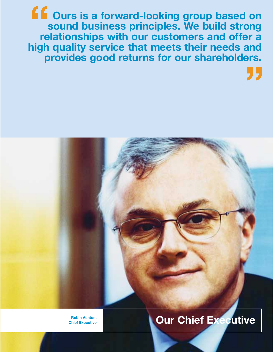**Ours is a forward-looking group based on sound business principles. We build strong relationships with our customers and offer a high quality service that meets their needs and provides good returns for our shareholders. "**

**"**



**Robin Ashton,**

# **Chief Executive Chief Executive Chief Executive**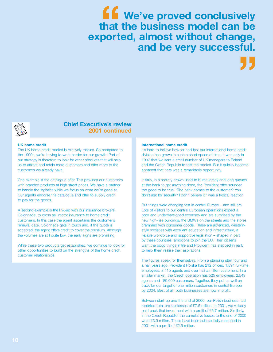# **We've proved conclusively that the business model can be exported, almost without change, and be very successful. ff**<br>that<br>port **"**



### **Chief Executive's review 2001 continued**

#### **UK home credit**

The UK home credit market is relatively mature. So compared to the 1990s, we're having to work harder for our growth. Part of our strategy is therefore to look for other products that will help us to attract and retain more customers and offer more to the customers we already have.

One example is the catalogue offer. This provides our customers with branded products at high street prices. We have a partner to handle the logistics while we focus on what we're good at. Our agents endorse the catalogue and offer to supply credit to pay for the goods.

A second example is the link-up with our insurance brokers, Colonnade, to cross sell motor insurance to home credit customers. In this case the agent ascertains the customer's renewal date, Colonnade gets in touch and, if the quote is accepted, the agent offers credit to cover the premium. Although the volumes are still quite low, the early signs are promising.

While these two products get established, we continue to look for other opportunities to build on the strengths of the home credit customer relationships.

#### **International home credit**

It's hard to believe how far and fast our international home credit division has grown in such a short space of time. It was only in 1997 that we sent a small number of UK managers to Poland and the Czech Republic to test the market. But it quickly became apparent that here was a remarkable opportunity.

Initially, in a society grown used to bureaucracy and long queues at the bank to get anything done, the Provident offer sounded too good to be true. "The bank comes to the customer? You don't ask for security? I don't believe it!" was a typical reaction.

But things were changing fast in central Europe – and still are. Lots of visitors to our central European operations expect a poor and underdeveloped economy and are surprised by the new high-rise buildings, the BMWs on the streets and the stores crammed with consumer goods. These are advanced, westernstyle societies with excellent education and infrastructure, a flexible workforce and supportive legislation – shaped in part by these countries' ambitions to join the EU. Their citizens want the good things in life and Provident has stepped in early to help them realise their aspirations.

The figures speak for themselves. From a standing start four and a half years ago, Provident Polska has 212 offices, 1,594 full-time employees, 8,415 agents and over half a million customers. In a smaller market, the Czech operation has 525 employees, 2,549 agents and 189,000 customers. Together, they put us well on track for our target of one million customers in central Europe by 2004. Best of all, both businesses are now in profit.

Between start-up and the end of 2000, our Polish business had reported total pre-tax losses of £7.5 million. In 2001, we virtually paid back that investment with a profit of £6.7 million. Similarly, in the Czech Republic, the cumulative losses to the end of 2000 were £3.9 million. These have been substantially recouped in 2001 with a profit of £2.5 million.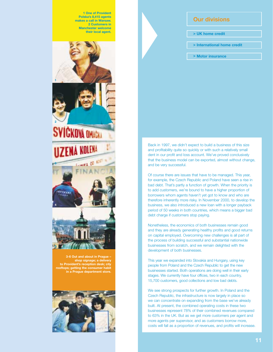**1 One of Provident Polska's 8,415 agents makes a call in Warsaw. 2 Customers in Manchester welcome their local agent.**



**shop signage; a delivery to Provident's reception desk; city rooftops; getting the consumer habit in a Prague department store.**



### **Our divisions**

- **> UK home credit**
- **> International home credit**
- **> Motor insurance**

Back in 1997, we didn't expect to build a business of this size and profitability quite so quickly or with such a relatively small dent in our profit and loss account. We've proved conclusively that the business model can be exported, almost without change, and be very successful.

Of course there are issues that have to be managed. This year, for example, the Czech Republic and Poland have seen a rise in bad debt. That's partly a function of growth. When the priority is to add customers, we're bound to have a higher proportion of borrowers whom agents haven't yet got to know and who are therefore inherently more risky. In November 2000, to develop the business, we also introduced a new loan with a longer payback period of 50 weeks in both countries, which means a bigger bad debt charge if customers stop paying.

Nonetheless, the economics of both businesses remain good and they are already generating healthy profits and good returns on capital employed. Overcoming new challenges is all part of the process of building successful and substantial nationwide businesses from scratch, and we remain delighted with the development of both businesses.

This year we expanded into Slovakia and Hungary, using key people from Poland and the Czech Republic to get the new businesses started. Both operations are doing well in their early stages. We currently have four offices, two in each country, 15,700 customers, good collections and low bad debts.

We see strong prospects for further growth. In Poland and the Czech Republic, the infrastructure is now largely in place so we can concentrate on expanding from the base we've already built. At present, the combined operating costs in these two businesses represent 78% of their combined revenues compared to 63% in the UK. But as we get more customers per agent and more agents per supervisor, and as customers borrow more, costs will fall as a proportion of revenues, and profits will increase.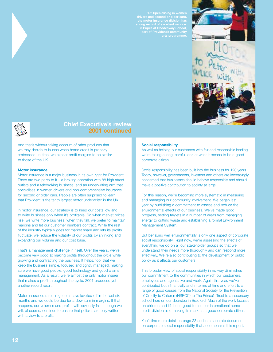

**3 Pupils at Rhodesway School, part of Provident's community arts programme.**







# **Chief Executive's review 2001 continued**

And that's without taking account of other products that we may decide to launch when home credit is properly embedded. In time, we expect profit margins to be similar to those of the UK.

#### **Motor insurance**

Motor insurance is a major business in its own right for Provident. There are two parts to it – a broking operation with 88 high street outlets and a telebroking business, and an underwriting arm that specialises in women drivers and non-comprehensive insurance for second or older cars. People are often surprised to learn that Provident is the tenth largest motor underwriter in the UK.

In motor insurance, our strategy is to keep our costs low and to write business only when it's profitable. So when market prices rise, we write more business: when they fall, we prefer to maintain margins and let our customer numbers contract. While the rest of the industry typically goes for market share and lets its profits fluctuate, we reduce the volatility of our profits by shrinking and expanding our volume and our cost base.

That's a management challenge in itself. Over the years, we've become very good at making profits throughout the cycle while growing and contracting the business. It helps, too, that we keep the business simple, focused and tightly managed, making sure we have good people, good technology and good claims management. As a result, we're almost the only motor insurer that makes a profit throughout the cycle. 2001 produced yet another record result.

Motor insurance rates in general have levelled off in the last six months and we could be due for a downturn in margins. If that happens, our volumes and profits will obviously fall – though we will, of course, continue to ensure that policies are only written with a view to a profit.

#### **Social responsibility**

As well as helping our customers with fair and responsible lending, we're taking a long, careful look at what it means to be a good corporate citizen.

Social responsibility has been built into the business for 120 years. Today, however, governments, investors and others are increasingly concerned that businesses should behave responsibly and should make a positive contribution to society at large.

For this reason, we're becoming more systematic in measuring and managing our community involvement. We began last year by publishing a commitment to assess and reduce the environmental effects of our business. We've made good progress, setting targets in a number of areas from managing energy to cutting waste and establishing a formal Environment Management System.

But behaving well environmentally is only one aspect of corporate social responsibility. Right now, we're assessing the effects of everything we do on all our stakeholder groups so that we understand their needs more thoroughly and can respond more effectively. We're also contributing to the development of public policy as it affects our customers.

This broader view of social responsibility in no way diminishes our commitment to the communities in which our customers, employees and agents live and work. Again this year, we've contributed both financially and in terms of time and effort to a range of good causes from the National Society for the Prevention of Cruelty to Children (NSPCC) to The Prince's Trust to a secondary school here on our doorstep in Bradford. Much of the work focuses on children and it's been good to see our international home credit division also making its mark as a good corporate citizen.

You'll find more detail on page 23 and in a separate document on corporate social responsibility that accompanies this report.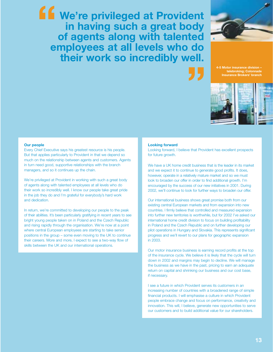**We're privileged at Provident in having such a great body of agents along with talented employees at all levels who do their work so incredibly well. "**



**"**

**4-5 Motor insurance division – telebroking; Colonnade Insurance Brokers' branch**



#### **Our people**

Every Chief Executive says his greatest resource is his people. But that applies particularly to Provident in that we depend so much on the relationship between agents and customers. Agents in turn need good, supportive relationships with the branch managers, and so it continues up the chain.

We're privileged at Provident in working with such a great body of agents along with talented employees at all levels who do their work so incredibly well. I know our people take great pride in the job they do and I'm grateful for everybody's hard work and dedication.

In return, we're committed to developing our people to the peak of their abilities. It's been particularly gratifying in recent years to see bright young people taken on in Poland and the Czech Republic and rising rapidly through the organisation. We're now at a point where central European employees are starting to take senior positions in the group – some even moving to the UK to continue their careers. More and more, I expect to see a two-way flow of skills between the UK and our international operations.

#### **Looking forward**

Looking forward, I believe that Provident has excellent prospects for future growth.

We have a UK home credit business that is the leader in its market and we expect it to continue to generate good profits. It does, however, operate in a relatively mature market and so we must look to broaden our offer in order to find additional growth. I'm encouraged by the success of our new initiatives in 2001. During 2002, we'll continue to look for further ways to broaden our offer.

Our international business shows great promise both from our existing central European markets and from expansion into new countries. I firmly believe that controlled and measured expansion into further new territories is worthwhile, but for 2002 I've asked our international home credit division to focus on building profitability in Poland and the Czech Republic and on further developing our pilot operations in Hungary and Slovakia. This represents significant progress and we'll revert to our plans for geographic expansion in 2003.

Our motor insurance business is earning record profits at the top of the insurance cycle. We believe it is likely that the cycle will turn down in 2002 and margins may begin to decline. We will manage the business as we have in the past, pricing to earn an adequate return on capital and shrinking our business and our cost base, if necessary.

I see a future in which Provident serves its customers in an increasing number of countries with a broadened range of simple financial products. I will emphasise a culture in which Provident people embrace change and focus on performance, creativity and innovation. This will, I believe, generate new opportunities to serve our customers and to build additional value for our shareholders.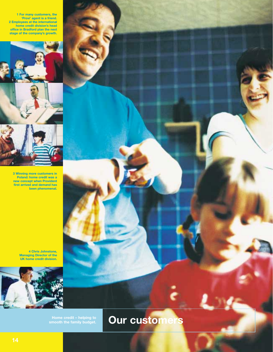**1 For many customers, the 'Provi' agent is a friend. 2 Employees at the international home credit division's head office in Bradford plan the next stage of the company's growth.** 



**3 Winning more customers in Poland: home credit was a new concept when Provident first arrived and demand has been phenomenal.** 

> **4 Chris Johnstone, Managing Director of the UK home credit division.**



**Home credit – helping to** 

**Our customers**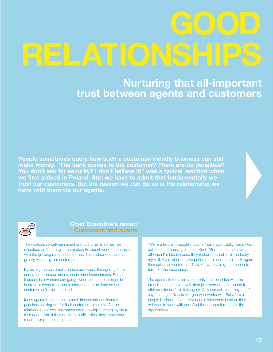**Nurturing that all-important trust between agents and customers**

**People sometimes query how such a customer-friendly business can still make money. "The bank comes to the customer? There are no penalties? You don't ask for security? I don't believe it!" was a typical reaction when we first arrived in Poland. And we have to admit that fundamentally we trust our customers. But the reason we can do so is the relationship we have with them via our agents.**



## **Chief Executive's review Customers and agents**

The relationship between agent and customer is sometimes described as the 'magic' that makes Provident work. It contrasts with the growing remoteness of most financial services and is greatly valued by our customers.

By visiting the customer's home each week, the agent gets to understand the customer's needs and circumstances. She (for it usually is a woman) can gauge when another loan might be in order or when to advise a smaller loan or no loan so her customer isn't over-stretched.

Many agents become customers' friends and confidantes – genuinely looking out for their customers' interests. As the relationship evolves, customers often develop a strong loyalty to their agent. And if they do get into difficulties, they know they'll meet a sympathetic response.

"We're a fixture in people's routine," says agent Sally Harris who collects on a housing estate in Kent. "Some customers tell me off when I'm late because they reckon they set their clocks by my visit. Even when they've paid off their loan, people still regard themselves as customers. They know they've got someone to turn to if the need arises."

The agents, in turn, enjoy supportive relationships with the branch managers who will often join them on their rounds to offer assistance. "I've told agents they can call me at any time," says manager, Donald Morgan who works with Sally. "It's a people business. If you treat people with consideration, they will want to work with you. And that applies throughout the organisation."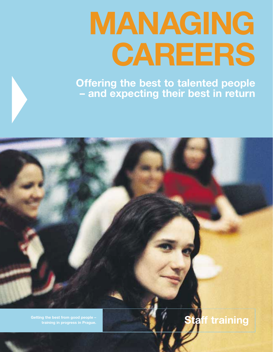# **MANAGING CAREERS**

**Offering the best to talented people – and expecting their best in return**

**Getting the best from good people – training in progress in Prague. Staff training in progress in Prague.**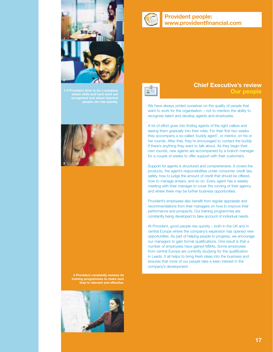

**where skills and hard work are recognised and where talented people can rise quickly.** 



**4 Provident constantly reviews its training programmes to make sure they're relevant and effective.** 







# **Chief Executive's review Our people**

We have always prided ourselves on the quality of people that want to work for the organisation – not to mention the ability to recognise talent and develop agents and employees.

A lot of effort goes into finding agents of the right calibre and easing them gradually into their roles. For their first two weeks they accompany a so-called 'buddy agent', or mentor, on his or her rounds. After that, they're encouraged to contact the buddy if there's anything they want to talk about. As they begin their own rounds, new agents are accompanied by a branch manager for a couple of weeks to offer support with their customers.

Support for agents is structured and comprehensive. It covers the products, the agent's responsibilities under consumer credit law, safety, how to judge the amount of credit that should be offered, how to manage arrears, and so on. Every agent has a weekly meeting with their manager to cover the running of their agency and where there may be further business opportunities.

Provident's employees also benefit from regular appraisals and recommendations from their managers on how to improve their performance and prospects. Our training programmes are constantly being developed to take account of individual needs.

At Provident, good people rise quickly – both in the UK and in central Europe where the company's expansion has opened new opportunities. As part of helping people to progress, we encourage our managers to gain formal qualifications. One result is that a number of employees have gained MBAs. Some employees from central Europe are currently studying for the qualification in Leeds. It all helps to bring fresh ideas into the business and ensures that more of our people take a keen interest in the company's development.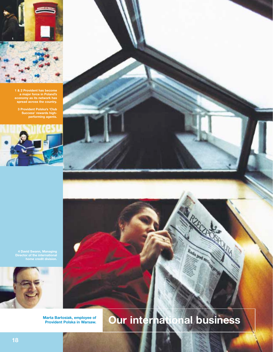

**1 & 2 Provident has become a major force in Poland's economy as its network has spread across the country.** 

**3 Provident Polska's 'Club Success' rewards highperforming agents.**



**4 David Swann, Managing Director of the international home credit division.**



**Marta Bartosiak, employee of** 

# **Pur international business**

Rada pod mi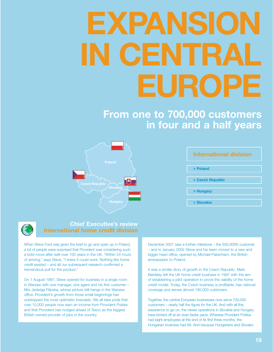# **EXPANSION IN CENTRAL EUROPE**

# **From one to 700,000 customers in four and a half years**



| <b>International division</b> |  |  |  |  |
|-------------------------------|--|--|--|--|
| > Poland                      |  |  |  |  |
|                               |  |  |  |  |
| > Czech Republic              |  |  |  |  |
| > Hungary                     |  |  |  |  |
|                               |  |  |  |  |
| > Slovakia                    |  |  |  |  |



# **Chief Executive's review International home credit division**

When Steve Ford was given the brief to go and open up in Poland, a lot of people were surprised that Provident was considering such a bold move after well over 100 years in the UK. "Within 24 hours of arriving," says Steve, "I knew it could work. Nothing like home credit existed – and all our subsequent research confirmed a tremendous pull for the product."

On 1 August 1997, Steve opened for business in a single room in Warsaw with one manager, one agent and his first customer – Mrs Jadwiga Filipska, whose picture still hangs in the Warsaw office. Provident's growth from those small beginnings has outstripped the most optimistic forecasts. We all take pride that over 10,000 people now earn an income from Provident Polska and that Provident has nudged ahead of Tesco as the biggest British-owned provider of jobs in the country.

December 2001 saw a further milestone – the 500,000th customer – and in January 2002 Steve and his team moved to a new and bigger head office, opened by Michael Pakenham, the British ambassador to Poland.

It was a similar story of growth in the Czech Republic. Mark Bardsley left the UK home credit business in 1997 with the aim of establishing a pilot operation to prove the viability of the home credit model. Today, the Czech business is profitable, has national coverage and serves almost 190,000 customers.

Together, the central European businesses now serve 700,000 customers – nearly half the figure for the UK. And with all this experience to go on, the newer operations in Slovakia and Hungary have kicked off at an even faster pace. Whereas Provident Polska had eight employees at the end of its first three months, the Hungarian business had 69. And because Hungarians and Slovaks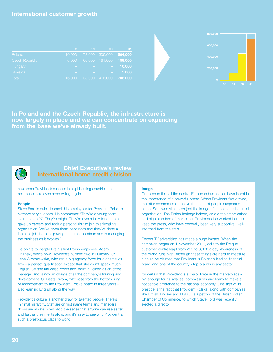# **International customer growth**

|                       | 98     | -99     | 00      | 01       |
|-----------------------|--------|---------|---------|----------|
| Poland                | 10,000 | 72,000  | 305,000 | 504,000  |
| <b>Czech Republic</b> | 6.000  | 66,000  | 161,000 | 189,000, |
| Hungary               |        |         |         | 10,000   |
| Slovakia              |        |         |         | 5,000    |
| Total                 | 16,000 | 138,000 | 466,000 | 708,000  |



**In Poland and the Czech Republic, the infrastructure is now largely in place and we can concentrate on expanding from the base we've already built.** 



### **Chief Executive's review International home credit division**

have seen Provident's success in neighbouring countries, the best people are even more willing to join.

#### **People**

Steve Ford is quick to credit his employees for Provident Polska's extraordinary success. He comments: "They're a young team – average age 27. They're bright. They're dynamic. A lot of them gave up careers and took a personal risk to join this fledgling organisation. We've given them headroom and they've done a fantastic job, both in growing customer numbers and in managing the business as it evolves."

He points to people like his first Polish employee, Adam Chilinski, who's now Provident's number two in Hungary. Or Lena Wlocszewska, who ran a big agency force for a cosmetics firm – a perfect qualification except that she didn't speak much English. So she knuckled down and learnt it, joined as an office manager and is now in charge of all the company's training and development. Or Beata Sikora, who rose from the bottom rung of management to the Provident Polska board in three years – also learning English along the way.

Provident's culture is another draw for talented people. There's minimal hierarchy. Staff are on first name terms and managers' doors are always open. Add the sense that anyone can rise as far and fast as their merits allow, and it's easy to see why Provident is such a prestigious place to work.

#### **Image**

One lesson that all the central European businesses have learnt is the importance of a powerful brand. When Provident first arrived, the offer seemed so attractive that a lot of people suspected a catch. So it was vital to project the image of a serious, substantial organisation. The British heritage helped, as did the smart offices and high standard of marketing. Provident also worked hard to keep the press, who have generally been very supportive, wellinformed from the start.

Recent TV advertising has made a huge impact. When the campaign began on 1 November 2001, calls to the Prague customer centre leapt from 200 to 3,000 a day. Awareness of the brand runs high. Although these things are hard to measure, it could be claimed that Provident is Poland's leading financial brand and one of the country's top brands in any sector.

It's certain that Provident is a major force in the marketplace – big enough for its salaries, commissions and loans to make a noticeable difference to the national economy. One sign of its prestige is the fact that Provident Polska, along with companies like British Airways and HSBC, is a patron of the British Polish Chamber of Commerce, to which Steve Ford was recently elected a director.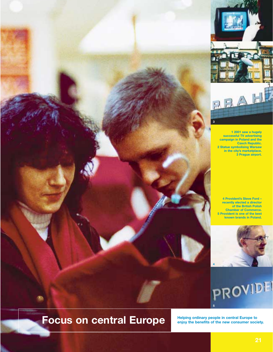

**1 2001 saw a hugely successful TV advertising campaign in Poland and the Czech Republic. 2 Statue symbolising Warsaw in the city's marketplace. 3 Prague airport.**

**3**

**4 Provident's Steve Ford – recently elected a director of the British Polish Chamber of Commerce. 5 Provident is one of the best known brands in Poland.** 



# PROVIDE **5**

# Focus on central Europe **Focus** on  $\frac{HeIping\,\,ordinary\,\,people\,\,in\,\,central\,\,European\,\,society.}$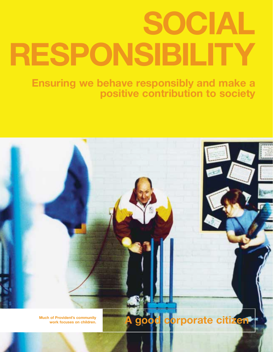# **SOCIAL RESPONSIBILITY**

**Ensuring we behave responsibly and make a positive contribution to society**

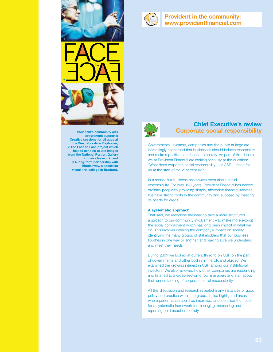

### **Provident in the community: www.providentfinancial.com**



**Provident's community arts programme supports: 1 Creative sessions for all ages at the West Yorkshire Playhouse; 2 The Face to Face project which helped schools to use images from the National Portrait Gallery in their classwork; and 3 A long-term partnership with Rhodesway, a specialist visual arts college in Bradford.**



## **Chief Executive's review Corporate social responsibility**

Governments, investors, companies and the public at large are increasingly concerned that businesses should behave responsibly and make a positive contribution to society. As part of this debate, we at Provident Financial are looking seriously at the question: "What does corporate social responsibility – or CSR – mean for us at the start of the 21st century?"

In a sense, our business has always been about social responsibility. For over 120 years, Provident Financial has helped ordinary people by providing simple, affordable financial services. We have strong roots in the community and succeed by meeting its needs for credit.

#### **A systematic approach**

That said, we recognise the need to take a more structured approach to our community involvement – to make more explicit the social commitment which has long been implicit in what we do. This involves defining the company's impact on society, identifying the many groups of stakeholders that our business touches in one way or another, and making sure we understand and meet their needs.

During 2001 we looked at current thinking on CSR on the part of governments and other bodies in the UK and abroad. We examined the growing interest in CSR among our institutional investors. We also reviewed how other companies are responding and listened to a cross-section of our managers and staff about their understanding of corporate social responsibility.

All this discussion and research revealed many instances of good policy and practice within the group. It also highlighted areas where performance could be improved, and identified the need for a systematic framework for managing, measuring and reporting our impact on society.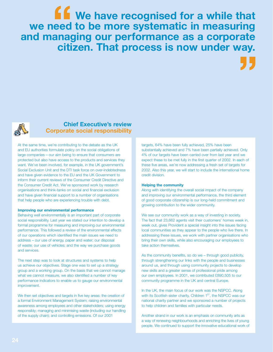**We have recognised for a while that we need to be more systematic in measuring and managing our performance as a corporate citizen. That process is now under way. ff**<br>eed<br>anag **"**



## **Chief Executive's review Corporate social responsibility**

At the same time, we're contributing to the debate as the UK and EU authorities formulate policy on the social obligations of large companies – our aim being to ensure that consumers are protected but also have access to the products and services they want. We've been involved, for example, in the UK government's Social Exclusion Unit and the DTI task force on over-indebtedness and have given evidence to the EU and the UK Government to inform their current reviews of the Consumer Credit Directive and the Consumer Credit Act. We've sponsored work by research organisations and think-tanks on social and financial exclusion and have given financial support to a number of organisations that help people who are experiencing trouble with debt.

#### **Improving our environmental performance**

Behaving well environmentally is an important part of corporate social responsibility. Last year we stated our intention to develop a formal programme for measuring and improving our environmental performance. This followed a review of the environmental effects of our operations which identified the main issues we need to address – our use of energy, paper and water; our disposal of waste; our use of vehicles; and the way we purchase goods and services.

The next step was to look at structures and systems to help us achieve our objectives. Stage one was to set up a strategy group and a working group. On the basis that we cannot manage what we cannot measure, we also identified a number of key performance indicators to enable us to gauge our environmental improvement.

We then set objectives and targets in five key areas: the creation of a formal Environment Management System; raising environmental awareness among employees and other stakeholders; using energy responsibly; managing and minimising waste (including our handling of the supply chain); and controlling emissions. Of our 2001

targets, 64% have been fully achieved, 25% have been substantially achieved and 7% have been partially achieved. Only 4% of our targets have been carried over from last year and we expect these to be met fully in the first quarter of 2002. In each of these five areas, we're now addressing a fresh set of targets for 2002. Also this year, we will start to include the international home credit division.

#### **Helping the community**

Along with identifying the overall social impact of the company and improving our environmental performance, the third element of good corporate citizenship is our long-held commitment and growing contribution to the wider community.

We see our community work as a way of investing in society. The fact that 23,662 agents visit their customers' homes week in, week out, gives Provident a special insight into the issues facing local communities as they appear to the people who live there. In addressing these issues, we work with partner organisations who bring their own skills, while also encouraging our employees to take action themselves.

As the community benefits, so do we – through good publicity, through strengthening our links with the people and businesses around us, and through using community projects to develop new skills and a greater sense of professional pride among our own employees. In 2001, we contributed £890,505 to our community programme in the UK and central Europe.

In the UK, the main focus of our work was the NSPCC. Along with its Scottish sister charity, Children 1<sup>st</sup>, the NSPCC was our national charity partner and we sponsored a number of projects to help children and families with particular needs.

Another strand in our work is an emphasis on community arts as a way of renewing neighbourhoods and enriching the lives of young people. We continued to support the innovative educational work of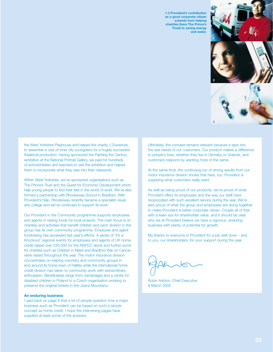**1-3 Provident's contribution as a good corporate citizen extends from helping charities (here The Prince's Trust) to saving energy and water.**





the West Yorkshire Playhouse and helped the charity, L'Ouverture, to assemble a cast of inner city youngsters for a hugely successful theatrical production. Having sponsored the Painting the Century exhibition at the National Portrait Gallery, we paid for hundreds of schoolchildren and teachers to visit the exhibition and helped them to incorporate what they saw into their classwork.

Within West Yorkshire, we've sponsored organisations such as The Prince's Trust and the Quest for Economic Development which help young people to find their feet in the world of work. We've also formed a partnership with Rhodesway School in Bradford. With Provident's help, Rhodesway recently became a specialist visual arts college and we've continued to support its work.

Our Provident in the Community programme supports employees and agents in raising funds for local projects. The main focus is on charities and activities that benefit children and each division in the group has its own community programme. Employee and agent fundraising has exceeded last year's efforts. A series of 'It's a Knockout' regional events for employees and agents of UK home credit raised over £40,000 for the NSPCC alone and further sums for charities such as Children in Need and Bradford War on Cancer were raised throughout the year. The motor insurance division concentrates on helping voluntary and community groups in and around its home town of Halifax while the international home credit division has taken to community work with extraordinary enthusiasm. Beneficiaries range from orphanages and a centre for disabled children in Poland to a Czech organisation working to preserve the original forests in the Jizera Mountains.

#### **An enduring business**

I said back on page 8 that a lot of people question how a major business such as Provident can be based on such a simple concept as home credit. I hope the intervening pages have supplied at least some of the answers.

Ultimately, the concept remains relevant because it taps into the real needs of our customers. Our product makes a difference to people's lives, whether they live in Grimsby or Gdansk, and customers respond by wanting more of the same.

At the same time, the continuing run of strong results from our motor insurance division shows that here, too, Provident is supplying what customers really want.

As well as being proud of our products, we're proud of what Provident offers its employees and the way our staff have reciprocated with such excellent service during the year. We're also proud of what the group and employees are doing together to make Provident a better corporate citizen. Couple all of that with a keen eye for shareholder value, and it should be clear why we at Provident believe we have a vigorous, enduring business with plenty of potential for growth.

My thanks to everyone in Provident for a job well done – and to you, our shareholders, for your support during the year.

Robin Ashton, Chief Executive 8 March 2002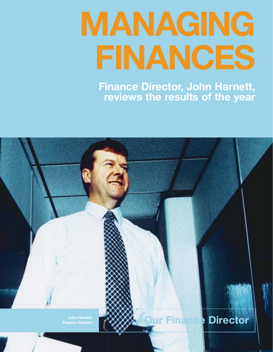# **MANAGING FINANCES**

**Finance Director, John Harnett, reviews the results of the year**

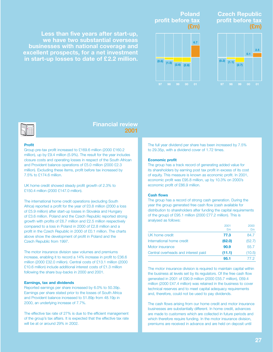**Less than five years after start-up, we have two substantial overseas businesses with national coverage and excellent prospects, for a net investment in start-up losses to date of £2.2 million.**

### **Poland profit before tax (£m)**



## **Czech Republic profit before tax (£m)**





### **Financial review 2001**

#### **Profit**

Group pre-tax profit increased to £169.6 million (2000 £160.2 million), up by £9.4 million (5.9%). The result for the year includes closure costs and operating losses in respect of the South African and Provident balance operations of £5.0 million (2000 £2.3 million). Excluding these items, profit before tax increased by 7.5% to £174.6 million.

UK home credit showed steady profit growth of 2.3% to £150.4 million (2000 £147.0 million).

The international home credit operations (excluding South Africa) reported a profit for the year of £0.8 million (2000 a loss of £5.9 million) after start-up losses in Slovakia and Hungary of £3.6 million. Poland and the Czech Republic reported strong growth with profits of £6.7 million and £2.5 million respectively compared to a loss in Poland in 2000 of £2.8 million and a profit in the Czech Republic in 2000 of £0.1 million. The charts above show the development of profit in Poland and the Czech Republic from 1997.

The motor insurance division saw volumes and premiums increase, enabling it to record a 14% increase in profit to £36.6 million (2000 £32.0 million). Central costs of £13.1 million (2000 £10.6 million) include additional interest costs of £1.3 million following the share buy-backs in 2000 and 2001.

#### **Earnings, tax and dividends**

Reported earnings per share increased by 6.0% to 50.39p. Earnings per share stated prior to the losses of South Africa and Provident balance increased to 51.89p from 48.19p in 2000, an underlying increase of 7.7%.

The effective tax rate of 27% is due to the efficient management of the group's tax affairs. It is expected that the effective tax rate will be at or around 29% in 2002.

The full year dividend per share has been increased by 7.5% to 29.35p, with a dividend cover of 1.72 times.

#### **Economic profit**

The group has a track record of generating added value for its shareholders by earning post tax profit in excess of its cost of equity. This measure is known as economic profit. In 2001, economic profit was £95.8 million, up by 10.3% on 2000's economic profit of £86.9 million.

#### **Cash flows**

The group has a record of strong cash generation. During the year the group generated free cash flow (cash available for distribution to shareholders after funding the capital requirements of the group) of £95.1 million (2000 £77.2 million). This is analysed as follows:

|                                     | 2001   | 2000   |
|-------------------------------------|--------|--------|
|                                     | £m     | £m     |
| UK home credit                      | 77.3   | 84.7   |
| International home credit           | (62.0) | (52.7) |
| Motor insurance                     | 90.9   | 55.7   |
| Central overheads and interest paid | (11.1) | (10.5) |
|                                     | 95.1   | 77 2   |

The motor insurance division is required to maintain capital within the business at levels set by its regulators. Of the free cash flow generated in 2001 of £90.9 million (2000 £55.7 million), £69.4 million (2000 £47.4 million) was retained in the business to cover technical reserves and to meet capital adequacy requirements and, therefore, could not be used to pay dividends.

The cash flows arising from our home credit and motor insurance businesses are substantially different. In home credit, advances are made to customers which are collected in future periods and which therefore require funding. In the motor insurance division, premiums are received in advance and are held on deposit until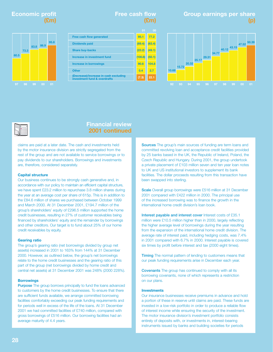# **Economic profit (£m)**



# **Free cash flow (£m)**



# **Group earnings per share (p)**





## **Financial review 2001 continued**

claims are paid at a later date. The cash and investments held by the motor insurance division are strictly segregated from the rest of the group and are not available to service borrowings or to pay dividends to our shareholders. Borrowings and investments are, therefore, considered separately.

#### **Capital structure**

Our business continues to be strongly cash generative and, in accordance with our policy to maintain an efficient capital structure, we have spent £23.2 million to repurchase 3.8 million shares during the year at an average cost per share of 615p. This is in addition to the £84.6 million of shares we purchased between October 1999 and March 2000. At 31 December 2001, £194.7 million of the group's shareholders' equity of £296.5 million supported the home credit businesses, resulting in 27% of customer receivables being financed by shareholders' equity and the remainder by borrowings and other creditors. Our target is to fund about 25% of our home credit receivables by equity.

#### **Gearing ratio**

The group's gearing ratio (net borrowings divided by group net assets) increased in 2001 to 163% from 144% at 31 December 2000. However, as outlined below, the group's net borrowings relate to the home credit businesses and the gearing ratio of this part of the group (net borrowings divided by home credit and central net assets) at 31 December 2001 was 248% (2000 228%).

#### **Borrowings**

**Purpose** The group borrows principally to fund the loans advanced to customers by the home credit businesses. To ensure that there are sufficient funds available, we arrange committed borrowing facilities comfortably exceeding our peak funding requirements and for periods well in excess of the life of the loans. At 31 December 2001 we had committed facilities of £740 million, compared with gross borrowings of £516 million. Our borrowing facilities had an average maturity of 4.4 years.

**Sources** The group's main sources of funding are term loans and committed revolving loan and acceptance credit facilities provided by 25 banks based in the UK, the Republic of Ireland, Poland, the Czech Republic and Hungary. During 2001, the group undertook a private placement of £103 million seven and ten year loan notes to UK and US institutional investors to supplement its bank facilities. The dollar proceeds resulting from this transaction have been swapped into sterling.

**Scale** Overall group borrowings were £516 million at 31 December 2001 compared with £422 million in 2000. The principal use of the increased borrowing was to finance the growth in the international home credit division's loan book.

**Interest payable and interest cover** Interest costs of £35.1 million were £10.5 million higher than in 2000, largely reflecting the higher average level of borrowings during the year resulting from the expansion of the international home credit division. The average rate of interest paid, including hedging costs, was 7.4% in 2001 compared with 6.7% in 2000. Interest payable is covered six times by profit before interest and tax (2000 eight times).

**Timing** The normal pattern of lending to customers means that our peak funding requirements arise in December each year.

**Covenants** The group has continued to comply with all its borrowing covenants, none of which represents a restriction on our plans.

#### **Investments**

Our insurance businesses receive premiums in advance and hold a portion of these in reserve until claims are paid. These funds are invested in a low-risk portfolio in order to produce a reliable flow of interest income while ensuring the security of the investment. The motor insurance division's investment portfolio consists entirely of deposits with, or investments in, interest-bearing instruments issued by banks and building societies for periods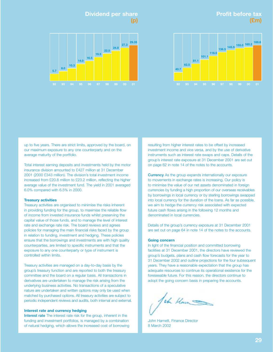# **Profit before tax (£m)**

# **Dividend per share (p)**





up to five years. There are strict limits, approved by the board, on our maximum exposure to any one counterparty and on the average maturity of the portfolio.

Total interest earning deposits and investments held by the motor insurance division amounted to £427 million at 31 December 2001 (2000 £343 million). The division's total investment income increased from £20.8 million to £23.2 million, reflecting the higher average value of the investment fund. The yield in 2001 averaged 6.0% compared with 6.5% in 2000.

#### **Treasury activities**

Treasury activities are organised to minimise the risks inherent in providing funding for the group, to maximise the reliable flow of income from invested insurance funds whilst preserving the capital value of those funds, and to manage the level of interest rate and exchange rate risk. The board reviews and agrees policies for managing the main financial risks faced by the group in relation to funding, investment and hedging. These policies ensure that the borrowings and investments are with high quality counterparties, are limited to specific instruments and that the exposure to any one counterparty or type of instrument is controlled within limits.

Treasury activities are managed on a day-to-day basis by the group's treasury function and are reported to both the treasury committee and the board on a regular basis. All transactions in derivatives are undertaken to manage the risk arising from the underlying business activities. No transactions of a speculative nature are undertaken and written options may only be used when matched by purchased options. All treasury activities are subject to periodic independent reviews and audits, both internal and external.

#### **Interest rate and currency hedging**

**Interest rate** The interest rate risk for the group, inherent in the funding and investment portfolios, is managed by a combination of natural hedging, which allows the increased cost of borrowing resulting from higher interest rates to be offset by increased investment income and vice versa, and by the use of derivative instruments such as interest rate swaps and caps. Details of the group's interest rate exposure at 31 December 2001 are set out on page 62 in note 14 of the notes to the accounts.

**Currency** As the group expands internationally our exposure to movements in exchange rates is increasing. Our policy is to minimise the value of our net assets denominated in foreign currencies by funding a high proportion of our overseas receivables by borrowings in local currency or by sterling borrowings swapped into local currency for the duration of the loans. As far as possible, we aim to hedge the currency risk associated with expected future cash flows arising in the following 12 months and denominated in local currencies.

Details of the group's currency exposure at 31 December 2001 are set out on page 64 in note 14 of the notes to the accounts.

#### **Going concern**

In light of the financial position and committed borrowing facilities at 31 December 2001, the directors have reviewed the group's budgets, plans and cash flow forecasts for the year to 31 December 2002 and outline projections for the four subsequent years. They have a reasonable expectation that the group has adequate resources to continue its operational existence for the foreseeable future. For this reason, the directors continue to adopt the going concern basis in preparing the accounts.

Jehn Ham

John Harnett, Finance Director 8 March 2002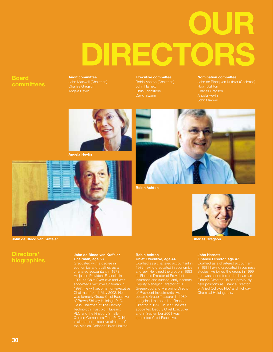# **OUR DIRECTORS**

# **Board committees**

**Audit committee** Charles Gregson Angela Heylin

**Executive committee** David Swann

#### **Nomination committee**

Charles Gregson Angela Heylin



**Angela Heylin**



**John de Blocq van Kuffeler Charles Gregson**

# **Directors' biographies**

#### **John de Blocq van Kuffeler Chairman, age 53**

economics and qualified as a chartered accountant in 1973. He joined Provident Financial in appointed Executive Chairman in 1997. He will become non-executive was formerly Group Chief Executive He is Chairman of The Fleming Technology Trust plc, Huveaux PLC and the Finsbury Smaller the Medical Defence Union Limited.

#### **Robin Ashton Chief Executive, age 44**

1982 having graduated in economics and law. He joined the group in 1983 as Finance Director of Provident Deputy Managing Director of H T Greenwood and Managing Director became Group Treasurer in 1989 Director in 1993. In 1999 he was appointed Deputy Chief Executive and in September 2001 was



**Robin Ashton**



#### **John Harnett Finance Director, age 47**

in 1981 having graduated in business studies. He joined the group in 1999 and was appointed to the board as held positions as Finance Director of Allied Colloids PLC and Holliday Chemical Holdings plc.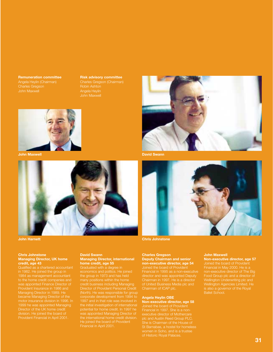**Remuneration committee** Angela Heylin (Chairman) Charles Gregson John Maxwell

#### **Risk advisory committee**

Charles Gregson (Chairman) Robin Ashton Angela Heylin John Maxwell





#### **Chris Johnstone Managing Director, UK home credit, age 43**

Qualified as a chartered accountant in 1982. He joined the group in 1984 as management accountant was appointed Finance Director of Provident Insurance in 1986 and Managing Director in 1989. He became Managing Director of the 1999 he was appointed Managing Director of the UK home credit division. He joined the board of

#### **David Swann Managing Director, international home credit, age 55**

Graduated with a degree in economics and politics. He joined the group in 1973 and has held credit business including Managing Director of Provident Personal Credit (North). He was responsible for group corporate development from 1994 to the initial investigation of international potential for home credit. In 1997 he was appointed Managing Director of He joined the board of Provident Financial in April 2001.





#### **Charles Gregson Deputy Chairman and senior non-executive director, age 54**

Joined the board of Provident Financial in 1995 as a non-executive director and was appointed Deputy of United Business Media plc and Chairman of ICAP plc.

#### **Angela Heylin OBE Non-executive director, age 58**

executive director of Mothercare She is Chairman of the House of

#### **John Maxwell**

**Non-executive director, age 57** Financial in May 2000. He is a non-executive director of The Big Wellington Underwriting plc and Wellington Agencies Limited. He Ballet School.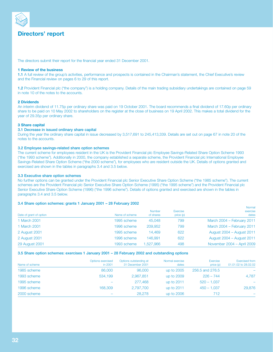

# **Directors' report**

The directors submit their report for the financial year ended 31 December 2001.

#### **1 Review of the business**

**1.1** A full review of the group's activities, performance and prospects is contained in the Chairman's statement, the Chief Executive's review and the Financial review on pages 6 to 29 of this report.

**1.2** Provident Financial plc ("the company") is a holding company. Details of the main trading subsidiary undertakings are contained on page 59 in note 10 of the notes to the accounts.

#### **2 Dividends**

An interim dividend of 11.75p per ordinary share was paid on 19 October 2001. The board recommends a final dividend of 17.60p per ordinary share to be paid on 10 May 2002 to shareholders on the register at the close of business on 19 April 2002. This makes a total dividend for the year of 29.35p per ordinary share.

#### **3 Share capital**

#### **3.1 Decrease in issued ordinary share capital**

During the year the ordinary share capital in issue decreased by 3,517,691 to 245,413,339. Details are set out on page 67 in note 20 of the notes to the accounts.

#### **3.2 Employee savings-related share option schemes**

The current scheme for employees resident in the UK is the Provident Financial plc Employee Savings-Related Share Option Scheme 1993 ("the 1993 scheme"). Additionally in 2000, the company established a separate scheme, the Provident Financial plc International Employee Savings-Related Share Option Scheme ("the 2000 scheme"), for employees who are resident outside the UK. Details of options granted and exercised are shown in the tables in paragraphs 3.4 and 3.5 below.

#### **3.3 Executive share option schemes**

No further options can be granted under the Provident Financial plc Senior Executive Share Option Scheme ("the 1985 scheme"). The current schemes are the Provident Financial plc Senior Executive Share Option Scheme (1995) ("the 1995 scheme") and the Provident Financial plc Senior Executive Share Option Scheme (1996) ("the 1996 scheme"). Details of options granted and exercised are shown in the tables in paragraphs 3.4 and 3.5 below.

#### **3.4 Share option schemes: grants 1 January 2001 – 28 February 2002**

|                         |                |               |           | Normal                     |
|-------------------------|----------------|---------------|-----------|----------------------------|
|                         |                | <b>Number</b> | Exercise  | exercise                   |
| Date of grant of option | Name of scheme | of shares     | price (p) | dates                      |
| 1 March 2001            | 1995 scheme    | 45,048        | 799       | March 2004 - February 2011 |
| 1 March 2001            | 1996 scheme    | 209,952       | 799       | March 2004 - February 2011 |
| 2 August 2001           | 1995 scheme    | 14.469        | 622       | August 2004 - August 2011  |
| 2 August 2001           | 1996 scheme    | 146.991       | 622       | August 2004 - August 2011  |
| 29 August 2001          | 1993 scheme    | .527.966      | 498       | November 2004 - April 2009 |

#### **3.5 Share option schemes: exercises 1 January 2001 – 28 February 2002 and outstanding options**

| Name of scheme | Options exercised<br>in 2001 | Options outstanding at<br>31 December 2001 | Normal exercise<br>dates | Exercise<br>price (p) | <b>Exercised from</b><br>01.01.02 to 28.02.02 |
|----------------|------------------------------|--------------------------------------------|--------------------------|-----------------------|-----------------------------------------------|
| 1985 scheme    | 86,000                       | 96,000                                     | up to 2005               | 256.5 and 276.5       |                                               |
| 1993 scheme    | 534.199                      | 2,967,851                                  | up to 2009               | $226 - 744$           | 4,787                                         |
| 1995 scheme    |                              | 277,468                                    | up to 2011               | $520 - 1.037$         | $\overline{\phantom{m}}$                      |
| 1996 scheme    | 168,309                      | 2,797,700                                  | up to 2011               | $450 - 1.037$         | 29,876                                        |
| 2000 scheme    |                              | 28,278                                     | up to 2006               | 712                   | $\overline{\phantom{0}}$                      |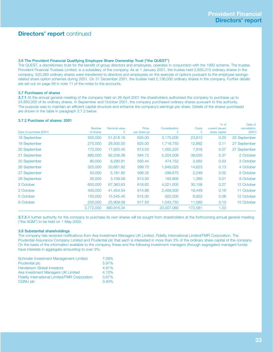# **Directors' report** continued

#### **3.6 The Provident Financial Qualifying Employee Share Ownership Trust ("the QUEST")**

The QUEST, a discretionary trust for the benefit of group directors and employees, operates in conjunction with the 1993 scheme. The trustee, Provident Financial Trustees Limited, is a subsidiary of the company. As at 1 January 2001, the trustee held 2,656,310 ordinary shares in the company. 520,280 ordinary shares were transferred to directors and employees on the exercise of options pursuant to the employee savingsrelated share option schemes during 2001. On 31 December 2001, the trustee held 2,136,030 ordinary shares in the company. Further details are set out on page 59 in note 11 of the notes to the accounts.

#### **3.7 Purchases of shares**

**3.7.1** At the annual general meeting of the company held on 26 April 2001 the shareholders authorised the company to purchase up to 24,850,000 of its ordinary shares. In September and October 2001, the company purchased ordinary shares pursuant to this authority. The purpose was to maintain an efficient capital structure and enhance the company's earnings per share. Details of the shares purchased are shown in the table in paragraph 3.7.2 below.

#### **3.7.2 Purchase of shares: 2001**

| Date of purchase (2001) | <b>Number</b><br>of shares | Nominal value<br>£ | Price<br>per share (p) | Consideration | Costs<br>£ | $%$ of<br>current issued<br>share capital | Date of<br>cancellation<br>(2001) |
|-------------------------|----------------------------|--------------------|------------------------|---------------|------------|-------------------------------------------|-----------------------------------|
| 18 September            | 500,000                    | 51,818.18          | 635.00                 | 3,175,000     | 23,813     | 0.20                                      | 25 September                      |
| 19 September            | 275,000                    | 28,500.00          | 625.00                 | 1,718,750     | 12,892     | 0.11                                      | 27 September                      |
| 20 September            | 172,000                    | 17,825.45          | 613.50                 | 1,055,220     | 7,918      | 0.07                                      | 27 September                      |
| 21 September            | 890,000                    | 92,236.36          | 584.72                 | 5,204,008     | 39,035     | 0.37                                      | 2 October                         |
| 25 September            | 80,000                     | 8,290.91           | 593.44                 | 474,752       | 3,562      | 0.03                                      | 3 October                         |
| 26 September            | 325,000                    | 33,681.82          | 599.70                 | 1,949,025     | 14,623     | 0.13                                      | 4 October                         |
| 27 September            | 50,000                     | 5,181.82           | 599.35                 | 299,675       | 2,249      | 0.02                                      | 5 October                         |
| 28 September            | 30,000                     | 3,109.09           | 613.00                 | 183,900       | 1,380      | 0.01                                      | 9 October                         |
| 2 October               | 650,000                    | 67,363.63          | 618.62                 | 4,021,000     | 30,158     | 0.27                                      | 12 October                        |
| 3 October               | 400,000                    | 41,454.54          | 614.88                 | 2,459,500     | 18,449     | 0.16                                      | 11 October                        |
| 5 October               | 150,000                    | 15,545.45          | 615.00                 | 922,500       | 6,922      | 0.06                                      | 12 October                        |
| 8 October               | 250,000                    | 25,909.09          | 617.50                 | 1,543,750     | 11,580     | 0.10                                      | 15 October                        |
|                         | 3,772,000                  | 390,916.34         |                        | 23,007,080    | 172,581    | 1.53                                      |                                   |

**3.7.3** A further authority for the company to purchase its own shares will be sought from shareholders at the forthcoming annual general meeting ("the AGM") to be held on 1 May 2002.

#### **3.8 Substantial shareholdings**

The company has received notifications from Axa Investment Managers UK Limited, Fidelity International Limited/FMR Corporation, The Prudential Assurance Company Limited and Prudential plc that each is interested in more than 3% of the ordinary share capital of the company. On the basis of the information available to the company, these and the following investment managers (through segregated managed funds) have interests in aggregate amounting to over 3%:

| Schroder Investment Management Limited                | 7.09% |
|-------------------------------------------------------|-------|
| <b>Prudential plc</b>                                 | 5.97% |
| <b>Henderson Global Investors</b>                     | 4.91% |
| Axa Investment Managers UK Limited                    | 4.10% |
| <b>Fidelity International Limited/FMR Corporation</b> | 3.67% |
| CGNU plc                                              | 3.40% |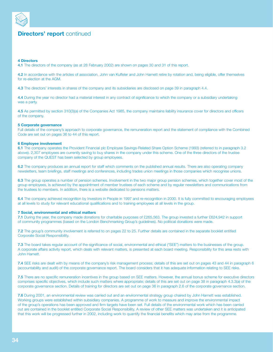

# **Directors' report** continued

#### **4 Directors**

**4.1** The directors of the company (as at 28 February 2002) are shown on pages 30 and 31 of this report.

**4.2** In accordance with the articles of association, John van Kuffeler and John Harnett retire by rotation and, being eligible, offer themselves for re-election at the AGM.

**4.3** The directors' interests in shares of the company and its subsidiaries are disclosed on page 39 in paragraph 4.4.

**4.4** During the year no director had a material interest in any contract of significance to which the company or a subsidiary undertaking was a party.

**4.5** As permitted by section 310(3)(a) of the Companies Act 1985, the company maintains liability insurance cover for directors and officers of the company.

#### **5 Corporate governance**

Full details of the company's approach to corporate governance, the remuneration report and the statement of compliance with the Combined Code are set out on pages 36 to 44 of this report.

#### **6 Employee involvement**

**6.1** The company operates the Provident Financial plc Employee Savings-Related Share Option Scheme (1993) (referred to in paragraph 3.2 above). 2,307 employees are currently saving to buy shares in the company under this scheme. One of the three directors of the trustee company of the QUEST has been selected by group employees.

**6.2** The company produces an annual report for staff which comments on the published annual results. There are also operating company newsletters, team briefings, staff meetings and conferences, including trades union meetings in those companies which recognise unions.

**6.3** The group operates a number of pension schemes. Involvement in the two major group pension schemes, which together cover most of the group employees, is achieved by the appointment of member trustees of each scheme and by regular newsletters and communications from the trustees to members. In addition, there is a website dedicated to pensions matters.

**6.4** The company achieved recognition by Investors in People in 1997 and re-recognition in 2000. It is fully committed to encouraging employees at all levels to study for relevant educational qualifications and to training employees at all levels in the group.

#### **7 Social, environmental and ethical matters**

**7.1** During the year, the company made donations for charitable purposes of £265,563. The group invested a further £624,942 in support of community programmes (based on the London Benchmarking Group's guidelines). No political donations were made.

**7.2** The group's community involvement is referred to on pages 22 to 25. Further details are contained in the separate booklet entitled Corporate Social Responsibility.

**7.3** The board takes regular account of the significance of social, environmental and ethical ("SEE") matters to the businesses of the group. A corporate affairs activity report, which deals with relevant matters, is presented at each board meeting. Responsibility for this area rests with John Harnett.

**7.4** SEE risks are dealt with by means of the company's risk management process; details of this are set out on pages 43 and 44 in paragraph 6 (accountability and audit) of the corporate governance report. The board considers that it has adequate information relating to SEE risks.

**7.5** There are no specific remuneration incentives in the group based on SEE matters. However, the annual bonus scheme for executive directors comprises specific objectives, which include such matters where appropriate; details of this are set out on page 38 in paragraph 4.3.3(a) of the corporate governance section. Details of training for directors are set out on page 36 in paragraph 2.6 of the corporate governance section.

**7.6** During 2001, an environmental review was carried out and an environmental strategy group chaired by John Harnett was established. Working groups were established within subsidiary companies. A programme of work to measure and improve the environmental impact of the group's operations has been approved and firm targets have been set. Full details of the environmental work which has been carried out are contained in the booklet entitled Corporate Social Responsibility. A review of other SEE matters was undertaken and it is anticipated that this work will be progressed further in 2002, including work to quantify the financial benefits which may arise from the programme.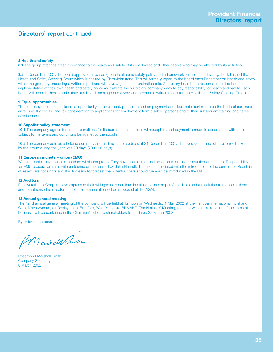# **Directors' report** continued

#### **8 Health and safety**

8.1 The group attaches great importance to the health and safety of its employees and other people who may be affected by its activities.

**8.2** In December 2001, the board approved a revised group health and safety policy and a framework for health and safety. It established the Health and Safety Steering Group which is chaired by Chris Johnstone. This will formally report to the board each December on health and safety within the group by producing a written report and will have a general co-ordination role. Subsidiary boards are responsible for the issue and implementation of their own health and safety policy as it affects the subsidiary company's day to day responsibility for health and safety. Each board will consider health and safety at a board meeting once a year and produce a written report for the Health and Safety Steering Group.

#### **9 Equal opportunities**

The company is committed to equal opportunity in recruitment, promotion and employment and does not discriminate on the basis of sex, race or religion. It gives full and fair consideration to applications for employment from disabled persons and to their subsequent training and career development.

#### **10 Supplier policy statement**

**10.1** The company agrees terms and conditions for its business transactions with suppliers and payment is made in accordance with these, subject to the terms and conditions being met by the supplier.

**10.2** The company acts as a holding company and had no trade creditors at 31 December 2001. The average number of days' credit taken by the group during the year was 20 days (2000 26 days).

#### **11 European monetary union (EMU)**

Working parties have been established within the group. They have considered the implications for the introduction of the euro. Responsibility for EMU preparation rests with a steering group chaired by John Harnett. The costs associated with the introduction of the euro in the Republic of Ireland are not significant. It is too early to forecast the potential costs should the euro be introduced in the UK.

## **12 Auditors**

PricewaterhouseCoopers have expressed their willingness to continue in office as the company's auditors and a resolution to reappoint them and to authorise the directors to fix their remuneration will be proposed at the AGM.

## **13 Annual general meeting**

The 42nd annual general meeting of the company will be held at 12 noon on Wednesday 1 May 2002 at the Hanover International Hotel and Club, Mayo Avenue, off Rooley Lane, Bradford, West Yorkshire BD5 8HZ. The Notice of Meeting, together with an explanation of the items of business, will be contained in the Chairman's letter to shareholders to be dated 22 March 2002.

By order of the board

Mastellan

Rosamond Marshall Smith Company Secretary 8 March 2002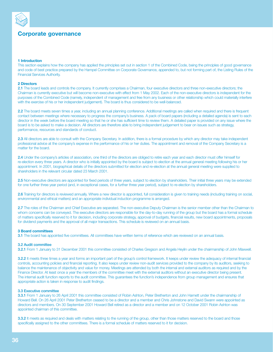

# **Corporate governance**

## **1 Introduction**

This section explains how the company has applied the principles set out in section 1 of the Combined Code, being the principles of good governance and code of best practice prepared by the Hampel Committee on Corporate Governance, appended to, but not forming part of, the Listing Rules of the Financial Services Authority.

## **2 Directors**

**2.1** The board leads and controls the company. It currently comprises a Chairman, four executive directors and three non-executive directors; the Chairman is currently executive but will become non-executive with effect from 1 May 2002. Each of the non-executive directors is independent for the purposes of the Combined Code (namely, independent of management and free from any business or other relationship which could materially interfere with the exercise of his or her independent judgement). The board is thus considered to be well-balanced.

**2.2** The board meets seven times a year, including an annual planning conference. Additional meetings are called when required and there is frequent contact between meetings where necessary to progress the company's business. A pack of board papers (including a detailed agenda) is sent to each director in the week before the board meeting so that he or she has sufficient time to review them. A detailed paper is provided on any issue where the board is to be asked to make a decision. All directors are therefore able to bring independent judgement to bear on issues such as strategy, performance, resources and standards of conduct.

**2.3** All directors are able to consult with the Company Secretary. In addition, there is a formal procedure by which any director may take independent professional advice at the company's expense in the performance of his or her duties. The appointment and removal of the Company Secretary is a matter for the board.

**2.4** Under the company's articles of association, one third of the directors are obliged to retire each year and each director must offer himself for re-election every three years. A director who is initially appointed by the board is subject to election at the annual general meeting following his or her appointment. In 2001, biographical details of the directors submitted for election and re-election at the annual general meeting were supplied to shareholders in the relevant circular dated 23 March 2001.

**2.5** Non-executive directors are appointed for fixed periods of three years, subject to election by shareholders. Their initial three years may be extended for one further three year period (and, in exceptional cases, for a further three year period), subject to re-election by shareholders.

**2.6** Training for directors is reviewed annually. Where a new director is appointed, full consideration is given to training needs (including training on social, environmental and ethical matters) and an appropriate individual induction programme is arranged.

**2.7** The roles of the Chairman and Chief Executive are separated. The non-executive Deputy Chairman is the senior member other than the Chairman to whom concerns can be conveyed. The executive directors are responsible for the day-to-day running of the group but the board has a formal schedule of matters specifically reserved to it for decision, including corporate strategy, approval of budgets, financial results, new board appointments, proposals for dividend payments and the approval of all major transactions. This schedule is reviewed on an annual basis.

## **3 Board committees**

**3.1** The board has appointed five committees. All committees have written terms of reference which are reviewed on an annual basis.

## **3.2 Audit committee**

**3.2.1** From 1 January to 31 December 2001 this committee consisted of Charles Gregson and Angela Heylin under the chairmanship of John Maxwell.

**3.2.2** It meets three times a year and forms an important part of the group's control framework. It keeps under review the adequacy of internal financial controls, accounting policies and financial reporting. It also keeps under review non-audit services provided to the company by its auditors, seeking to balance the maintenance of objectivity and value for money. Meetings are attended by both the internal and external auditors as required and by the Finance Director. At least once a year the members of the committee meet with the external auditors without an executive director being present. The internal audit function reports to the audit committee. This guarantees the function's independence from group management and ensures that appropriate action is taken in response to audit findings.

#### **3.3 Executive committee**

**3.3.1** From 1 January to 26 April 2001 this committee consisted of Robin Ashton, Peter Bretherton and John Harnett under the chairmanship of Howard Bell. On 26 April 2001 Peter Bretherton ceased to be a director and a member and Chris Johnstone and David Swann were appointed as directors and members. On 30 September 2001 Howard Bell retired as a director and a member and on 12 October 2001 Robin Ashton was appointed chairman of this committee.

**3.3.2** It meets as required and deals with matters relating to the running of the group, other than those matters reserved to the board and those specifically assigned to the other committees. There is a formal schedule of matters reserved to it for decision.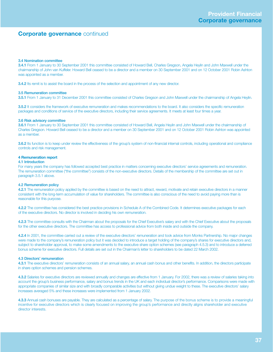#### **3.4 Nomination committee**

**3.4.1** From 1 January to 30 September 2001 this committee consisted of Howard Bell, Charles Gregson, Angela Heylin and John Maxwell under the chairmanship of John van Kuffeler. Howard Bell ceased to be a director and a member on 30 September 2001 and on 12 October 2001 Robin Ashton was appointed as a member.

**3.4.2** Its remit is to assist the board in the process of the selection and appointment of any new director.

#### **3.5 Remuneration committee**

**3.5.1** From 1 January to 31 December 2001 this committee consisted of Charles Gregson and John Maxwell under the chairmanship of Angela Heylin.

**3.5.2** It considers the framework of executive remuneration and makes recommendations to the board. It also considers the specific remuneration packages and conditions of service of the executive directors, including their service agreements. It meets at least four times a year.

#### **3.6 Risk advisory committee**

**3.6.1** From 1 January to 30 September 2001 this committee consisted of Howard Bell, Angela Heylin and John Maxwell under the chairmanship of Charles Gregson. Howard Bell ceased to be a director and a member on 30 September 2001 and on 12 October 2001 Robin Ashton was appointed as a member.

**3.6.2** Its function is to keep under review the effectiveness of the group's system of non-financial internal controls, including operational and compliance controls and risk management.

## **4 Remuneration report**

## **4.1 Introduction**

For many years the company has followed accepted best practice in matters concerning executive directors' service agreements and remuneration. The remuneration committee ("the committee") consists of the non-executive directors. Details of the membership of the committee are set out in paragraph 3.5.1 above.

## **4.2 Remuneration policy**

**4.2.1** The remuneration policy applied by the committee is based on the need to attract, reward, motivate and retain executive directors in a manner consistent with the long-term accumulation of value for shareholders. The committee is also conscious of the need to avoid paying more than is reasonable for this purpose.

**4.2.2** The committee has considered the best practice provisions in Schedule A of the Combined Code. It determines executive packages for each of the executive directors. No director is involved in deciding his own remuneration.

**4.2.3** The committee consults with the Chairman about the proposals for the Chief Executive's salary and with the Chief Executive about the proposals for the other executive directors. The committee has access to professional advice from both inside and outside the company.

**4.2.4** In 2001, the committee carried out a review of the executive directors' remuneration and took advice from Monks Partnership. No major changes were made to the company's remuneration policy but it was decided to introduce a target holding of the company's shares for executive directors and, subject to shareholder approval, to make some amendments to the executive share option schemes (see paragraph 4.5.3) and to introduce a deferred bonus scheme for executive directors. Full details are set out in the Chairman's letter to shareholders to be dated 22 March 2002.

## **4.3 Directors' remuneration**

**4.3.1** The executive directors' remuneration consists of an annual salary, an annual cash bonus and other benefits. In addition, the directors participate in share option schemes and pension schemes.

**4.3.2** Salaries for executive directors are reviewed annually and changes are effective from 1 January. For 2002, there was a review of salaries taking into account the group's business performance, salary and bonus trends in the UK and each individual director's performance. Comparisons were made with appropriate companies of similar size and with broadly comparable activities but without giving undue weight to these. The executive directors' salary increases averaged 5% and these increases were implemented from 1 January 2002.

**4.3.3** Annual cash bonuses are payable. They are calculated as a percentage of salary. The purpose of the bonus scheme is to provide a meaningful incentive for executive directors which is clearly focused on improving the group's performance and directly aligns shareholder and executive director interests.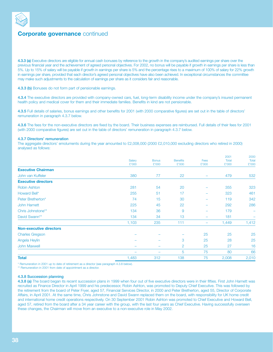

**4.3.3 (a)** Executive directors are eligible for annual cash bonuses by reference to the growth in the company's audited earnings per share over the previous financial year and the achievement of agreed personal objectives. For 2002, no bonus will be payable if growth in earnings per share is less than 5%. Up to 15% of salary will be payable if growth in earnings per share is 5% and the percentage rises to a maximum of 100% of salary for 22% growth in earnings per share, provided that each director's agreed personal objectives have also been achieved. In exceptional circumstances the committee may make such adjustments to the calculation of earnings per share as it considers fair and reasonable.

## **4.3.3 (b)** Bonuses do not form part of pensionable earnings.

**4.3.4** The executive directors are provided with company-owned cars, fuel, long-term disability income under the company's insured permanent health policy and medical cover for them and their immediate families. Benefits in kind are not pensionable.

**4.3.5** Full details of salaries, bonus earnings and other benefits for 2001 (with 2000 comparative figures) are set out in the table of directors' remuneration in paragraph 4.3.7 below.

**4.3.6** The fees for the non-executive directors are fixed by the board. Their business expenses are reimbursed. Full details of their fees for 2001 (with 2000 comparative figures) are set out in the table of directors' remuneration in paragraph 4.3.7 below.

#### **4.3.7 Directors' remuneration**

The aggregate directors' emoluments during the year amounted to £2,008,000 (2000 £2,010,000 excluding directors who retired in 2000) analysed as follows:

|                                |                          |                          |                 |                                | 2001  | 2000  |
|--------------------------------|--------------------------|--------------------------|-----------------|--------------------------------|-------|-------|
|                                | Salary                   | <b>Bonus</b>             | <b>Benefits</b> | Fees                           | Total | Total |
|                                | £'000                    | £'000                    | £'000           | £'000                          | £'000 | £'000 |
| <b>Executive Chairman</b>      |                          |                          |                 |                                |       |       |
| John van Kuffeler              | 380                      | 77                       | 22              | $\overline{\phantom{0}}$       | 479   | 532   |
| <b>Executive directors</b>     |                          |                          |                 |                                |       |       |
| <b>Robin Ashton</b>            | 281                      | 54                       | 20              | $\overline{\phantom{0}}$       | 355   | 323   |
| Howard Bell*                   | 255                      | 51                       | 17              | $\overline{\phantom{0}}$       | 323   | 461   |
| Peter Bretherton*              | 74                       | 15                       | 30              | ÷                              | 119   | 342   |
| <b>John Harnett</b>            | 225                      | 45                       | 22              | ÷                              | 292   | 286   |
| Chris Johnstone**              | 134                      | 36                       | 9               | $\equiv$                       | 179   |       |
| David Swann**                  | 134                      | 34                       | 13              | $\equiv$                       | 181   |       |
|                                | 1,103                    | 235                      | 111             | $\qquad \qquad \longleftarrow$ | 1,449 | 1,412 |
| <b>Non-executive directors</b> |                          |                          |                 |                                |       |       |
| <b>Charles Gregson</b>         |                          |                          |                 | 25                             | 25    | 25    |
| Angela Heylin                  |                          | $\overline{\phantom{0}}$ | 3               | 25                             | 28    | 25    |
| <b>John Maxwell</b>            |                          | $\overline{\phantom{0}}$ | 2               | 25                             | 27    | 16    |
|                                | $\overline{\phantom{0}}$ | $\overline{\phantom{m}}$ | 5               | 75                             | 80    | 66    |
| <b>Total</b>                   | 1,483                    | 312                      | 138             | 75                             | 2,008 | 2,010 |
|                                |                          |                          |                 |                                |       |       |

\* Remuneration in 2001 up to date of retirement as a director (see paragraph 4.3.8 below).

\*\* Remuneration in 2001 from date of appointment as a director.

#### **4.3.8 Succession planning**

**4.3.8 (a)** The board began its recent succession plans in 1999 when four out of five executive directors were in their fifties. First John Harnett was recruited as Finance Director in April 1999 and his predecessor, Robin Ashton, was promoted to Deputy Chief Executive. This was followed by the retirement from the board of Peter Fryer, aged 57, Financial Services Director, in 2000 and Peter Bretherton, aged 55, Director of Corporate Affairs, in April 2001. At the same time, Chris Johnstone and David Swann replaced them on the board, with responsibility for UK home credit and international home credit operations respectively. On 30 September 2001 Robin Ashton was promoted to Chief Executive and Howard Bell, aged 57, retired from the board after a 34 year career with the group, with the last four years as Chief Executive. Having successfully overseen these changes, the Chairman will move from an executive to a non-executive role in May 2002.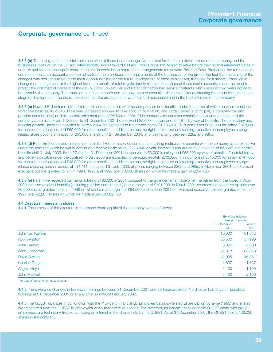**4.3.8 (b)** The timing and successful implementation of these board changes was critical for the future development of the company and its businesses, both within the UK and internationally. Both Howard Bell and Peter Bretherton agreed to retire before their normal retirement dates in order to facilitate the change in board structure. In considering appropriate arrangements for Howard Bell and Peter Bretherton, the remuneration committee took into account a number of factors; these included the requirements of the businesses of the group, the fact that the timing of the changes was designed to be at the most opportune time for the future development of these businesses, the need for a smooth transition in changes of management at the highest level, the benefit of retaining the facility to use the services of these senior executives and the need to protect the commercial interests of the group. Both Howard Bell and Peter Bretherton had service contracts which required two years notice to be given by the company. The transition has been smooth and the new team of executive directors is already steering the group through its next stage of development. The board considers that the arrangements were fair and reasonable and in the best interests of the company.

**4.3.8 (c)** Howard Bell entered into a fixed term service contract with the company as an executive under the terms of which he would continue to receive basic salary (£340,000 a year, increased annually to take account of inflation) and certain benefits (principally a company car and pension contributions) until his normal retirement date of 28 March 2004. This contract also contains restrictive covenants to safeguard the company's interests. From 1 October to 31 December 2001 he received £85,000 in salary and £41,811 by way of benefits. The total salary and benefits payable under the contract to March 2004 are expected to be approximately £1,286,000. This comprises £858,000 for salary, £378,000 for pension contributions and £50,000 for other benefits. In addition he has the right to exercise outstanding executive and employee savingsrelated share options in respect of 250,660 shares until 27 September 2004, at prices ranging between 226p and 985p.

**4.3.8 (d)** Peter Bretherton also entered into a similar fixed term service contract (containing restrictive covenants) with the company as an executive under the terms of which he would continue to receive basic salary (£226,840 a year, increased annually to take account of inflation) and certain benefits until 31 July 2003. From 27 April to 31 December 2001 he received £153,000 in salary and £55,000 by way of benefits. The total salary and benefits payable under the contract to July 2003 are expected to be approximately £705,000. This comprises £515,000 for salary, £147,000 for pension contributions and £43,000 for other benefits. In addition he has the right to exercise outstanding executive and employee savingsrelated share options in respect of 114,411 shares until 31 July 2003, at prices ranging between 226p and 985p. In November 2001 he exercised executive options granted to him in 1994, 1995 and 1996 over 70,000 shares on which he made a gain of £234,400.

**4.3.8 (e)** Peter Fryer received payments totalling £196,000 in 2001 pursuant to the arrangements made when he retired from the board in April 2000. He also received benefits (including pension contributions) during the year of £101,000. In March 2001 he exercised executive options over 30,000 shares granted to him in 1996 on which he made a gain of £94,500 and in June 2001 he exercised executive options granted to him in 1997 over 42,287 shares on which he made a gain of £62,796.

## **4.4 Directors' interests in shares**

**4.4.1** The interests of the directors in the issued share capital of the company were as follows:

|                        |                     | <b>Beneficial holdings</b><br>Number of shares |  |  |
|------------------------|---------------------|------------------------------------------------|--|--|
|                        | 31 December<br>2001 | 1 January<br>2001                              |  |  |
| John van Kuffeler      | 10,000              | 181,542                                        |  |  |
| <b>Robin Ashton</b>    | 58,500              | 57,996                                         |  |  |
| John Harnett           | 8,000               | 8,000                                          |  |  |
| <b>Chris Johnstone</b> | 92,318              | 88,818*                                        |  |  |
| David Swann            | 47,035              | 46,961*                                        |  |  |
| <b>Charles Gregson</b> | 1,837               | 1,837                                          |  |  |
| Angela Heylin          | 1,100               | 1,100                                          |  |  |
| John Maxwell           | 2,100               | 2,100                                          |  |  |

\* At date of appointment as a director.

**4.4.2** There were no changes in beneficial holdings between 31 December 2001 and 28 February 2002. No director had any non-beneficial holdings at 31 December 2001 or at any time up until 28 February 2002.

**4.4.3** The QUEST operates in conjunction with the Provident Financial plc Employee Savings-Related Share Option Scheme (1993) and shares are transferred from the QUEST to employees when they exercise options. The directors, as beneficiaries under the QUEST along with group employees, are technically treated as having an interest in the shares held by the QUEST. As at 31 December 2001, the QUEST held 2,136,030 shares in the company.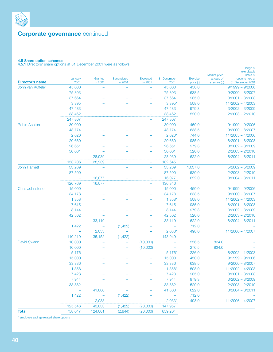

## **4.5 Share option schemes**

**4.5.1** Directors' share options at 31 December 2001 were as follows:

|                        |                   |                    |                          |                             |                     |                              | exercisable<br>dates of<br>Market price                           |
|------------------------|-------------------|--------------------|--------------------------|-----------------------------|---------------------|------------------------------|-------------------------------------------------------------------|
| <b>Director's name</b> | 1 January<br>2001 | Granted<br>in 2001 | Surrendered<br>in 2001   | <b>Exercised</b><br>in 2001 | 31 December<br>2001 | <b>Exercise</b><br>price (p) | at date of<br>options held at<br>31 December 2001<br>exercise (p) |
| John van Kuffeler      | 45,000            | -                  |                          | ÷,                          | 45,000              | 450.0                        | $9/1999 - 9/2006$                                                 |
|                        | 75,803            |                    |                          |                             | 75,803              | 638.5                        | $9/2000 - 8/2007$                                                 |
|                        | 37,664            |                    |                          |                             | 37,664              | 985.0                        | $8/2001 - 8/2008$                                                 |
|                        | 3,395             |                    |                          |                             | $3,395*$            | 508.0                        | $11/2002 - 4/2003$                                                |
|                        | 47,483            |                    |                          |                             | 47,483              | 979.3                        | $3/2002 - 3/2009$                                                 |
|                        | 38,462            |                    |                          | -                           | 38,462              | 520.0                        | $2/2003 - 2/2010$                                                 |
|                        | 247,807           |                    |                          | -                           | 247,807             |                              |                                                                   |
| Robin Ashton           | 30,000            | $\equiv$           |                          | ÷,                          | 30,000              | 450.0                        | $9/1999 - 9/2006$                                                 |
|                        | 43,774            |                    |                          |                             | 43,774              | 638.5                        | $9/2000 - 8/2007$                                                 |
|                        | 2,620             |                    |                          |                             | $2,620*$            | 744.0                        | $11/2005 - 4/2006$                                                |
|                        | 20,660            |                    |                          |                             | 20,660              | 985.0                        | $8/2001 - 8/2008$                                                 |
|                        | 26,651            |                    |                          | $\overline{\phantom{0}}$    | 26,651              | 979.3                        | $3/2002 - 3/2009$                                                 |
|                        | 30,001            |                    |                          |                             | 30,001              | 520.0                        | $2/2003 - 2/2010$                                                 |
|                        |                   | 28,939             |                          | -                           | 28,939              | 622.0                        | $8/2004 - 8/2011$                                                 |
|                        | 153,706           | 28,939             |                          | -                           | 182,645             |                              |                                                                   |
| <b>John Harnett</b>    | 33,269            |                    |                          | ÷,                          | 33,269              | 1,037.0                      | $5/2002 - 5/2009$                                                 |
|                        | 87,500            |                    |                          |                             | 87,500              | 520.0                        | $2/2003 - 2/2010$                                                 |
|                        |                   | 16,077             |                          | $\overline{\phantom{0}}$    | 16,077              | 622.0                        | $8/2004 - 8/2011$                                                 |
|                        | 120,769           | 16,077             |                          | -                           | 136,846             |                              |                                                                   |
| Chris Johnstone        | 15,000            |                    |                          |                             | 15,000              | 450.0                        | $9/1999 - 9/2006$                                                 |
|                        | 34,178            |                    |                          |                             | 34,178              | 638.5                        | $9/2000 - 8/2007$                                                 |
|                        | 1,358             |                    |                          |                             | $1,358*$            | 508.0                        | $11/2002 - 4/2003$                                                |
|                        | 7,615             |                    |                          |                             | 7,615               | 985.0                        | $8/2001 - 8/2008$                                                 |
|                        | 8,144             |                    |                          |                             | 8,144               | 979.3                        | $3/2002 - 3/2009$                                                 |
|                        | 42,502            |                    |                          |                             | 42,502              | 520.0                        | $2/2003 - 2/2010$                                                 |
|                        |                   | 33,119             |                          |                             | 33,119              | 622.0                        | $8/2004 - 8/2011$                                                 |
|                        | 1,422             |                    | (1, 422)                 |                             |                     | 712.0                        |                                                                   |
|                        |                   | 2,033              |                          |                             | $2,033*$            | 498.0                        | $11/2006 - 4/2007$                                                |
|                        | 110,219           | 35,152             | (1, 422)                 | -                           | 143,949             |                              |                                                                   |
| David Swann            | 10,000            |                    | $\overline{\phantom{0}}$ | (10,000)                    | ÷,                  | 256.5                        | 824.0                                                             |
|                        | 10,000            |                    |                          | (10,000)                    |                     | 276.5                        | 824.0                                                             |
|                        | 5,176             |                    |                          |                             | $5,176*$            | 226.0                        | $8/2002 - 1/2003$                                                 |
|                        | 15,000            |                    |                          |                             | 15,000              | 450.0                        | $9/1999 - 9/2006$                                                 |
|                        | 33,336            |                    |                          |                             | 33,336              | 638.5                        | $9/2000 - 8/2007$                                                 |
|                        | 1,358             |                    |                          |                             | $1,358*$            | 508.0                        | $11/2002 - 4/2003$                                                |
|                        | 7,428             |                    |                          |                             | 7,428               | 985.0                        | $8/2001 - 8/2008$                                                 |
|                        | 7,944             |                    |                          |                             | 7,944               | 979.3                        | $3/2002 - 3/2009$                                                 |
|                        | 33,882            |                    |                          |                             | 33,882              | 520.0                        | $2/2003 - 2/2010$                                                 |
|                        | $\qquad \qquad -$ | 41,800             |                          |                             | 41,800              | 622.0                        | $8/2004 - 8/2011$                                                 |
|                        | 1,422             | $\rightarrow$      | (1, 422)                 |                             | $\rightarrow$       | 712.0                        |                                                                   |
|                        |                   | 2,033              |                          |                             | $2,033*$            | 498.0                        | $11/2006 - 4/2007$                                                |
|                        | 125,546           | 43,833             | (1, 422)                 | (20,000)                    | 147,957             |                              |                                                                   |
| <b>Total</b>           | 758,047           | 124,001            | (2,844)                  | (20,000)                    | 859,204             |                              |                                                                   |
|                        |                   |                    |                          |                             |                     |                              |                                                                   |

Range of

\* employee savings-related share options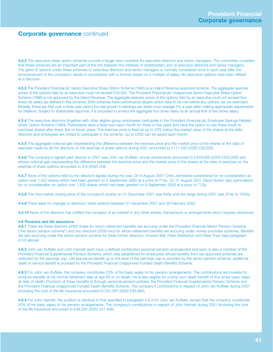**4.5.2** The executive share option schemes provide a longer term incentive for executive directors and senior managers. The committee considers that these schemes are an important part of the link between the interests of shareholders and of executive directors and senior managers. The grant of options under these schemes to executive directors and senior managers is normally considered once in each year after the announcement of the company's results in accordance with a formula based on a multiple of salary. No executive options have been offered at a discount.

**4.5.3** The Provident Financial plc Senior Executive Share Option Scheme (1995) is an Inland Revenue approved scheme. The aggregate exercise prices of the options held by an executive must not exceed £30,000. The Provident Financial plc Unapproved Senior Executive Share Option Scheme (1996) is not approved by the Inland Revenue. The aggregate exercise prices of the options held by an executive must not exceed four times his salary (as defined in this scheme). Both schemes have performance targets which have to be met before any options can be exercised. Broadly, these are that over a three year period the real growth in earnings per share must average 3% a year (after making appropriate adjustments for inflation). Subject to shareholder approval, it is proposed to amend the aggregate four times salary to an annual limit of two times salary.

**4.5.4** The executive directors (together with other eligible group employees) participate in the Provident Financial plc Employee Savings-Related Share Option Scheme (1993). Participants save a fixed sum each month for three or five years and have the option to use these funds to purchase shares after three, five or seven years. The exercise price is fixed at up to 20% below the market value of the shares at the date directors and employees are invited to participate in the scheme. Up to £250 can be saved each month.

**4.5.5** The aggregate notional gain (representing the difference between the exercise price and the market price of the shares at the date of exercise) made by all the directors on the exercise of share options during 2001 amounted to £111,500 (2000 £20,000).

**4.5.6** The company's highest paid director in 2001 was John van Kuffeler, whose emoluments amounted to £479,000 (2000 £532,000) and whose notional gain (representing the difference between the exercise price and the market price of the shares at the date of exercise) on the exercise of share options amounted to £nil (2000 £nil).

**4.5.7** None of the options held by the directors lapsed during the year. On 8 August 2001 Chris Johnstone surrendered for no consideration an option over 1,422 shares which had been granted on 5 September 2000 at a price of 712p. On 21 August 2001 David Swann also surrendered for no consideration an option over 1,422 shares which had been granted on 5 September 2000 at a price of 712p.

**4.5.8** The mid-market closing price of the company's shares on 31 December 2001 was 645p and the range during 2001 was 574p to 1055p.

**4.5.9** There were no changes in directors' share options between 31 December 2001 and 28 February 2002.

**4.5.10** None of the directors has notified the company of an interest in any other shares, transactions or arrangements which requires disclosure.

## **4.6 Pensions and life assurance**

**4.6.1** There are three directors (2000 three) for whom retirement benefits are accruing under the Provident Financial Senior Pension Scheme ("the senior pension scheme") and two directors (2000 two) for whom retirement benefits are accruing under money purchase schemes. Benefits are also accruing under the senior pension scheme for three former directors, Howard Bell, Peter Bretherton and Peter Fryer (see paragraph 4.3.8 above).

**4.6.2** John van Kuffeler and John Harnett each have a defined contribution personal pension arrangement and each is also a member of the Provident Financial Supplemental Pension Scheme, which was established for employees whose benefits from tax-approved schemes are restricted by the earnings cap. Life assurance benefit up to the level of the earnings cap is provided by the senior pension scheme; additional death in service benefit is provided by the Provident Financial Unapproved Funded Death Benefits Scheme.

**4.6.3** For John van Kuffeler, the company contributes 23% of his basic salary to his pension arrangements. The contributions are invested to produce benefits at his normal retirement date at age 60 or on death. He is also eligible for a lump sum death benefit of four times basic salary at date of death. Provision of these benefits is through personal pension policies, the Provident Financial Supplemental Pension Scheme and the Provident Financial Unapproved Funded Death Benefits Scheme. The company's contributions in respect of John van Kuffeler during 2001 (including the cost of the life insurance) amounted to £91,097 (2000 £90,964).

**4.6.4** For John Harnett, the position is identical to that specified in paragraph 4.6.3 for John van Kuffeler, except that the company contributes 20% of his basic salary to his pension arrangements. The company's contributions in respect of John Harnett during 2001 (including the cost of the life insurance) amounted to £49,254 (2000 £41,408).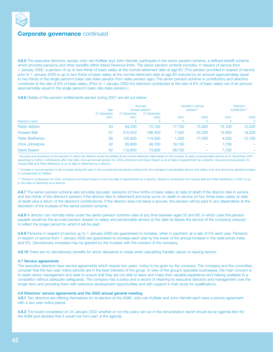

**4.6.5** The executive directors, except John van Kuffeler and John Harnett, participate in the senior pension scheme, a defined benefit scheme which provides pensions and other benefits within Inland Revenue limits. The senior pension scheme provides, in respect of service from 1 January 2000, a pension of up to two-thirds of basic salary at the normal retirement date at age 60. (The pension provided in respect of service prior to 1 January 2000 is up to two-thirds of basic salary at the normal retirement date at age 60 reduced by an amount approximately equal to two-thirds of the single person's basic rate state pension from state pension age.) The senior pension scheme is contributory and directors contribute at the rate of 6% of basic salary. (Prior to 1 January 2000 the directors contributed at the rate of 6% of basic salary net of an amount approximately equal to the single person's basic rate state pension.)

## **4.6.6** Details of the pension entitlements earned during 2001 are set out below:

|                        | Age                 |                     | Accrued<br>annual pension* |        | Increase in annual<br>pension** |        | Director's<br>contribution*** |  |
|------------------------|---------------------|---------------------|----------------------------|--------|---------------------------------|--------|-------------------------------|--|
| Director's name        | 31 December<br>2001 | 31 December<br>2001 | 31 December<br>2000        | 2001   | 2000                            | 2001   | 2000<br>$\mathbf{F}$          |  |
| <b>Robin Ashton</b>    | 43                  | 94,200              | 74,100                     | 17.700 | 15,900                          | 15,100 | 12,500                        |  |
| <b>Howard Bell</b>     | 57                  | 210,400             | 196,400                    | 7.500  | 35,200                          | 14,900 | 18,200                        |  |
| Peter Bretherton       | 56                  | 120,500             | 119,300                    | 1,200  | 17,400                          | 4,200  | 12,100                        |  |
| <b>Chris Johnstone</b> | 42                  | 65,800              | 46,700                     | 19,100 |                                 | 7,700  |                               |  |
| David Swann            | 54                  | 112,600             | 73,900                     | 38,700 |                                 | 7.700  |                               |  |

\* Accrued annual pension is the pension to which the director would be entitled at his normal retirement date based on the number of years of pensionable service at 31 December 2001, assuming no further contributions after that date. Accrued annual pension for Chris Johnstone and David Swann is as at date of appointment as a director. Accrued annual pension for Howard Bell and Peter Bretherton is as at date of retirement as a director.

\*\* Increase in annual pension is the increase during the year in the accrued annual pension arising from the changes in pensionable service and salary, over and above any general increase to compensate for inflation.

\*\*\* Director's contribution for Chris Johnstone and David Swann is from the date of appointment as a director. Director's contribution for Howard Bell and Peter Bretherton in 2001 is up to the date of retirement as a director.

**4.6.7** The senior pension scheme also provides spouses' pensions (of four-ninths of basic salary at date of death if the director dies in service and two-thirds of the director's pension if the director dies in retirement) and lump sums on death in service (of four times basic salary at date of death plus a return of the director's contributions). If the director does not leave a spouse, the pension will be paid to any dependants at the discretion of the trustees of the senior pension scheme.

**4.6.8** A director can normally retire under the senior pension scheme rules at any time between ages 50 and 60, in which case the pension payable would be the accrued pension (based on salary and pensionable service at the date he leaves the service of the company) reduced to reflect the longer period for which it will be paid.

**4.6.9** Pensions in respect of service up to 1 January 2000 are guaranteed to increase, when in payment, at a rate of 5% each year. Pensions in respect of service from 1 January 2000 are guaranteed to increase each year by the lower of the annual increase in the retail prices index and 5%. Discretionary increases may be granted by the trustees with the consent of the company.

**4.6.10** There are no discretionary benefits for which allowance is made when calculating transfer values on leaving service.

## **4.7 Service agreements**

The executive directors have service agreements which require two years' notice to be given by the company. The company and the committee consider that the two year notice periods are in the best interests of the group. In view of the group's specialist businesses, the main concern is to retain senior management and seek to ensure that they are not able to leave and make their valuable experience and training available to a competitor without adequate safeguards. The company has a policy and a record of retaining its executive directors and management over the longer term and providing them with extensive development opportunities and with support in their study for qualifications.

#### **4.8 Directors' service agreements and the 2002 annual general meeting**

**4.8.1** Two directors are offering themselves for re-election at the AGM. John van Kuffeler and John Harnett each have a service agreement with a two year notice period.

**4.8.2** The board considered on 24 January 2002 whether or not the policy set out in the remuneration report should be an agenda item for the AGM and decided that it would not form part of the agenda.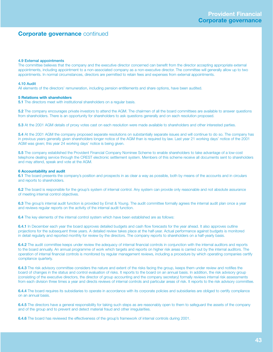## **4.9 External appointments**

The committee believes that the company and the executive director concerned can benefit from the director accepting appropriate external appointments, including appointment to a non-associated company as a non-executive director. The committee will generally allow up to two appointments. In normal circumstances, directors are permitted to retain fees and expenses from external appointments.

## **4.10 Audit**

All elements of the directors' remuneration, including pension entitlements and share options, have been audited.

## **5 Relations with shareholders**

**5.1** The directors meet with institutional shareholders on a regular basis.

**5.2** The company encourages private investors to attend the AGM. The chairmen of all the board committees are available to answer questions from shareholders. There is an opportunity for shareholders to ask questions generally and on each resolution proposed.

**5.3** At the 2001 AGM details of proxy votes cast on each resolution were made available to shareholders and other interested parties.

**5.4** At the 2001 AGM the company proposed separate resolutions on substantially separate issues and will continue to do so. The company has in previous years generally given shareholders longer notice of the AGM than is required by law. Last year 21 working days' notice of the 2001 AGM was given; this year 24 working days' notice is being given.

**5.5** The company established the Provident Financial Company Nominee Scheme to enable shareholders to take advantage of a low-cost telephone dealing service through the CREST electronic settlement system. Members of this scheme receive all documents sent to shareholders and may attend, speak and vote at the AGM.

#### **6 Accountability and audit**

**6.1** The board presents the company's position and prospects in as clear a way as possible, both by means of the accounts and in circulars and reports to shareholders.

**6.2** The board is responsible for the group's system of internal control. Any system can provide only reasonable and not absolute assurance of meeting internal control objectives.

**6.3** The group's internal audit function is provided by Ernst & Young. The audit committee formally agrees the internal audit plan once a year and reviews regular reports on the activity of the internal audit function.

**6.4** The key elements of the internal control system which have been established are as follows:

**6.4.1** In December each year the board approves detailed budgets and cash flow forecasts for the year ahead. It also approves outline projections for the subsequent three years. A detailed review takes place at the half-year. Actual performance against budgets is monitored in detail regularly and reported monthly for review by the directors. The company reports to shareholders on a half-yearly basis.

**6.4.2** The audit committee keeps under review the adequacy of internal financial controls in conjunction with the internal auditors and reports to the board annually. An annual programme of work which targets and reports on higher risk areas is carried out by the internal auditors. The operation of internal financial controls is monitored by regular management reviews, including a procedure by which operating companies certify compliance quarterly.

**6.4.3** The risk advisory committee considers the nature and extent of the risks facing the group, keeps them under review and notifies the board of changes in the status and control evaluation of risks. It reports to the board on an annual basis. In addition, the risk advisory group (consisting of the executive directors, the director of group accounting and the company secretary) formally reviews internal risk assessments from each division three times a year and directs reviews of internal controls and particular areas of risk. It reports to the risk advisory committee.

**6.4.4** The board requires its subsidiaries to operate in accordance with its corporate policies and subsidiaries are obliged to certify compliance on an annual basis.

**6.4.5** The directors have a general responsibility for taking such steps as are reasonably open to them to safeguard the assets of the company and of the group and to prevent and detect material fraud and other irregularities.

**6.4.6** The board has reviewed the effectiveness of the group's framework of internal controls during 2001.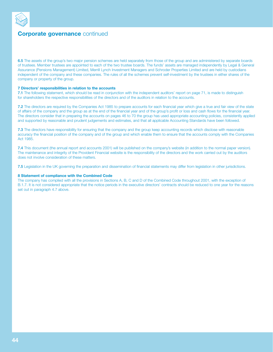

**6.5** The assets of the group's two major pension schemes are held separately from those of the group and are administered by separate boards of trustees. Member trustees are appointed to each of the two trustee boards. The funds' assets are managed independently by Legal & General Assurance (Pensions Management) Limited, Merrill Lynch Investment Managers and Schroder Properties Limited and are held by custodians independent of the company and these companies. The rules of all the schemes prevent self-investment by the trustees in either shares of the company or property of the group.

## **7 Directors' responsibilities in relation to the accounts**

**7.1** The following statement, which should be read in conjunction with the independent auditors' report on page 71, is made to distinguish for shareholders the respective responsibilities of the directors and of the auditors in relation to the accounts.

**7.2** The directors are required by the Companies Act 1985 to prepare accounts for each financial year which give a true and fair view of the state of affairs of the company and the group as at the end of the financial year and of the group's profit or loss and cash flows for the financial year. The directors consider that in preparing the accounts on pages 46 to 70 the group has used appropriate accounting policies, consistently applied and supported by reasonable and prudent judgements and estimates, and that all applicable Accounting Standards have been followed.

**7.3** The directors have responsibility for ensuring that the company and the group keep accounting records which disclose with reasonable accuracy the financial position of the company and of the group and which enable them to ensure that the accounts comply with the Companies Act 1985.

**7.4** This document (the annual report and accounts 2001) will be published on the company's website (in addition to the normal paper version). The maintenance and integrity of the Provident Financial website is the responsibility of the directors and the work carried out by the auditors does not involve consideration of these matters.

**7.5** Legislation in the UK governing the preparation and dissemination of financial statements may differ from legislation in other jurisdictions.

#### **8 Statement of compliance with the Combined Code**

The company has complied with all the provisions in Sections A, B, C and D of the Combined Code throughout 2001, with the exception of B.1.7. It is not considered appropriate that the notice periods in the executive directors' contracts should be reduced to one year for the reasons set out in paragraph 4.7 above.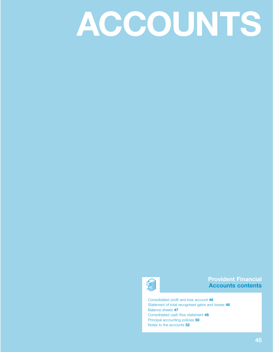# **ACCOUNTS**



# **Provident Financial Accounts contents**

Consolidated profit and loss account **46** Statement of total recognised gains and losses **46** Balance sheets **47** Consolidated cash flow statement **48** Principal accounting policies **50** Notes to the accounts **52**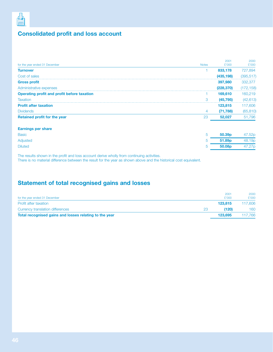

# **Consolidated profit and loss account**

| <b>Notes</b>   |                    |            |
|----------------|--------------------|------------|
|                | £'000              | £'000      |
|                | 833,178            | 727,894    |
|                | (435, 198)         | (395, 517) |
|                | 397,980            | 332,377    |
|                | (228, 370)         | (172, 158) |
|                | 169,610            | 160,219    |
| 3              | (45, 795)          | (42, 613)  |
|                | 123,815            | 117,606    |
| $\overline{4}$ | (71, 788)          | (65, 810)  |
| 23             | 52,027             | 51,796     |
|                |                    |            |
| 5              | 50.39 <sub>p</sub> | 47.52p     |
| 5              | 51.89 <sub>p</sub> | 48.19p     |
| 5              | 50.08p             | 47.27p     |
|                |                    |            |

The results shown in the profit and loss account derive wholly from continuing activities.

There is no material difference between the result for the year as shown above and the historical cost equivalent.

# **Statement of total recognised gains and losses**

| for the year ended 31 December                         |    | 2001<br>£'000 | 2000<br>£'000 |
|--------------------------------------------------------|----|---------------|---------------|
| Profit after taxation                                  |    | 123,815       | 117,606       |
| Currency translation differences                       | 23 | (120)         | 160           |
| Total recognised gains and losses relating to the year |    | 123.695       | 117,766       |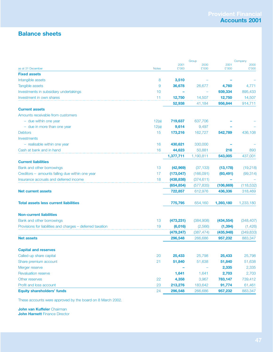# **Balance sheets**

|                                                            |              | Group         |               | Company       |               |
|------------------------------------------------------------|--------------|---------------|---------------|---------------|---------------|
| as at 31 December                                          | <b>Notes</b> | 2001<br>£'000 | 2000<br>£'000 | 2001<br>£'000 | 2000<br>£'000 |
| <b>Fixed assets</b>                                        |              |               |               |               |               |
| Intangible assets                                          | 8            | 3,510         |               |               |               |
| Tangible assets                                            | 9            | 36,678        | 26,677        | 4,760         | 4,771         |
| Investments in subsidiary undertakings                     | 10           |               |               | 939,334       | 895,433       |
| Investment in own shares                                   | 11           | 12,750        | 14,507        | 12,750        | 14,507        |
|                                                            |              | 52,938        | 41,184        | 956,844       | 914,711       |
| <b>Current assets</b>                                      |              |               |               |               |               |
| Amounts receivable from customers                          |              |               |               |               |               |
| - due within one year                                      | 12(a)        | 719,637       | 637,706       |               |               |
| - due in more than one year                                | 12(a)        | 9,614         | 9,497         |               |               |
| <b>Debtors</b>                                             | 15           | 173,216       | 162,727       | 542,789       | 436,108       |
| Investments                                                |              |               |               |               |               |
| - realisable within one year                               | 16           | 430,621       | 330,000       |               |               |
| Cash at bank and in hand                                   | 16           | 44,623        | 50,881        | 216           | 893           |
|                                                            |              | 1,377,711     | 1,190,811     | 543,005       | 437,001       |
| <b>Current liabilities</b>                                 |              |               |               |               |               |
| Bank and other borrowings                                  | 13           | (42, 969)     | (37, 133)     | (13, 178)     | (19, 218)     |
| Creditors - amounts falling due within one year            | 17           | (173, 047)    | (166,091)     | (93, 491)     | (99, 314)     |
| Insurance accruals and deferred income                     | 18           | (438, 838)    | (374, 611)    |               |               |
|                                                            |              | (654, 854)    | (577, 835)    | (106, 669)    | (118, 532)    |
| <b>Net current assets</b>                                  |              | 722,857       | 612,976       | 436,336       | 318,469       |
| <b>Total assets less current liabilities</b>               |              | 775,795       | 654,160       | 1,393,180     | 1,233,180     |
| <b>Non-current liabilities</b>                             |              |               |               |               |               |
| Bank and other borrowings                                  | 13           | (473, 231)    | (384,908)     | (434, 554)    | (348, 407)    |
| Provisions for liabilities and charges - deferred taxation | 19           | (6,016)       | (2,566)       | (1, 394)      | (1,426)       |
|                                                            |              | (479, 247)    | (387, 474)    | (435, 948)    | (349, 833)    |
| <b>Net assets</b>                                          |              | 296,548       | 266,686       | 957,232       | 883,347       |
| <b>Capital and reserves</b>                                |              |               |               |               |               |
| Called-up share capital                                    | 20           | 25,433        | 25,798        | 25,433        | 25,798        |
| Share premium account                                      | 21           | 51,840        | 51,638        | 51,840        | 51,638        |
| Merger reserve                                             |              |               |               | 2,335         | 2,335         |
| <b>Revaluation reserve</b>                                 |              | 1,641         | 1,641         | 2,703         | 2,703         |
| Other reserves                                             | 22           | 4,358         | 3,967         | 783,147       | 739,412       |
| Profit and loss account                                    | 23           | 213,276       | 183,642       | 91,774        | 61,461        |
| <b>Equity shareholders' funds</b>                          | 24           | 296,548       | 266,686       | 957,232       | 883,347       |

These accounts were approved by the board on 8 March 2002.

**John van Kuffeler** Chairman **John Harnett** Finance Director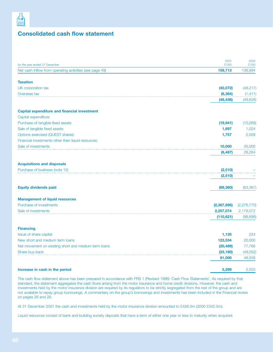

# **Consolidated cash flow statement**

| for the year ended 31 December                          | 2001<br>£'000 | 2000<br>£'000 |
|---------------------------------------------------------|---------------|---------------|
| Net cash inflow from operating activities (see page 49) | 159,713       | 136,994       |
| <b>Taxation</b>                                         |               |               |
| UK corporation tax                                      | (40, 072)     | (48, 217)     |
| Overseas tax                                            | (6, 364)      | (1, 411)      |
|                                                         | (46, 436)     | (49, 628)     |
| <b>Capital expenditure and financial investment</b>     |               |               |
| Capital expenditure:                                    |               |               |
| Purchase of tangible fixed assets                       | (19, 941)     | (10, 269)     |
| Sale of tangible fixed assets                           | 1,697         | 1,024         |
| Options exercised (QUEST shares)                        | 1,757         | 2,509         |
| Financial investments other than liquid resources:      |               |               |
| Sale of investments                                     | 10,000        | 35,000        |
|                                                         | (6, 487)      | 28,264        |
| <b>Acquisitions and disposals</b>                       |               |               |
| Purchase of business (note 10)                          | (2,510)       |               |
|                                                         | (2,510)       |               |
| <b>Equity dividends paid</b>                            | (69, 360)     | (63, 367)     |
| <b>Management of liquid resources</b>                   |               |               |
| Purchase of investments                                 | (2,367,695)   | (2, 276, 770) |
| Sale of investments                                     | 2,257,074     | 2,178,072     |
|                                                         | (110, 621)    | (98, 698)     |
| <b>Financing</b>                                        |               |               |
| Issue of share capital                                  | 1,135         | 224           |
| New short and medium term loans                         | 123,534       | 20,000        |
| Net movement on existing short and medium term loans    | (20, 489)     | 77,766        |
| Share buy-back                                          | (23, 180)     | (49, 052)     |
|                                                         | 81,000        | 48,938        |
| Increase in cash in the period                          | 5,299         | 2,503         |

The cash flow statement above has been prepared in accordance with FRS 1 (Revised 1996) 'Cash Flow Statements'. As required by that standard, the statement aggregates the cash flows arising from the motor insurance and home credit divisions. However, the cash and investments held by the motor insurance division are required by its regulators to be strictly segregated from the rest of the group and are not available to repay group borrowings. A commentary on the group's borrowings and investments has been included in the Financial review on pages 28 and 29.

At 31 December 2001 the cash and investments held by the motor insurance division amounted to £426.5m (2000 £342.5m).

Liquid resources consist of bank and building society deposits that have a term of either one year or less to maturity when acquired.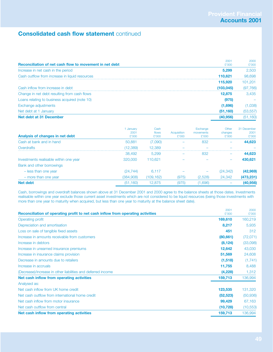# **Consolidated cash flow statement** continued

| Reconciliation of net cash flow to movement in net debt | 2001<br>£'000 | 2000<br>£'000 |
|---------------------------------------------------------|---------------|---------------|
| Increase in net cash in the period                      | 5,299         | 2,503         |
| Cash outflow from increase in liquid resources          | 110.621       | 98,698        |
|                                                         | 115,920       | 101.201       |
| Cash inflow from increase in debt                       | (103.045)     | (97, 766)     |
| Change in net debt resulting from cash flows            | 12,875        | 3.435         |
| Loans relating to business acquired (note 10)           | (975)         |               |
| Exchange adjustments                                    | (1,696)       | 1,038)        |
| Net debt at 1 January                                   | (51, 160)     | (53, 557)     |
| Net debt at 31 December                                 | (40, 956)     | (51, 160)     |
|                                                         |               |               |

| Analysis of changes in net debt        | January<br>2001<br>£'000 | Cash<br>flows<br>£'000 | Acquisition<br>£'000 | Exchange<br>movements<br>£'000 | Other<br>changes<br>£'000 | 31 December<br>2001<br>£'000 |
|----------------------------------------|--------------------------|------------------------|----------------------|--------------------------------|---------------------------|------------------------------|
| Cash at bank and in hand               | 50,881                   | (7,090)                |                      | 832                            |                           | 44,623                       |
| Overdrafts                             | 12,389)                  | 12.389                 |                      |                                |                           |                              |
|                                        | 38,492                   | 5.299                  |                      | 832                            |                           | 44,623                       |
| Investments realisable within one year | 320,000                  | 110.621                |                      |                                |                           | 430,621                      |
| Bank and other borrowings              |                          |                        |                      |                                |                           |                              |
| - less than one year                   | (24, 744)                | 6.117                  |                      |                                | (24,342)                  | (42,969)                     |
| - more than one year                   | (384,908)                | (109.162)              | (975)                | (2.528)                        | 24,342                    | (473, 231)                   |
| <b>Net debt</b>                        | (51, 160)                | 12.875                 | (975)                | 1,696)                         |                           | (40,956)                     |

Cash, borrowings and overdraft balances shown above at 31 December 2001 and 2000 agree to the balance sheets at those dates. Investments realisable within one year exclude those current asset investments which are not considered to be liquid resources (being those investments with more than one year to maturity when acquired, but less than one year to maturity at the balance sheet date).

| Operating profit<br>Depreciation and amortisation<br>Loss on sale of tangible fixed assets<br>Increase in amounts receivable from customers | 169,610<br>8,217<br>451<br>(80, 661)<br>(8, 124) | 160,219<br>5,935<br>312 |
|---------------------------------------------------------------------------------------------------------------------------------------------|--------------------------------------------------|-------------------------|
|                                                                                                                                             |                                                  |                         |
|                                                                                                                                             |                                                  |                         |
|                                                                                                                                             |                                                  | (72,071)                |
|                                                                                                                                             |                                                  |                         |
| Increase in debtors                                                                                                                         |                                                  | (33,098)                |
| Increase in unearned insurance premiums                                                                                                     | 12,642                                           | 43,030                  |
| Increase in insurance claims provision                                                                                                      | 51,569                                           | 24,608                  |
| Decrease in amounts due to retailers                                                                                                        | (1, 518)                                         | (1,741)                 |
| Increase in accruals                                                                                                                        | 11,755                                           | 8,488                   |
| (Decrease)/increase in other liabilities and deferred income                                                                                | (4,228)                                          | 1,312                   |
| Net cash inflow from operating activities                                                                                                   | 159,713                                          | 136,994                 |
| Analysed as:                                                                                                                                |                                                  |                         |
| Net cash inflow from UK home credit                                                                                                         | 123,535                                          | 131,320                 |
| Net cash outflow from international home credit                                                                                             | (52, 523)                                        | (50, 936)               |
| Net cash inflow from motor insurance                                                                                                        | 99,429                                           | 67,163                  |
| Net cash outflow from central                                                                                                               | (10, 728)                                        | (10, 553)               |
| Net cash inflow from operating activities                                                                                                   | 159,713                                          | 136,994                 |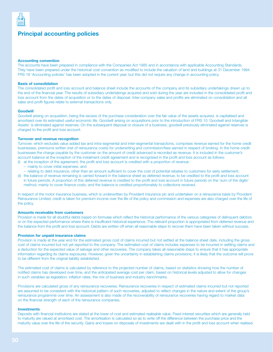

# **Principal accounting policies**

#### **Accounting convention**

The accounts have been prepared in compliance with the Companies Act 1985 and in accordance with applicable Accounting Standards. They have been prepared under the historical cost convention as modified to include the valuation of land and buildings at 31 December 1994. FRS 18 'Accounting policies' has been adopted in the current year, but this did not require any change in accounting policy.

## **Basis of consolidation**

The consolidated profit and loss account and balance sheet include the accounts of the company and its subsidiary undertakings drawn up to the end of the financial year. The results of subsidiary undertakings acquired and sold during the year are included in the consolidated profit and loss account from the dates of acquisition or to the dates of disposal. Inter-company sales and profits are eliminated on consolidation and all sales and profit figures relate to external transactions only.

#### **Goodwill**

Goodwill arising on acquisition, being the excess of the purchase consideration over the fair value of the assets acquired, is capitalised and amortised over its estimated useful economic life. Goodwill arising on acquisitions prior to the introduction of FRS 10 'Goodwill and Intangible Assets' is eliminated against reserves. On the subsequent disposal or closure of a business, goodwill previously eliminated against reserves is charged to the profit and loss account.

## **Turnover and revenue recognition**

Turnover, which excludes value added tax and intra-segmental and inter-segmental transactions, comprises revenue earned for the home credit businesses, premiums written (net of reinsurance costs) for underwriting and commission/fees earned in respect of broking. In the home credit businesses the charge payable by the customer on the amount of credit advanced is recorded as revenue. It is included in the customer's account balance at the inception of the instalment credit agreement and is recognised in the profit and loss account as follows:

- (i) at the inception of the agreement, the profit and loss account is credited with a proportion of revenue:
	- mainly to cover initial expenses, and
	- relating to debt insurance, other than an amount sufficient to cover the cost of potential rebates to customers for early settlement;
- (ii) the balance of revenue remaining is carried forward in the balance sheet as deferred revenue, to be credited to the profit and loss account in future periods. A proportion of this deferred revenue is credited to the profit and loss account in future periods on the 'sum of the digits' method, mainly to cover finance costs, and the balance is credited proportionately to collections received.

In respect of the motor insurance business, which is underwritten by Provident Insurance plc and undertaken on a reinsurance basis by Provident Reinsurance Limited, credit is taken for premium income over the life of the policy and commission and expenses are also charged over the life of the policy.

#### **Amounts receivable from customers**

Provision is made for all doubtful debts based on formulae which reflect the historical performance of the various categories of delinquent debtors or on the expected performance where there is insufficient historical experience. The relevant proportion is appropriated from deferred revenue and the balance from the profit and loss account. Debts are written off when all reasonable steps to recover them have been taken without success.

#### **Provision for unpaid insurance claims**

Provision is made at the year end for the estimated gross cost of claims incurred but not settled at the balance sheet date, including the gross cost of claims incurred but not yet reported to the company. The estimated cost of claims includes expenses to be incurred in settling claims and a deduction for the expected value of salvage and other recoveries. The company takes all reasonable steps to ensure that it has appropriate information regarding its claims exposures. However, given the uncertainty in establishing claims provisions, it is likely that the outcome will prove to be different from the original liability established.

The estimated cost of claims is calculated by reference to the projected number of claims, based on statistics showing how the number of notified claims has developed over time, and the anticipated average cost per claim, based on historical levels adjusted to allow for changes in such variables as legislation, inflation rates, the mix of business and industry benchmarks.

Provisions are calculated gross of any reinsurance recoveries. Reinsurance recoveries in respect of estimated claims incurred but not reported are assumed to be consistent with the historical pattern of such recoveries, adjusted to reflect changes in the nature and extent of the group's reinsurance programme over time. An assessment is also made of the recoverability of reinsurance recoveries having regard to market data on the financial strength of each of the reinsurance companies.

#### **Investments**

Deposits with financial institutions are stated at the lower of cost and estimated realisable value. Fixed interest securities which are generally held to maturity are valued at amortised cost. The amortisation is calculated so as to write off the difference between the purchase price and the maturity value over the life of the security. Gains and losses on disposals of investments are dealt with in the profit and loss account when realised.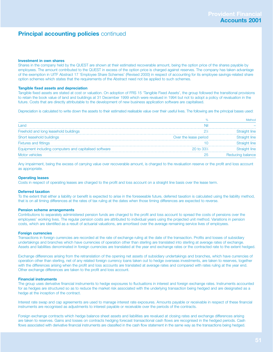# **Principal accounting policies** continued

#### **Investment in own shares**

Shares in the company held by the QUEST are shown at their estimated recoverable amount, being the option price of the shares payable by employees. The amount contributed to the QUEST in excess of the option price is charged against reserves. The company has taken advantage of the exemption in UITF Abstract 17 'Employee Share Schemes' (Revised 2000) in respect of accounting for its employee savings-related share option schemes which states that the requirements of the Abstract need not be applied to such schemes.

## **Tangible fixed assets and depreciation**

Tangible fixed assets are stated at cost or valuation. On adoption of FRS 15 'Tangible Fixed Assets', the group followed the transitional provisions to retain the book value of land and buildings at 31 December 1999 which were revalued in 1994 but not to adopt a policy of revaluation in the future. Costs that are directly attributable to the development of new business application software are capitalised.

Depreciation is calculated to write down the assets to their estimated realisable value over their useful lives. The following are the principal bases used:

| Land                                                   |                       |                  |
|--------------------------------------------------------|-----------------------|------------------|
| Freehold and long leasehold buildings                  |                       |                  |
| Short leasehold buildings                              | Over the lease period |                  |
| <b>Fixtures and fittings</b>                           |                       |                  |
| Equipment including computers and capitalised software | 20 to $33\%$          |                  |
| Motor vehicles                                         |                       | Reducing balance |

Any impairment, being the excess of carrying value over recoverable amount, is charged to the revaluation reserve or the profit and loss account as appropriate.

#### **Operating leases**

Costs in respect of operating leases are charged to the profit and loss account on a straight line basis over the lease term.

#### **Deferred taxation**

To the extent that either a liability or benefit is expected to arise in the foreseeable future, deferred taxation is calculated using the liability method, that is on all timing differences at the rates of tax ruling at the dates when those timing differences are expected to reverse.

## **Pension scheme arrangements**

Contributions to separately administered pension funds are charged to the profit and loss account to spread the costs of pensions over the employees' working lives. The regular pension costs are attributed to individual years using the projected unit method. Variations in pension costs, which are identified as a result of actuarial valuations, are amortised over the average remaining service lives of employees.

#### **Foreign currencies**

Transactions in foreign currencies are recorded at the rate of exchange ruling at the date of the transaction. Profits and losses of subsidiary undertakings and branches which have currencies of operation other than sterling are translated into sterling at average rates of exchange. Assets and liabilities denominated in foreign currencies are translated at the year end exchange rates or the contracted rate to the extent hedged.

Exchange differences arising from the retranslation of the opening net assets of subsidiary undertakings and branches, which have currencies of operation other than sterling, net of any related foreign currency loans taken out to hedge overseas investments, are taken to reserves, together with the differences arising when the profit and loss accounts are translated at average rates and compared with rates ruling at the year end. Other exchange differences are taken to the profit and loss account.

#### **Financial instruments**

The group uses derivative financial instruments to hedge exposures to fluctuations in interest and foreign exchange rates. Instruments accounted for as hedges are structured so as to reduce the market risk associated with the underlying transaction being hedged and are designated as a hedge at the inception of the contract.

Interest rate swap and cap agreements are used to manage interest rate exposures. Amounts payable or receivable in respect of these financial instruments are recognised as adjustments to interest payable or receivable over the periods of the contracts.

Foreign exchange contracts which hedge balance sheet assets and liabilities are revalued at closing rates and exchange differences arising are taken to reserves. Gains and losses on contracts hedging forecast transactional cash flows are recognised in the hedged periods. Cash flows associated with derivative financial instruments are classified in the cash flow statement in the same way as the transactions being hedged.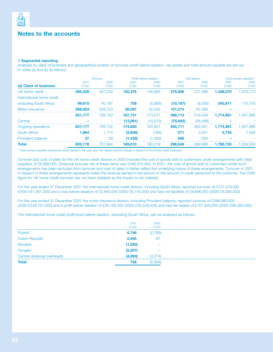

# **Notes to the accounts**

## **1 Segmental reporting**

Analyses by class of business and geographical location of turnover, profit before taxation, net assets and total amount payable are set out in notes (a) and (b) as follows:

|                           |               | Turnover      |               | Profit before taxation |               | Net assets    |               | Total amount payable* |
|---------------------------|---------------|---------------|---------------|------------------------|---------------|---------------|---------------|-----------------------|
| (a) Class of business     | 2001<br>£'000 | 2000<br>£'000 | 2001<br>£'000 | 2000<br>£'000          | 2001<br>£'000 | 2000<br>£'000 | 2001<br>£'000 | 2000<br>£'000         |
| UK home credit            | 465.539       | 457.242       | 150.376       | 146.985                | 275,006       | 231,096       | 1,429,070     | 1.376.210             |
| International home credit |               |               |               |                        |               |               |               |                       |
| excluding South Africa    | 99,615        | 40.187        | 758           | (5,956)                | (10, 167)     | (9,256)       | 345,911       | 175,776               |
| Motor insurance           | 266,023       | 228,723       | 36,597        | 32,042                 | 101.274       | 97.589        |               |                       |
|                           | 831,177       | 726.152       | 187.731       | 173.071                | 366,113       | 319,429       | 1.774.981     | 1.551.986             |
| Central                   |               |               | (13.081)      | (10.570)               | (70.402)      | (56, 498)     |               |                       |
| <b>Ongoing operations</b> | 831,177       | 726.152       | 174,650       | 162.501                | 295,711       | 262.931       | 1.774.981     | 1,551,986             |
| <b>South Africa</b>       | 1.964         | 1.714         | (3,608)       | (789)                  | 271           | 3.251         | 5.754         | 7.564                 |
| Provident balance         | 37            | 28            | (1.432)       | .493)                  | 566           | 504           |               |                       |
| <b>Total</b>              | 833,178       | 727.894       | 169.610       | 160.219                | 296,548       | 266,686       | 1.780.735     | .559.550              |

\* Total amount payable represents credit issued in the year plus the related service charge in respect of the home credit business.

Turnover and cost of sales for the UK home credit division in 2000 included the cost of goods sold to customers under arrangements with retail suppliers of £8,868,000. Divisional turnover net of these items was £448,374,000. In 2001, the cost of goods sold to customers under such arrangements has been excluded from turnover and cost of sales to better reflect the underlying nature of these arrangements. Turnover in 2001 in respect of these arrangements represents solely the revenue earned in the period on the amount of credit advanced to the customer. The 2000 figure for UK home credit turnover has not been restated as the impact is not material.

For the year ended 31 December 2001 the international home credit division, including South Africa, reported turnover of £101,579,000 (2000 £41,901,000) and a loss before taxation of £2,850,000 (2000 £6,745,000) and had net liabilities of £9,896,000 (2000 £6,005,000).

For the year ended 31 December 2001 the motor insurance division, including Provident balance, reported turnover of £266,060,000 (2000 £228,751,000) and a profit before taxation of £35,165,000 (2000 £30,549,000) and had net assets of £101,840,000 (2000 £98,093,000).

The international home credit profit/(loss) before taxation, excluding South Africa, can be analysed as follows:

|                              | 2001<br>£'000 | 2000<br>£'000            |
|------------------------------|---------------|--------------------------|
| Poland                       | 6,746         | (2,769)                  |
| <b>Czech Republic</b>        | 2,455         | 87                       |
| Slovakia                     | (1, 293)      | $\overline{\phantom{0}}$ |
| Hungary                      | (2, 257)      |                          |
| Central divisional overheads | (4,893)       | (3,274)                  |
| <b>Total</b>                 | 758           | (5,956)                  |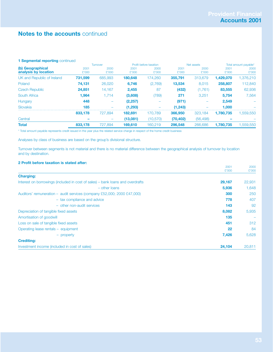## **1 Segmental reporting** continued

|                            | <b>Turnover</b> |                          | Profit before taxation |           | Net assets |           | Total amount payable* |           |
|----------------------------|-----------------|--------------------------|------------------------|-----------|------------|-----------|-----------------------|-----------|
| (b) Geographical           | 2001            | 2000                     | 2001                   | 2000      | 2001       | 2000      | 2001                  | 2000      |
| analysis by location       | £'000           | £'000                    | £'000                  | £'000     | £'000      | £'000     | £'000                 | £'000     |
| UK and Republic of Ireland | 731,599         | 685,993                  | 180,648                | 174.260   | 355,791    | 313,679   | 1,429,070             | 1,376,210 |
| Poland                     | 74,131          | 26,020                   | 6,746                  | (2,769)   | 13,534     | 8,015     | 258,807               | 112,840   |
| <b>Czech Republic</b>      | 24,851          | 14,167                   | 2,455                  | 87        | (432)      | (1,761)   | 83,555                | 62,936    |
| South Africa               | 1,964           | 1.714                    | (3,608)                | (789)     | 271        | 3.251     | 5,754                 | 7,564     |
| Hungary                    | 448             |                          | (2,257)                |           | (971)      |           | 2.549                 | -         |
| Slovakia                   | 185             |                          | (1,293)                |           | (1, 243)   |           | 1.000                 |           |
|                            | 833,178         | 727.894                  | 182.691                | 170.789   | 366,950    | 323,184   | 1.780.735             | .559.550  |
| Central                    |                 | $\overline{\phantom{m}}$ | (13,081)               | (10, 570) | (70, 402)  | (56, 498) |                       |           |
| <b>Total</b>               | 833,178         | 727.894                  | 169,610                | 160.219   | 296,548    | 266,686   | 1.780.735             | 1,559,550 |
|                            |                 |                          |                        |           |            |           |                       |           |

\* Total amount payable represents credit issued in the year plus the related service charge in respect of the home credit business

Analyses by class of business are based on the group's divisional structure.

Turnover between segments is not material and there is no material difference between the geographical analysis of turnover by location and by destination.

## **2 Profit before taxation is stated after:**

|                                                                                | 2001   | 2000                     |
|--------------------------------------------------------------------------------|--------|--------------------------|
| <b>Charging:</b>                                                               | £'000  | £'000                    |
| Interest on borrowings (included in cost of sales) – bank loans and overdrafts | 29,167 | 22,931                   |
| $-$ other loans                                                                | 5,936  | 1,648                    |
| Auditors' remuneration - audit services (company £52,000; 2000 £47,000)        | 300    | 250                      |
| - tax compliance and advice                                                    | 778    | 407                      |
| - other non-audit services                                                     | 143    | 92                       |
| Depreciation of tangible fixed assets                                          | 8,082  | 5,935                    |
| Amortisation of goodwill                                                       | 135    | $\overline{\phantom{m}}$ |
| Loss on sale of tangible fixed assets                                          | 451    | 312                      |
| Operating lease rentals - equipment                                            | 22     | 84                       |
| - property                                                                     | 7,426  | 5,628                    |
| <b>Crediting:</b>                                                              |        |                          |
| Investment income (included in cost of sales)                                  | 24,104 | 20,811                   |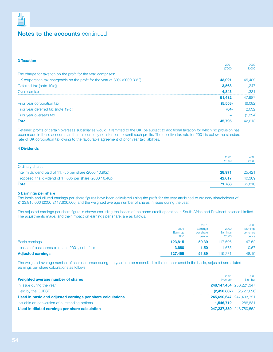

## **3 Taxation**

|                                                                            | 2001     | 2000     |
|----------------------------------------------------------------------------|----------|----------|
|                                                                            | £'000    | £'000    |
| The charge for taxation on the profit for the year comprises:              |          |          |
| UK corporation tax chargeable on the profit for the year at 30% (2000 30%) | 43.021   | 45,409   |
| Deferred tax (note 19(c))                                                  | 3,568    | 1.247    |
| Overseas tax                                                               | 4,843    | 1.331    |
|                                                                            | 51,432   | 47,987   |
| Prior year corporation tax                                                 | (5, 553) | (6,082)  |
| Prior year deferred tax (note 19(c))                                       | (84)     | 2,032    |
| Prior year overseas tax                                                    |          | (1, 324) |
| <b>Total</b>                                                               | 45.795   | 42,613   |

Retained profits of certain overseas subsidiaries would, if remitted to the UK, be subject to additional taxation for which no provision has been made in these accounts as there is currently no intention to remit such profits. The effective tax rate for 2001 is below the standard rate of UK corporation tax owing to the favourable agreement of prior year tax liabilities.

## **4 Dividends**

|                                                           | 2001<br>£'000 | 2000<br>£'000 |
|-----------------------------------------------------------|---------------|---------------|
| Ordinary shares:                                          |               |               |
| Interim dividend paid of 11.75p per share (2000 10.90p)   | 28,971        | 25.421        |
| Proposed final dividend of 17.60p per share (2000 16.40p) | 42,817        | 40,389        |
| <b>Total</b>                                              | 71.788        | 65,810        |

## **5 Earnings per share**

The basic and diluted earnings per share figures have been calculated using the profit for the year attributed to ordinary shareholders of £123,815,000 (2000 £117,606,000) and the weighted average number of shares in issue during the year.

The adjusted earnings per share figure is shown excluding the losses of the home credit operation in South Africa and Provident balance Limited. The adjustments made, and their impact on earnings per share, are as follows:

|                                                 | 2001<br>Earnings<br>£'000 | 2001<br>Earnings<br>per share<br>pence | 2000<br>Earnings<br>£'000 | 2000<br>Earnings<br>per share<br>pence |
|-------------------------------------------------|---------------------------|----------------------------------------|---------------------------|----------------------------------------|
| <b>Basic earnings</b>                           | 123,815                   | 50.39                                  | 117.606                   | 47.52                                  |
| Losses of businesses closed in 2001, net of tax | 3.680                     | 1.50                                   | .675                      | 0.67                                   |
| <b>Adjusted earnings</b>                        | 127.495                   | 51.89                                  | 119,281                   | 48.19                                  |

The weighted average number of shares in issue during the year can be reconciled to the number used in the basic, adjusted and diluted earnings per share calculations as follows:

| 2001<br>Weighted average number of shares<br><b>Number</b> | 2000<br>Number                 |
|------------------------------------------------------------|--------------------------------|
| In issue during the year                                   | 248, 147, 454 250, 221, 347    |
| Held by the QUEST                                          | $(2,456,807)$ $(2,727,626)$    |
| Used in basic and adjusted earnings per share calculations | <b>245,690,647</b> 247,493,721 |
| Issuable on conversion of outstanding options              | 1,546,712 1,286,831            |
| Used in diluted earnings per share calculation             | 247,237,359 248,780,552        |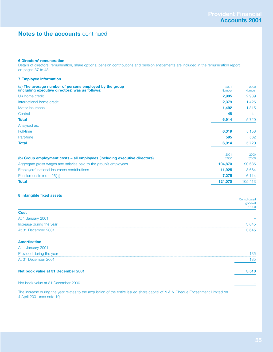## **6 Directors' remuneration**

Details of directors' remuneration, share options, pension contributions and pension entitlements are included in the remuneration report on pages 37 to 43.

## **7 Employee information**

| 2001<br>Number | 2000<br><b>Number</b> |
|----------------|-----------------------|
| 2,995          | 2,939                 |
| 2,379          | 1,425                 |
| 1,492          | 1,315                 |
| 48             | 41                    |
| 6,914          | 5,720                 |
|                |                       |
| 6,319          | 5,158                 |
| 595            | 562                   |
| 6,914          | 5,720                 |
|                |                       |

| (b) Group employment costs – all employees (including executive directors) | 2001<br>£'000 | 2000<br>£'000 |
|----------------------------------------------------------------------------|---------------|---------------|
| Aggregate gross wages and salaries paid to the group's employees           | 104.870       | 90,635        |
| Employers' national insurance contributions                                | 11.925        | 8.664         |
| Pension costs (note 26(a))                                                 | 7.275         | 6.114         |
| <b>Total</b>                                                               | 124.070       | 105.413       |

## **8 Intangible fixed assets**

| $\tilde{\phantom{a}}$    | Consolidated<br>goodwill |
|--------------------------|--------------------------|
|                          | £'000                    |
| <b>Cost</b>              |                          |
| At 1 January 2001        |                          |
| Increase during the year | 3,645<br>                |
| At 31 December 2001      | 3,645                    |
|                          |                          |
| <b>Amortisation</b>      |                          |

| Net book value at 31 December 2001 |     |
|------------------------------------|-----|
| At 31 December 2001                | 135 |
| Provided during the year           | 135 |
| At 1 January 2001                  |     |

## Net book value at 31 December 2000 –

The increase during the year relates to the acquisition of the entire issued share capital of N & N Cheque Encashment Limited on 4 April 2001 (see note 10).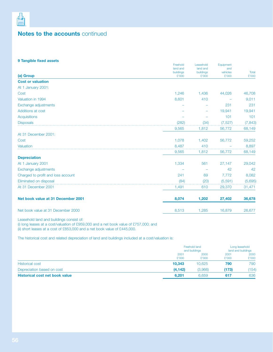

## **9 Tangible fixed assets**

|                                    | Freehold<br>land and | Leasehold<br>land and | Equipment<br>and  |                |
|------------------------------------|----------------------|-----------------------|-------------------|----------------|
| (a) Group                          | buildings<br>£'000   | buildings<br>£'000    | vehicles<br>£'000 | Total<br>£'000 |
| <b>Cost or valuation</b>           |                      |                       |                   |                |
| At 1 January 2001:                 |                      |                       |                   |                |
| Cost                               | 1,246                | 1,436                 | 44,026            | 46,708         |
| Valuation in 1994                  | 8,601                | 410                   |                   | 9,011          |
| Exchange adjustments               |                      |                       | 231               | 231            |
| Additions at cost                  |                      |                       | 19,941            | 19,941         |
| <b>Acquisitions</b>                |                      |                       | 101               | 101            |
| <b>Disposals</b>                   | (282)                | (34)                  | (7, 527)          | (7, 843)       |
|                                    | 9,565                | 1,812                 | 56,772            | 68,149         |
| At 31 December 2001:               |                      |                       |                   |                |
| Cost                               | 1,078                | 1,402                 | 56,772            | 59,252         |
| Valuation                          | 8,487                | 410                   |                   | 8,897          |
|                                    | 9,565                | 1,812                 | 56,772            | 68,149         |
| <b>Depreciation</b>                |                      |                       |                   |                |
| At 1 January 2001                  | 1,334                | 561                   | 27,147            | 29,042         |
| Exchange adjustments               |                      |                       | 42                | 42             |
| Charged to profit and loss account | 241                  | 69                    | 7,772             | 8,082          |
| Eliminated on disposal             | (84)                 | (20)                  | (5,591)           | (5,695)        |
| At 31 December 2001                | 1,491                | 610                   | 29,370            | 31,471         |
| Net book value at 31 December 2001 | 8,074                | 1,202                 | 27,402            | 36,678         |
| Net book value at 31 December 2000 | 8,513                | 1,285                 | 16,879            | 26,677         |

Leasehold land and buildings consist of:

(i) long leases at a cost/valuation of £959,000 and a net book value of £757,000; and

(ii) short leases at a cost of £853,000 and a net book value of £445,000.

The historical cost and related depreciation of land and buildings included at a cost/valuation is:

|                                       |               | Freehold land<br>and buildings |               | Long leasehold<br>land and buildings |  |
|---------------------------------------|---------------|--------------------------------|---------------|--------------------------------------|--|
|                                       | 2001<br>£'000 | 2000<br>£'000                  | 2001<br>£'000 | 2000<br>£'000                        |  |
| <b>Historical cost</b>                | 10.343        | 10.625                         | 790           | 790                                  |  |
| Depreciation based on cost            | (4, 142)      | (3,966)                        | (173)         | 154)                                 |  |
| <b>Historical cost net book value</b> | 6.201         | 6.659                          | 617           | 636                                  |  |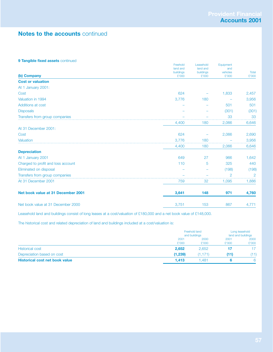## **9 Tangible fixed assets continued**

|                                    | Freehold<br>land and | Leasehold<br>land and | Equipment<br>and  |                       |
|------------------------------------|----------------------|-----------------------|-------------------|-----------------------|
| (b) Company                        | buildings<br>£'000   | buildings<br>£'000    | vehicles<br>£'000 | <b>Total</b><br>£'000 |
| <b>Cost or valuation</b>           |                      |                       |                   |                       |
| At 1 January 2001:                 |                      |                       |                   |                       |
| Cost                               | 624                  |                       | 1,833             | 2,457                 |
| Valuation in 1994                  | 3,776                | 180                   |                   | 3,956                 |
| Additions at cost                  |                      |                       | 501               | 501                   |
| <b>Disposals</b>                   |                      |                       | (301)             | (301)                 |
| Transfers from group companies     |                      |                       | 33                | 33                    |
|                                    | 4,400                | 180                   | 2,066             | 6,646                 |
| At 31 December 2001:               |                      |                       |                   |                       |
| Cost                               | 624                  |                       | 2,066             | 2,690                 |
| Valuation                          | 3,776                | 180                   |                   | 3,956                 |
|                                    | 4,400                | 180                   | 2,066             | 6,646                 |
| <b>Depreciation</b>                |                      |                       |                   |                       |
| At 1 January 2001                  | 649                  | 27                    | 966               | 1,642                 |
| Charged to profit and loss account | 110                  | 5                     | 325               | 440                   |
| Eliminated on disposal             |                      |                       | (198)             | (198)                 |
| Transfers from group companies     |                      |                       | $\overline{2}$    | $\overline{2}$        |
| At 31 December 2001                | 759                  | 32                    | 1,095             | 1,886                 |
| Net book value at 31 December 2001 | 3,641                | 148                   | 971               | 4,760                 |
| Net book value at 31 December 2000 | 3,751                | 153                   | 867               | 4,771                 |
|                                    |                      |                       |                   |                       |

Leasehold land and buildings consist of long leases at a cost/valuation of £180,000 and a net book value of £148,000.

The historical cost and related depreciation of land and buildings included at a cost/valuation is:

|                                       |               | Freehold land<br>and buildings |               | Long leasehold<br>land and buildings |  |
|---------------------------------------|---------------|--------------------------------|---------------|--------------------------------------|--|
|                                       | 2001<br>£'000 | 2000<br>£'000                  | 2001<br>£'000 | 2000<br>£'000                        |  |
| <b>Historical cost</b>                | 2,652         | 2,652                          |               |                                      |  |
| Depreciation based on cost            | (1,239)       | (1, 171)                       | (11)          | (11)                                 |  |
| <b>Historical cost net book value</b> | 1.413         | 1.481                          |               |                                      |  |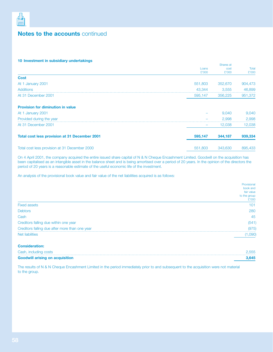

## **10 Investment in subsidiary undertakings**

|                                                      |                | Shares at     |                |  |
|------------------------------------------------------|----------------|---------------|----------------|--|
|                                                      | Loans<br>£'000 | cost<br>£'000 | Total<br>£'000 |  |
| <b>Cost</b>                                          |                |               |                |  |
| At 1 January 2001                                    | 551,803        | 352,670       | 904,473        |  |
| <b>Additions</b>                                     | 43,344         | 3,555         | 46,899         |  |
| At 31 December 2001                                  | 595,147        | 356,225       | 951,372        |  |
| <b>Provision for diminution in value</b>             |                |               |                |  |
| At 1 January 2001                                    |                | 9,040         | 9,040          |  |
| Provided during the year                             |                | 2.998         | 2,998          |  |
| At 31 December 2001                                  |                | 12,038        | 12,038         |  |
| <b>Total cost less provision at 31 December 2001</b> | 595,147        | 344,187       | 939,334        |  |
| Total cost less provision at 31 December 2000        | 551,803        | 343,630       | 895,433        |  |

On 4 April 2001, the company acquired the entire issued share capital of N & N Cheque Encashment Limited. Goodwill on the acquisition has been capitalised as an intangible asset in the balance sheet and is being amortised over a period of 20 years. In the opinion of the directors the period of 20 years is a reasonable estimate of the useful economic life of the investment.

An analysis of the provisional book value and fair value of the net liabilities acquired is as follows:

|                                                | Provisional  |
|------------------------------------------------|--------------|
|                                                | book and     |
|                                                | fair value   |
|                                                | to the group |
|                                                | £'000        |
| <b>Fixed assets</b>                            | 101          |
| <b>Debtors</b>                                 | 280          |
| Cash                                           | 45           |
| Creditors falling due within one year          | (541)        |
| Creditors falling due after more than one year | (975)        |
| Net liabilities                                | ,090'        |
|                                                |              |

| <b>Consideration:</b>                  |       |
|----------------------------------------|-------|
| Cash, including costs                  | 2.555 |
| <b>Goodwill arising on acquisition</b> | 3.645 |

The results of N & N Cheque Encashment Limited in the period immediately prior to and subsequent to the acquisition were not material to the group.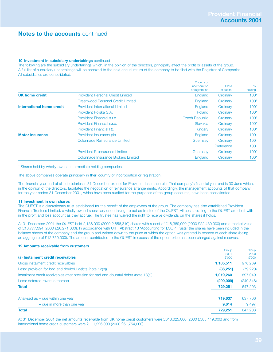## **10 Investment in subsidiary undertakings** continued

The following are the subsidiary undertakings which, in the opinion of the directors, principally affect the profit or assets of the group. A full list of subsidiary undertakings will be annexed to the next annual return of the company to be filed with the Registrar of Companies. All subsidiaries are consolidated.

|                           |                                          | Country of<br>incorporation<br>or registration | <b>Class</b><br>of capital | %<br>holding |
|---------------------------|------------------------------------------|------------------------------------------------|----------------------------|--------------|
| <b>UK home credit</b>     | <b>Provident Personal Credit Limited</b> | England                                        | Ordinary                   | $100*$       |
|                           | Greenwood Personal Credit Limited        | England                                        | Ordinary                   | $100*$       |
| International home credit | <b>Provident International Limited</b>   | England                                        | Ordinary                   | $100*$       |
|                           | Provident Polska S.A.                    | Poland                                         | Ordinary                   | $100*$       |
|                           | Provident Financial s.r.o.               | <b>Czech Republic</b>                          | Ordinary                   | $100*$       |
|                           | Provident Financial s.r.o.               | Slovakia                                       | Ordinary                   | $100*$       |
|                           | <b>Provident Financial Rt.</b>           | Hungary                                        | Ordinary                   | $100*$       |
| <b>Motor insurance</b>    | Provident Insurance plc                  | England                                        | Ordinary                   | 100          |
|                           | <b>Colonnade Reinsurance Limited</b>     | Guernsey                                       | Ordinary                   | 100          |
|                           |                                          |                                                | Preference                 | 100          |
|                           | <b>Provident Reinsurance Limited</b>     | Guernsey                                       | Ordinary                   | $100*$       |
|                           | Colonnade Insurance Brokers Limited      | England                                        | Ordinary                   | $100*$       |

\* Shares held by wholly-owned intermediate holding companies.

The above companies operate principally in their country of incorporation or registration.

The financial year end of all subsidiaries is 31 December except for Provident Insurance plc. That company's financial year end is 30 June which, in the opinion of the directors, facilitates the negotiation of reinsurance arrangements. Accordingly, the management accounts of that company for the year ended 31 December 2001, which have been audited for the purposes of the group accounts, have been consolidated.

## **11 Investment in own shares**

The QUEST is a discretionary trust established for the benefit of the employees of the group. The company has also established Provident Financial Trustees Limited, a wholly-owned subsidiary undertaking, to act as trustee of the QUEST. All costs relating to the QUEST are dealt with in the profit and loss account as they accrue. The trustee has waived the right to receive dividends on the shares it holds.

At 31 December 2001 the QUEST held 2,136,030 (2000 2,656,310) shares with a cost of £18,369,000 (2000 £22,430,000) and a market value of £13,777,394 (2000 £26,271,000). In accordance with UITF Abstract 13 'Accounting for ESOP Trusts' the shares have been included in the balance sheets of the company and the group and written down to the price at which the option was granted in respect of each share (being an aggregate of £12,750,000). The amount contributed to the QUEST in excess of the option price has been charged against reserves.

## **12 Amounts receivable from customers**

|                                                                                       | Group     | Group      |
|---------------------------------------------------------------------------------------|-----------|------------|
|                                                                                       | 2001      | 2000       |
| (a) Instalment credit receivables                                                     | £'000     | £'000      |
| Gross instalment credit receivables                                                   | 1,105,511 | 976,269    |
| Less: provision for bad and doubtful debts (note 12(b))                               | (86, 251) | (79, 220)  |
| Instalment credit receivables after provision for bad and doubtful debts (note 13(a)) | 1,019,260 | 897,049    |
| Less: deferred revenue thereon                                                        | (290,009) | (249, 846) |
| <b>Total</b>                                                                          | 729.251   | 647,203    |
| Analysed as $-$ due within one year                                                   | 719,637   | 637,706    |
| - due in more than one year                                                           | 9.614     | 9,497      |
| <b>Total</b>                                                                          | 729,251   | 647,203    |

At 31 December 2001 the net amounts receivable from UK home credit customers were £618,025,000 (2000 £585,449,000) and from international home credit customers were £111,226,000 (2000 £61,754,000).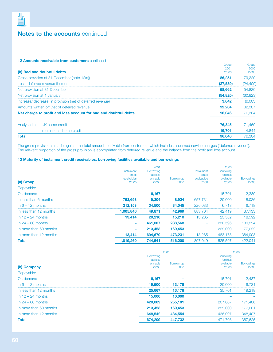

## **12 Amounts receivable from customers** continued

|                                                                  | Group     | Group     |
|------------------------------------------------------------------|-----------|-----------|
|                                                                  | 2001      | 2000      |
| (b) Bad and doubtful debts                                       | £'000     | £'000     |
| Gross provision at 31 December (note 12(a))                      | 86,251    | 79,220    |
| Less: deferred revenue thereon                                   | (27, 589) | (24, 400) |
| Net provision at 31 December                                     | 58,662    | 54,820    |
| Net provision at 1 January                                       | (54, 820) | (60, 823) |
| Increase/(decrease) in provision (net of deferred revenue)       | 3.842     | (6,003)   |
| Amounts written off (net of deferred revenue)                    | 92,204    | 82,307    |
| Net charge to profit and loss account for bad and doubtful debts | 96.046    | 76,304    |
| Analysed as - UK home credit                                     | 76.345    | 71,460    |
| - international home credit                                      | 19.701    | 4.844     |
| <b>Total</b>                                                     | 96,046    | 76,304    |

The gross provision is made against the total amount receivable from customers which includes unearned service charges ('deferred revenue'). The relevant proportion of the gross provision is appropriated from deferred revenue and the balance from the profit and loss account.

## **13 Maturity of instalment credit receivables, borrowing facilities available and borrowings**

| (a) Group              | Instalment<br>credit<br>receivables<br>£'000 | 2001<br><b>Borrowing</b><br>facilities<br>available<br>£'000 | <b>Borrowings</b><br>£'000 | Instalment<br>credit<br>receivables<br>£'000 | 2000<br><b>Borrowing</b><br>facilities<br>available<br>£'000 | <b>Borrowings</b><br>£'000 |
|------------------------|----------------------------------------------|--------------------------------------------------------------|----------------------------|----------------------------------------------|--------------------------------------------------------------|----------------------------|
| Repayable:             |                                              |                                                              |                            |                                              |                                                              |                            |
| On demand              |                                              | 6,167                                                        |                            |                                              | 15,701                                                       | 12,389                     |
| In less than 6 months  | 793,693                                      | 9,204                                                        | 8,924                      | 657,731                                      | 20,000                                                       | 18,026                     |
| $\ln 6 - 12$ months    | 212.153                                      | 34,500                                                       | 34,045                     | 226,033                                      | 6.718                                                        | 6.718                      |
| In less than 12 months | 1,005,846                                    | 49,871                                                       | 42,969                     | 883,764                                      | 42,419                                                       | 37,133                     |
| In $12 - 24$ months    | 13,414                                       | 20.210                                                       | 15,210                     | 13.285                                       | 23,582                                                       | 18,592                     |
| $\ln 24 - 60$ months   |                                              | 461.007                                                      | 288,568                    |                                              | 230,596                                                      | 189.294                    |
| In more than 60 months |                                              | 213,453                                                      | 169,453                    |                                              | 229,000                                                      | 177,022                    |
| In more than 12 months | 13,414                                       | 694,670                                                      | 473,231                    | 13.285                                       | 483,178                                                      | 384,908                    |
| Total                  | 1,019,260                                    | 744,541                                                      | 516,200                    | 897,049                                      | 525,597                                                      | 422,041                    |

|                        |                                             | 2001              |                                             | 2000              |
|------------------------|---------------------------------------------|-------------------|---------------------------------------------|-------------------|
|                        | <b>Borrowing</b><br>facilities<br>available | <b>Borrowings</b> | <b>Borrowing</b><br>facilities<br>available | <b>Borrowings</b> |
| (b) Company            | £'000                                       | £'000             | £'000                                       | £'000             |
| Repayable:             |                                             |                   |                                             |                   |
| On demand              | 6,167                                       |                   | 15,701                                      | 12,487            |
| $\ln 6 - 12$ months    | 19,500                                      | 13,178            | 20,000                                      | 6.731             |
| In less than 12 months | 25,667                                      | 13,178            | 35,701                                      | 19,218            |
| In $12 - 24$ months    | 15,000                                      | 10,000            |                                             |                   |
| $\ln 24 - 60$ months   | 420,089                                     | 255,101           | 207,007                                     | 171,406           |
| In more than 60 months | 213,453                                     | 169,453           | 229,000                                     | 177,001           |
| In more than 12 months | 648,542                                     | 434,554           | 436,007                                     | 348,407           |
| <b>Total</b>           | 674,209                                     | 447.732           | 471,708                                     | 367.625           |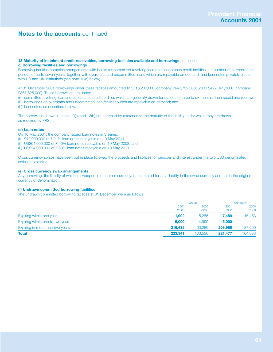## **13 Maturity of instalment credit receivables, borrowing facilities available and borrowings** continued **c) Borrowing facilities and borrowings**

Borrowing facilities comprise arrangements with banks for committed revolving loan and acceptance credit facilities in a number of currencies for periods of up to seven years, together with overdrafts and uncommitted loans which are repayable on demand, and loan notes privately placed with US and UK institutions (see note 13(d) below).

At 31 December 2001 borrowings under these facilities amounted to £516,200,000 (company £447,732,000) (2000 £422,041,0000; company £367,625,000). These borrowings are under:

- (i) committed revolving loan and acceptance credit facilities which are generally drawn for periods of three to six months, then repaid and redrawn;
- (ii) borrowings on overdrafts and uncommitted loan facilities which are repayable on demand; and
- (iii) loan notes, as described below.

The borrowings shown in notes 13(a) and 13(b) are analysed by reference to the maturity of the facility under which they are drawn as required by FRS 4.

## **(d) Loan notes**

- On 10 May 2001, the company issued loan notes in 3 series:
- (i) £42,000,000 of 7.21% loan notes repayable on 10 May 2011;
- (ii) US\$64,000,000 of 7.40% loan notes repayable on 10 May 2008; and
- (iii) US\$24,000,000 of 7.60% loan notes repayable on 10 May 2011.

Cross currency swaps have been put in place to swap the proceeds and liabilities for principal and interest under the two US\$ denominated series into sterling.

## **(e) Cross currency swap arrangements**

Any borrowing, the liability of which is swapped into another currency, is accounted for as a liability in the swap currency and not in the original currency of denomination.

## **(f) Undrawn committed borrowing facilities**

The undrawn committed borrowing facilities at 31 December were as follows:

|                                  |         | Group   |         | Company |
|----------------------------------|---------|---------|---------|---------|
|                                  | 2001    | 2000    | 2001    | 2000    |
|                                  | £'000   | £'000   | £'000   | £'000   |
| Expiring within one year         | 1,902   | 5,286   | 7.489   | 16,483  |
| Expiring within one to two years | 5.000   | 4,990   | 5,000   |         |
| Expiring in more than two years  | 216,439 | 93,280  | 208,988 | 87,600  |
| <b>Total</b>                     | 223,341 | 103,556 | 221,477 | 104,083 |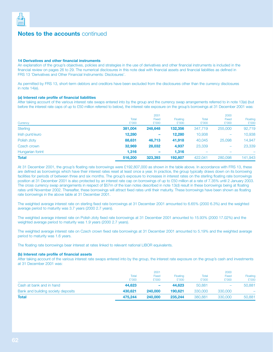

## **14 Derivatives and other financial instruments**

An explanation of the group's objectives, policies and strategies in the use of derivatives and other financial instruments is included in the financial review on pages 26 to 29. The numerical disclosures in this note deal with financial assets and financial liabilities as defined in FRS 13 'Derivatives and Other Financial Instruments: Disclosures'.

As permitted by FRS 13, short-term debtors and creditors have been excluded from the disclosures other than the currency disclosures in note 14(e).

## **(a) Interest rate profile of financial liabilities**

After taking account of the various interest rate swaps entered into by the group and the currency swap arrangements referred to in note 13(e) (but before the interest rate caps of up to £50 million referred to below), the interest rate exposure on the group's borrowings at 31 December 2001 was:

|                  |         | 2001                     |          |         | 2000                     |          |  |
|------------------|---------|--------------------------|----------|---------|--------------------------|----------|--|
|                  | Total   | Fixed                    | Floating | Total   | Fixed                    | Floating |  |
| Currency         | £'000   | £'000                    | £'000    | £'000   | £'000                    | £'000    |  |
| <b>Sterling</b>  | 381,004 | 248,648                  | 132,356  | 347,719 | 255,000                  | 92,719   |  |
| Irish punt/euro  | 12,280  | $\overline{\phantom{a}}$ | 12,280   | 10,938  | $\overline{\phantom{0}}$ | 10,938   |  |
| Polish zloty     | 88,631  | 46,713                   | 41,918   | 40,045  | 25,098                   | 14,947   |  |
| Czech crown      | 32,969  | 28,032                   | 4,937    | 23,339  | $\overline{\phantom{m}}$ | 23,339   |  |
| Hungarian forint | 1,316   | -                        | 1,316    |         |                          |          |  |
| <b>Total</b>     | 516,200 | 323,393                  | 192.807  | 422,041 | 280,098                  | 141,943  |  |

At 31 December 2001, the group's floating rate borrowings were £192,807,000 as shown in the table above. In accordance with FRS 13, these are defined as borrowings which have their interest rates reset at least once a year. In practice, the group typically draws down on its borrowing facilities for periods of between three and six months. The group's exposure to increases in interest rates on the sterling floating rate borrowings position at 31 December 2001 is also protected by an interest rate cap on borrowings of up to £50 million at a rate of 7.35% until 2 January 2003. The cross currency swap arrangements in respect of \$57m of the loan notes described in note 13(d) result in these borrowings being at floating rates until November 2002. Thereafter, these borrowings will attract fixed rates until their maturity. These borrowings have been shown as floating rate borrowings in the above table at 31 December 2001.

The weighted average interest rate on sterling fixed rate borrowings at 31 December 2001 amounted to 6.65% (2000 6.3%) and the weighted average period to maturity was 3.7 years (2000 2.7 years).

The weighted average interest rate on Polish zloty fixed rate borrowings at 31 December 2001 amounted to 15.93% (2000 17.02%) and the weighted average period to maturity was 1.9 years (2000 2.7 years).

The weighted average interest rate on Czech crown fixed rate borrowings at 31 December 2001 amounted to 5.19% and the weighted average period to maturity was 1.6 years.

The floating rate borrowings bear interest at rates linked to relevant national LIBOR equivalents.

## **(b) Interest rate profile of financial assets**

After taking account of the various interest rate swaps entered into by the group, the interest rate exposure on the group's cash and investments at 31 December 2001 was:

|                                    |                | 2001                  |                   |                | 2000           |                   |
|------------------------------------|----------------|-----------------------|-------------------|----------------|----------------|-------------------|
|                                    | Total<br>£'000 | <b>Fixed</b><br>£'000 | Floating<br>£'000 | Total<br>£'000 | Fixed<br>£'000 | Floating<br>£'000 |
| Cash at bank and in hand           | 44.623         | ۰                     | 44.623            | 50,881         |                | 50,881            |
|                                    |                |                       |                   |                |                |                   |
| Bank and building society deposits | 430.621        | 240,000               | 190.621           | 330,000        | 330,000        |                   |
| <b>Total</b>                       | 475.244        | 240,000               | 235,244           | 380,881        | 330,000        | 50,881            |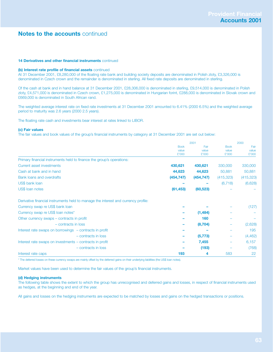## **14 Derivatives and other financial instruments** continued

#### **(b) Interest rate profile of financial assets** continued

At 31 December 2001, £8,280,000 of the floating rate bank and building society deposits are denominated in Polish zloty, £3,326,000 is denominated in Czech crown and the remainder is denominated in sterling. All fixed rate deposits are denominated in sterling.

Of the cash at bank and in hand balance at 31 December 2001, £28,306,000 is denominated in sterling, £9,514,000 is denominated in Polish zloty, £4,571,000 is denominated in Czech crown, £1,275,000 is denominated in Hungarian forint, £288,000 is denominated in Slovak crown and £669,000 is denominated in South African rand.

The weighted average interest rate on fixed rate investments at 31 December 2001 amounted to 6.41% (2000 6.5%) and the weighted average period to maturity was 2.6 years (2000 2.5 years).

The floating rate cash and investments bear interest at rates linked to LIBOR.

#### **(c) Fair values**

The fair values and book values of the group's financial instruments by category at 31 December 2001 are set out below:

|                                                                                    | 2001        |            | 2000        |            |
|------------------------------------------------------------------------------------|-------------|------------|-------------|------------|
|                                                                                    | <b>Book</b> | Fair       | <b>Book</b> | Fair       |
|                                                                                    | value       | value      | value       | value      |
|                                                                                    | £'000       | £'000      | £'000       | £'000      |
| Primary financial instruments held to finance the group's operations:              |             |            |             |            |
| Current asset investments                                                          | 430,621     | 430,621    | 330,000     | 330,000    |
| Cash at bank and in hand                                                           | 44,623      | 44,623     | 50,881      | 50,881     |
| Bank loans and overdrafts                                                          | (454, 747)  | (454, 747) | (415, 323)  | (415, 323) |
| US\$ bank loan                                                                     |             |            | (6, 718)    | (6,628)    |
| US\$ loan notes                                                                    | (61, 453)   | (60, 523)  |             |            |
| Derivative financial instruments held to manage the interest and currency profile: |             |            |             |            |
| Currency swap re US\$ bank loan                                                    |             |            |             | (127)      |
| Currency swap re US\$ loan notes*                                                  |             | (1,484)    |             |            |
| Other currency swaps – contracts in profit                                         |             | 160        |             |            |
| - contracts in loss                                                                |             | (8, 704)   |             | (2,628)    |
| Interest rate swaps on borrowings - contracts in profit                            |             |            |             | 195        |
| - contracts in loss                                                                |             | (5, 773)   |             | (4, 462)   |
| Interest rate swaps on investments – contracts in profit                           |             | 7,455      |             | 6,157      |
| - contracts in loss                                                                |             | (193)      |             | (768)      |
| Interest rate caps                                                                 | 193         | 4          | 583         | 22         |

\* The deferred losses on these currency swaps are mainly offset by the deferred gains on their underlying liabilities (the US\$ loan notes).

Market values have been used to determine the fair values of the group's financial instruments.

#### **(d) Hedging instruments**

The following table shows the extent to which the group has unrecognised and deferred gains and losses, in respect of financial instruments used as hedges, at the beginning and end of the year.

All gains and losses on the hedging instruments are expected to be matched by losses and gains on the hedged transactions or positions.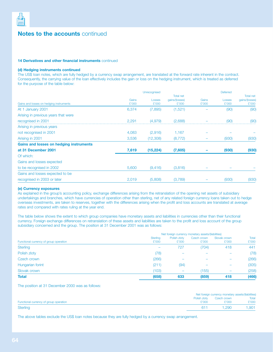

## **14 Derivatives and other financial instruments** continued

## **(d) Hedging instruments continued**

The US\$ loan notes, which are fully hedged by a currency swap arrangement, are translated at the forward rate inherent in the contract. Consequently, the carrying value of the loan effectively includes the gain or loss on the hedging instrument, which is treated as deferred for the purpose of the table below:

|                                         | Unrecognised |           |                  | <b>Deferred</b> |        |                  |
|-----------------------------------------|--------------|-----------|------------------|-----------------|--------|------------------|
|                                         |              |           | <b>Total net</b> |                 |        | <b>Total net</b> |
|                                         | Gains        | Losses    | gains/(losses)   | Gains           | Losses | gains/(losses)   |
| Gains and losses on hedging instruments | £'000        | £'000     | £'000            | £'000           | £'000  | £'000            |
| At 1 January 2001                       | 6,374        | (7,895)   | (1,521)          |                 | (90)   | (90)             |
| Arising in previous years that were     |              |           |                  |                 |        |                  |
| recognised in 2001                      | 2,291        | (4,979)   | (2,688)          |                 | (90)   | (90)             |
| Arising in previous years               |              |           |                  |                 |        |                  |
| not recognised in 2001                  | 4,083        | (2,916)   | 1,167            |                 |        |                  |
| Arising in 2001                         | 3,536        | (12,308)  | (8, 772)         |                 | (930)  | (930)            |
| Gains and losses on hedging instruments |              |           |                  |                 |        |                  |
| at 31 December 2001                     | 7,619        | (15, 224) | (7,605)          |                 | (930)  | (930)            |
| Of which:                               |              |           |                  |                 |        |                  |
| Gains and losses expected               |              |           |                  |                 |        |                  |
| to be recognised in 2002                | 5,600        | (9, 416)  | (3,816)          |                 |        |                  |
| Gains and losses expected to be         |              |           |                  |                 |        |                  |
| recognised in 2003 or later             | 2,019        | (5,808)   | (3,789)          |                 | (930)  | (930)            |
|                                         |              |           |                  |                 |        |                  |

#### **(e) Currency exposures**

As explained in the group's accounting policy, exchange differences arising from the retranslation of the opening net assets of subsidiary undertakings and branches, which have currencies of operation other than sterling, net of any related foreign currency loans taken out to hedge overseas investments, are taken to reserves, together with the differences arising when the profit and loss accounts are translated at average rates and compared with rates ruling at the year end.

The table below shows the extent to which group companies have monetary assets and liabilities in currencies other than their functional currency. Foreign exchange differences on retranslation of these assets and liabilities are taken to the profit and loss account of the group subsidiary concerned and the group. The position at 31 December 2001 was as follows:

|                                        | Net foreign currency monetary assets/(liabilities) |                       |                      |                       |                |
|----------------------------------------|----------------------------------------------------|-----------------------|----------------------|-----------------------|----------------|
| Functional currency of group operation | <b>Sterling</b><br>£'000                           | Polish zloty<br>£'000 | Czech crown<br>£'000 | Slovak crown<br>£'000 | Total<br>£'000 |
| <b>Sterling</b>                        | $\overline{\phantom{m}}$                           | 727                   | (704)                | 418                   | 441            |
| Polish zloty                           | (78)                                               |                       |                      |                       | (78)           |
| Czech crown                            | (266)                                              |                       |                      |                       | (266)          |
| Hungarian forint                       | (211)                                              | (94)                  |                      |                       | (305)          |
| Slovak crown                           | (103)                                              |                       | (155)                |                       | (258)          |
| <b>Total</b>                           | (658)                                              | 633                   | (859)                | 418                   | (466)          |

The position at 31 December 2000 was as follows:

|                                        |       | Net foreign currency monetary assets/(liabilities) |       |  |  |
|----------------------------------------|-------|----------------------------------------------------|-------|--|--|
|                                        |       | Polish zloty Czech crown                           | Total |  |  |
| Functional currency of group operation | £'000 | £'000                                              | £'000 |  |  |
| <b>Sterling</b>                        | 611   | 1,290                                              | 1.901 |  |  |

The above tables exclude the US\$ loan notes because they are fully hedged by a currency swap arrangement.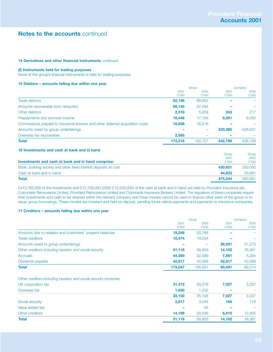## **14 Derivatives and other financial instruments** continued

## **(f) Instruments held for trading purposes**

None of the group's financial instruments is held for trading purposes.

## **15 Debtors – amounts falling due within one year**

|                                                                               | Group   |                          | Company |                          |
|-------------------------------------------------------------------------------|---------|--------------------------|---------|--------------------------|
|                                                                               | 2001    | 2000                     | 2001    | 2000                     |
|                                                                               | £'000   | £'000                    | £'000   | £'000                    |
| Trade debtors                                                                 | 62,188  | 66,652                   |         | $\overline{\phantom{0}}$ |
| Amounts recoverable from reinsurers                                           | 69,145  | 57,494                   |         |                          |
| Other debtors                                                                 | 2,516   | 5,209                    | 243     | 217                      |
| Prepayments and accrued income                                                | 18,446  | 17,156                   | 9.281   | 9,390                    |
| Commissions prepaid to insurance brokers and other deferred acquisition costs | 18,836  | 16,216                   |         |                          |
| Amounts owed by group undertakings                                            |         | $\overline{\phantom{0}}$ | 533.265 | 426,501                  |
| Overseas tax recoverable                                                      | 2,085   |                          |         |                          |
| <b>Total</b>                                                                  | 173,216 | 162,727                  | 542.789 | 436,108                  |
|                                                                               |         |                          |         |                          |

## **16 Investments and cash at bank and in hand**

|                                                                  | Group   | Group   |
|------------------------------------------------------------------|---------|---------|
|                                                                  | 2001    | 2000    |
| Investments and cash at bank and in hand comprise:               | £'000   | £'000   |
| Bank, building society and other fixed interest deposits at cost | 430.621 | 330,000 |
| Cash at bank and in hand                                         | 44.623  | 50,881  |
| <b>Total</b>                                                     | 475.244 | 380,881 |

£413,782,000 of the investments and £12,709,000 (2000 £12,530,000) of the cash at bank and in hand are held by Provident Insurance plc, Colonnade Reinsurance Limited, Provident Reinsurance Limited and Colonnade Insurance Brokers Limited. The regulators of these companies require their investments and cash to be retained within the relevant company and these monies cannot be used to finance other parts of the group or to repay group borrowings. These monies are invested and held on deposit, pending future claims payments and payments to insurance companies.

## **17 Creditors – amounts falling due within one year**

|                                                                  | Group   |         | Company |        |
|------------------------------------------------------------------|---------|---------|---------|--------|
|                                                                  | 2001    | 2000    | 2001    | 2000   |
|                                                                  | £'000   | £'000   | £'000   | £'000  |
| Amounts due to retailers and customers' unspent balances         | 19,248  | 20,766  |         |        |
| <b>Trade creditors</b>                                           | 15,474  | 14,034  |         |        |
| Amounts owed to group undertakings                               |         |         | 28,591  | 37,270 |
| Other creditors including taxation and social security           | 51,118  | 58,803  | 14,102  | 16,361 |
| <b>Accruals</b>                                                  | 44,390  | 32,099  | 7,981   | 5,294  |
| Dividends payable                                                | 42,817  | 40,389  | 42,817  | 40,389 |
| <b>Total</b>                                                     | 173,047 | 166,091 | 93,491  | 99,314 |
| Other creditors including taxation and social security comprise: |         |         |         |        |
| UK corporation tax                                               | 31,472  | 34,076  | 7,027   | 3,337  |
| Overseas tax                                                     | 1,630   | 1,032   |         |        |
|                                                                  | 33,102  | 35,108  | 7,027   | 3,337  |
| Social security                                                  | 3,817   | 3,044   | 160     | 119    |
| Value added tax                                                  |         | 55      |         |        |
| Other creditors                                                  | 14,199  | 20,596  | 6,915   | 12,905 |
| <b>Total</b>                                                     | 51,118  | 58,803  | 14,102  | 16,361 |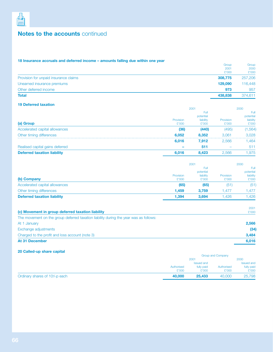

## **18 Insurance accruals and deferred income – amounts falling due within one year**

|                                       | Group   | Group   |
|---------------------------------------|---------|---------|
|                                       | 2001    | 2000    |
|                                       | £'000   | £'000   |
| Provision for unpaid insurance claims | 308.775 | 257,206 |
| Unearned insurance premiums           | 129,090 | 116,448 |
| Other deferred income                 | 973     | 957     |
| <b>Total</b>                          | 438,838 | 374,611 |

## **19 Deferred taxation**

|                                    |           | 2001      |                  | 2000      |  |
|------------------------------------|-----------|-----------|------------------|-----------|--|
|                                    |           | Full      |                  | Full      |  |
|                                    |           | potential |                  | potential |  |
|                                    | Provision | liability | <b>Provision</b> | liability |  |
| (a) Group                          | £'000     | £'000     | £'000            | £'000     |  |
| Accelerated capital allowances     | (36)      | (440)     | (495)            | 1,564)    |  |
| Other timing differences           | 6.052     | 8.352     | 3.061<br>        | 3.028     |  |
|                                    | 6,016     | 7.912     | 2.566            | .464      |  |
| Realised capital gains deferred    |           | 511       |                  | 511       |  |
| <b>Deferred taxation liability</b> | 6,016     | 8.423     | 2.566            | .975      |  |
|                                    |           |           |                  |           |  |

|                                    | 2001      |           | 2000      |             |
|------------------------------------|-----------|-----------|-----------|-------------|
|                                    |           | Full      |           | <b>Full</b> |
|                                    |           | potential |           | potential   |
|                                    | Provision | liability | Provision | liability   |
| (b) Company                        | £'000     | £'000     | £'000     | £'000       |
| Accelerated capital allowances     | (65)      | (65)      | (51)      | (51)        |
| Other timing differences           | 1.459     | 3.759     | .477      | l.477       |
| <b>Deferred taxation liability</b> | 1,394     | 3.694     | .426      | .426        |

| 2001  |
|-------|
| £'000 |
|       |
| 2,566 |
| (34)  |
| 3.484 |
| 6,016 |
|       |

## **20 Called-up share capital**

|                                                        |                   | <b>Group and Company</b> |        |                   |
|--------------------------------------------------------|-------------------|--------------------------|--------|-------------------|
|                                                        |                   | 2001                     |        |                   |
|                                                        | <b>Issued and</b> |                          |        | <b>Issued and</b> |
|                                                        | Authorised        | fully paid<br>Authorised |        | fully paid        |
|                                                        | £'000             | £'000                    | £'000  | £'000             |
| Ordinary shares of 10 <sup>4</sup> <sub>1</sub> p each | 40,000            | 25.433                   | 40,000 | 25,798            |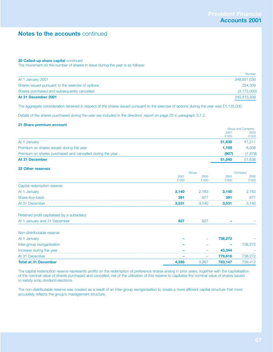## **20 Called-up share capital continued**

The movement on the number of shares in issue during the year is as follows:

|                                                   | <b>Number</b> |
|---------------------------------------------------|---------------|
| At 1 January 2001                                 | 248,931,030   |
| Shares issued pursuant to the exercise of options | 254,309       |
| Shares purchased and subsequently cancelled       | (3,772,000)   |
| At 31 December 2001                               | 245,413,339   |

The aggregate consideration received in respect of the shares issued pursuant to the exercise of options during the year was £1,135,000.

Details of the shares purchased during the year are included in the directors' report on page 33 in paragraph 3.7.2.

## **21 Share premium account**

|                                                           |        | Group and Company |  |
|-----------------------------------------------------------|--------|-------------------|--|
|                                                           | 2001   | 2000              |  |
|                                                           | £'000  | £'000             |  |
| At 1 January                                              | 51.638 | 47.211            |  |
| Premium on shares issued during the year                  | 1.109  | 6,306             |  |
| Premium on shares purchased and cancelled during the year | (907)  | (1,879)           |  |
| <b>At 31 December</b>                                     | 51.840 | 51,638            |  |

## **22 Other reserves**

|                                              |       | Group |         | Company |  |
|----------------------------------------------|-------|-------|---------|---------|--|
|                                              | 2001  | 2000  | 2001    | 2000    |  |
|                                              | £'000 | £'000 | £'000   | £'000   |  |
| Capital redemption reserve:                  |       |       |         |         |  |
| At 1 January                                 | 3,140 | 2,163 | 3,140   | 2,163   |  |
| Share buy-back                               | 391   | 977   | 391     | 977     |  |
| At 31 December                               | 3,531 | 3,140 | 3,531   | 3,140   |  |
| Retained profit capitalised by a subsidiary: |       |       |         |         |  |
| At 1 January and 31 December                 | 827   | 827   |         |         |  |
| Non-distributable reserve:                   |       |       |         |         |  |
| At 1 January                                 |       |       | 736,272 |         |  |
| Inter-group reorganisation                   |       |       |         | 736,272 |  |
| Increase during the year                     |       |       | 43,344  |         |  |
| At 31 December                               |       |       | 779,616 | 736,272 |  |
| <b>Total at 31 December</b>                  | 4,358 | 3,967 | 783,147 | 739,412 |  |

The capital redemption reserve represents profits on the redemption of preference shares arising in prior years, together with the capitalisation of the nominal value of shares purchased and cancelled, net of the utilisation of this reserve to capitalise the nominal value of shares issued to satisfy scrip dividend elections.

The non-distributable reserve was created as a result of an inter-group reorganisation to create a more efficient capital structure that more accurately reflects the group's management structure.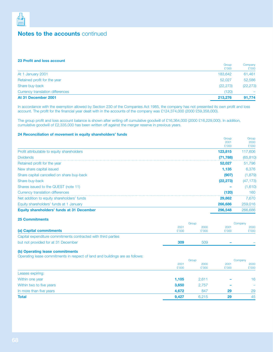

## **23 Profit and loss account**

| At 31 December 2001              | 213,276        | 91,774           |
|----------------------------------|----------------|------------------|
| Currency translation differences | (120)          |                  |
| Share buy-back                   | (22, 273)      | (22, 273)        |
| Retained profit for the year     | 52,027         | 52,586           |
| At 1 January 2001                | 183,642        | 61,461           |
|                                  | Group<br>£'000 | Company<br>£'000 |

In accordance with the exemption allowed by Section 230 of the Companies Act 1985, the company has not presented its own profit and loss account. The profit for the financial year dealt with in the accounts of the company was £124,374,000 (2000 £59,358,000).

The group profit and loss account balance is shown after writing off cumulative goodwill of £16,364,000 (2000 £16,229,000). In addition, cumulative goodwill of £2,335,000 has been written off against the merger reserve in previous years.

## **24 Reconciliation of movement in equity shareholders' funds**

|                                            | Group<br>2001 | Group<br>2000 |
|--------------------------------------------|---------------|---------------|
|                                            | £'000         | £'000         |
| Profit attributable to equity shareholders | 123,815       | 117,606       |
| <b>Dividends</b>                           | (71, 788)     | (65, 810)     |
| Retained profit for the year               | 52,027        | 51,796        |
| New share capital issued                   | 1.135         | 6.376         |
| Share capital cancelled on share buy-back  | (907)         | (1,879)       |
| Share buy-back                             | (22, 273)     | (47, 173)     |
| Shares issued to the QUEST (note 11)       |               | (1,610)       |
| Currency translation differences           | (120)         | 160           |
| Net addition to equity shareholders' funds | 29,862        | 7.670         |
| Equity shareholders' funds at 1 January    | 266,686       | 259,016       |
| Equity shareholders' funds at 31 December  | 296,548       | 266,686       |
|                                            |               |               |

## **25 Commitments**

|                                                               |       | Group |        | Company |  |
|---------------------------------------------------------------|-------|-------|--------|---------|--|
|                                                               | 2001  | 2000  | 2001   | 2000    |  |
| (a) Capital commitments                                       | £'000 | £'000 | £'000  | £'000   |  |
| Capital expenditure commitments contracted with third parties |       |       |        |         |  |
| but not provided for at 31 December                           | 309   | 509   | $\sim$ |         |  |

## **(b) Operating lease commitments**

Operating lease commitments in respect of land and buildings are as follows:

|                          | Group |       | Company                  |                          |
|--------------------------|-------|-------|--------------------------|--------------------------|
|                          | 2001  | 2000  | 2001                     | 2000                     |
|                          | £'000 | £'000 | £'000                    | £'000                    |
| Leases expiring:         |       |       |                          |                          |
| Within one year          | 1,105 | 2,611 | $\overline{\phantom{a}}$ | 16                       |
| Within two to five years | 3,650 | 2,757 | $\overline{\phantom{a}}$ | $\overline{\phantom{0}}$ |
| In more than five years  | 4,672 | 847   | 29                       | 29                       |
| <b>Total</b>             | 9,427 | 6,215 | 29                       | 45                       |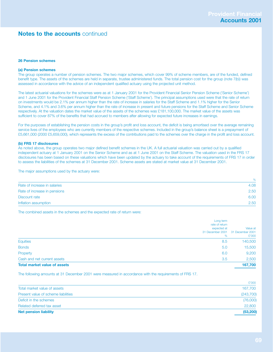## **26 Pension schemes**

## **(a) Pension schemes**

The group operates a number of pension schemes. The two major schemes, which cover 99% of scheme members, are of the funded, defined benefit type. The assets of the schemes are held in separate, trustee administered funds. The total pension cost for the group (note 7(b)) was assessed in accordance with the advice of an independent qualified actuary using the projected unit method.

The latest actuarial valuations for the schemes were as at 1 January 2001 for the Provident Financial Senior Pension Scheme ('Senior Scheme') and 1 June 2001 for the Provident Financial Staff Pension Scheme ('Staff Scheme'). The principal assumptions used were that the rate of return on investments would be 2.1% per annum higher than the rate of increase in salaries for the Staff Scheme and 1.1% higher for the Senior Scheme, and 4.1% and 3.6% per annum higher than the rate of increase in present and future pensions for the Staff Scheme and Senior Scheme respectively. At the valuation dates the market value of the assets of the schemes was £181,100,000. The market value of the assets was sufficient to cover 87% of the benefits that had accrued to members after allowing for expected future increases in earnings.

For the purposes of establishing the pension costs in the group's profit and loss account, the deficit is being amortised over the average remaining service lives of the employees who are currently members of the respective schemes. Included in the group's balance sheet is a prepayment of £5,661,000 (2000 £5,659,000), which represents the excess of the contributions paid to the schemes over the charge in the profit and loss account.

#### **(b) FRS 17 disclosures**

As noted above, the group operates two major defined benefit schemes in the UK. A full actuarial valuation was carried out by a qualified independent actuary at 1 January 2001 on the Senior Scheme and as at 1 June 2001 on the Staff Scheme. The valuation used in the FRS 17 disclosures has been based on these valuations which have been updated by the actuary to take account of the requirements of FRS 17 in order to assess the liabilities of the schemes at 31 December 2001. Scheme assets are stated at market value at 31 December 2001.

The major assumptions used by the actuary were:

|                              | $\%$ |
|------------------------------|------|
| Rate of increase in salaries | 4.08 |
| Rate of increase in pensions | 2.50 |
| Discount rate                | 6.00 |
| Inflation assumption         | 2.50 |

The combined assets in the schemes and the expected rate of return were:

| Long term                           |                                                        |
|-------------------------------------|--------------------------------------------------------|
| rate of return<br>expected at<br>%  | Value at<br>31 December 2001 31 December 2001<br>£'000 |
| <b>Equities</b><br>8.5              | 140,500                                                |
| <b>Bonds</b><br>5.0                 | 15,500                                                 |
| Property<br>6.0                     | 9,200                                                  |
| Cash and net current assets<br>3.5  | 2,500                                                  |
| <b>Total market value of assets</b> | 167,700                                                |

The following amounts at 31 December 2001 were measured in accordance with the requirements of FRS 17.

| <b>Net pension liability</b>        | (53, 200)  |
|-------------------------------------|------------|
| Related deferred tax asset          | 22,800     |
| Deficit in the schemes              | (76,000)   |
| Present value of scheme liabilities | (243, 700) |
| Total market value of assets        | 167,700    |
|                                     | £'000      |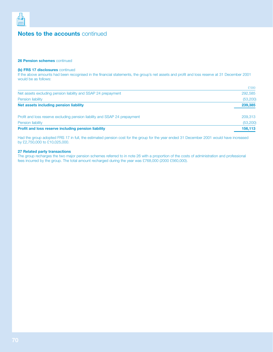

## **26 Pension schemes** continued

## **(b) FRS 17 disclosures** continued

If the above amounts had been recognised in the financial statements, the group's net assets and profit and loss reserve at 31 December 2001 would be as follows:

|                                                                            | £'000     |
|----------------------------------------------------------------------------|-----------|
| Net assets excluding pension liability and SSAP 24 prepayment              | 292,585   |
| <b>Pension liability</b>                                                   | (53, 200) |
| Net assets including pension liability                                     | 239,385   |
| Profit and loss reserve excluding pension liability and SSAP 24 prepayment | 209,313   |
| <b>Pension liability</b>                                                   | (53, 200) |
| <b>Profit and loss reserve including pension liability</b>                 | 156.113   |

Had the group adopted FRS 17 in full, the estimated pension cost for the group for the year ended 31 December 2001 would have increased by £2,750,000 to £10,025,000.

## **27 Related party transactions**

The group recharges the two major pension schemes referred to in note 26 with a proportion of the costs of administration and professional fees incurred by the group. The total amount recharged during the year was £768,000 (2000 £560,000).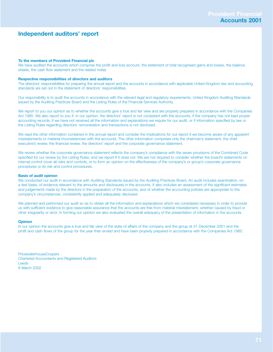## **Independent auditors' report**

#### **To the members of Provident Financial plc**

We have audited the accounts which comprise the profit and loss account, the statement of total recognised gains and losses, the balance sheets, the cash flow statement and the related notes.

#### **Respective responsibilities of directors and auditors**

The directors' responsibilities for preparing the annual report and the accounts in accordance with applicable United Kingdom law and accounting standards are set out in the statement of directors' responsibilities.

Our responsibility is to audit the accounts in accordance with the relevant legal and regulatory requirements, United Kingdom Auditing Standards issued by the Auditing Practices Board and the Listing Rules of the Financial Services Authority.

We report to you our opinion as to whether the accounts give a true and fair view and are properly prepared in accordance with the Companies Act 1985. We also report to you if, in our opinion, the directors' report is not consistent with the accounts, if the company has not kept proper accounting records, if we have not received all the information and explanations we require for our audit, or if information specified by law or the Listing Rules regarding directors' remuneration and transactions is not disclosed.

We read the other information contained in the annual report and consider the implications for our report if we become aware of any apparent misstatements or material inconsistencies with the accounts. The other information comprises only the chairman's statement, the chief executive's review, the financial review, the directors' report and the corporate governance statement.

We review whether the corporate governance statement reflects the company's compliance with the seven provisions of the Combined Code specified for our review by the Listing Rules, and we report if it does not. We are not required to consider whether the board's statements on internal control cover all risks and controls, or to form an opinion on the effectiveness of the company's or group's corporate governance procedures or its risk and control procedures.

#### **Basis of audit opinion**

We conducted our audit in accordance with Auditing Standards issued by the Auditing Practices Board. An audit includes examination, on a test basis, of evidence relevant to the amounts and disclosures in the accounts. It also includes an assessment of the significant estimates and judgements made by the directors in the preparation of the accounts, and of whether the accounting policies are appropriate to the company's circumstances, consistently applied and adequately disclosed.

We planned and performed our audit so as to obtain all the information and explanations which we considered necessary in order to provide us with sufficient evidence to give reasonable assurance that the accounts are free from material misstatement, whether caused by fraud or other irregularity or error. In forming our opinion we also evaluated the overall adequacy of the presentation of information in the accounts.

#### **Opinion**

In our opinion the accounts give a true and fair view of the state of affairs of the company and the group at 31 December 2001 and the profit and cash flows of the group for the year then ended and have been properly prepared in accordance with the Companies Act 1985.

PricewaterhouseCoopers Chartered Accountants and Registered Auditors Leeds 8 March 2002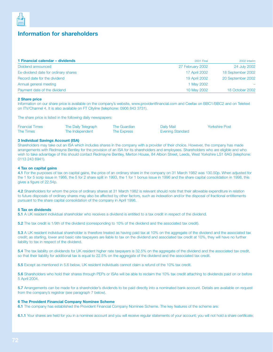

## **Information for shareholders**

| 1 Financial calendar - dividends     | <b>2001 Final</b>    | 2002 Interim      |
|--------------------------------------|----------------------|-------------------|
| Dividend announced                   | 27 February 2002     | 24 July 2002      |
| Ex-dividend date for ordinary shares | <b>17 April 2002</b> | 18 September 2002 |
| Record date for the dividend         | <b>19 April 2002</b> | 20 September 2002 |
| Annual general meeting               | 1 May 2002           |                   |
| Payment date of the dividend         | 10 May 2002          | 18 October 2002   |

#### **2 Share price**

Information on our share price is available on the company's website, www.providentfinancial.com and Ceefax on BBC1/BBC2 and on Teletext on ITV/Channel 4. It is also available on FT Cityline (telephone: 0906 843 3731).

The share price is listed in the following daily newspapers:

| <b>Financial Times</b> | The Daily Telegraph | The Guardian | Daily Mail              | <b>Yorkshire Post</b> |
|------------------------|---------------------|--------------|-------------------------|-----------------------|
| The Times              | The Independent     | The Express  | <b>Evening Standard</b> |                       |

#### **3 Individual Savings Account (ISA)**

Shareholders may take out an ISA which includes shares in the company with a provider of their choice. However, the company has made arrangements with Redmayne Bentley for the provision of an ISA for its shareholders and employees. Shareholders who are eligible and who wish to take advantage of this should contact Redmayne Bentley, Merton House, 84 Albion Street, Leeds, West Yorkshire LS1 6AG (telephone: 0113 243 6941).

#### **4 Tax on capital gains**

**4.1** For the purposes of tax on capital gains, the price of an ordinary share in the company on 31 March 1982 was 130.50p. When adjusted for the 1 for 5 scrip issue in 1986, the 5 for 2 share split in 1993, the 1 for 1 bonus issue in 1996 and the share capital consolidation in 1998, this gives a figure of 22.54p.

**4.2** Shareholders for whom the price of ordinary shares at 31 March 1982 is relevant should note that their allowable expenditure in relation to future disposals of ordinary shares may also be affected by other factors, such as indexation and/or the disposal of fractional entitlements pursuant to the share capital consolidation of the company in April 1998.

#### **5 Tax on dividends**

**5.1** A UK resident individual shareholder who receives a dividend is entitled to a tax credit in respect of the dividend.

**5.2** The tax credit is 1/9th of the dividend (corresponding to 10% of the dividend and the associated tax credit).

**5.3** A UK resident individual shareholder is therefore treated as having paid tax at 10% on the aggregate of the dividend and the associated tax credit; as starting, lower and basic rate taxpayers are liable to tax on the dividend and associated tax credit at 10%, they will have no further liability to tax in respect of the dividend.

**5.4** The tax liability on dividends for UK resident higher rate taxpayers is 32.5% on the aggregate of the dividend and the associated tax credit, so that their liability for additional tax is equal to 22.5% on the aggregate of the dividend and the associated tax credit.

**5.5** Except as mentioned in 5.6 below, UK resident individuals cannot claim a refund of the 10% tax credit.

**5.6** Shareholders who hold their shares through PEPs or ISAs will be able to reclaim the 10% tax credit attaching to dividends paid on or before 5 April 2004.

**5.7** Arrangements can be made for a shareholder's dividends to be paid directly into a nominated bank account. Details are available on request from the company's registrar (see paragraph 7 below).

#### **6 The Provident Financial Company Nominee Scheme**

**6.1** The company has established the Provident Financial Company Nominee Scheme. The key features of the scheme are:

**6.1.1** Your shares are held for you in a nominee account and you will receive regular statements of your account; you will not hold a share certificate;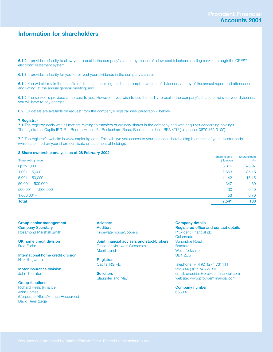## **Information for shareholders**

**6.1.2** It provides a facility to allow you to deal in the company's shares by means of a low-cost telephone dealing service through the CREST electronic settlement system;

**6.1.3** It provides a facility for you to reinvest your dividends in the company's shares;

**6.1.4** You will still retain the benefits of direct shareholding, such as prompt payments of dividends, a copy of the annual report and attendance, and voting, at the annual general meeting; and

**6.1.5** The service is provided at no cost to you. However, if you wish to use the facility to deal in the company's shares or reinvest your dividends, you will have to pay charges.

**6.2** Full details are available on request from the company's registrar (see paragraph 7 below).

#### **7 Registrar**

**7.1** The registrar deals with all matters relating to transfers of ordinary shares in the company and with enquiries concerning holdings. The registrar is: Capita IRG Plc, Bourne House, 34 Beckenham Road, Beckenham, Kent BR3 4TU (telephone: 0870 162 3100).

**7.2** The registrar's website is www.capita-irg.com. This will give you access to your personal shareholding by means of your investor code (which is printed on your share certificate or statement of holding).

#### **8 Share ownership analysis as at 28 February 2002**

|                       | Shareholders | Shareholders |
|-----------------------|--------------|--------------|
| Shareholding range    | (Number)     | (% )         |
| up to 1,000           | 3,316        | 43.97        |
| $1,001 - 5,000$       | 2,653        | 35.18        |
| $5,001 - 50,000$      | 1.142        | 15.15        |
| $50,001 - 500,000$    | 347          | 4.60         |
| $500,001 - 1,000,000$ | 30           | 0.40         |
| $1,000,001+$          | 53           | 0.70         |
| <b>Total</b>          | 7,541        | 100          |

**Group senior management Company Secretary**

Rosamond Marshall Smith

**UK home credit division** Fred Forfar

**International home credit division** Nick Illingworth

**Motor insurance division** John Thornton

**Group functions** Richard Heels (Finance) John Lomas (Corporate Affairs/Human Resources) David Rees (Legal)

**Advisers Auditors** PricewaterhouseCoopers

**Joint financial advisers and stockbrokers** Dresdner Kleinwort Wasserstein Merrill Lynch

**Registrar** Capita IRG Plc

**Solicitors** Slaughter and May

#### **Company details**

**Registered office and contact details** Provident Financial plc **Colonnade** Sunbridge Road **Bradford** West Yorkshire  $BD12LO$ 

telephone: +44 (0) 1274 731111 fax: +44 (0) 1274 727300 email: enquiries@providentfinancial.com website: www.providentfinancial.com

**Company number** 668987